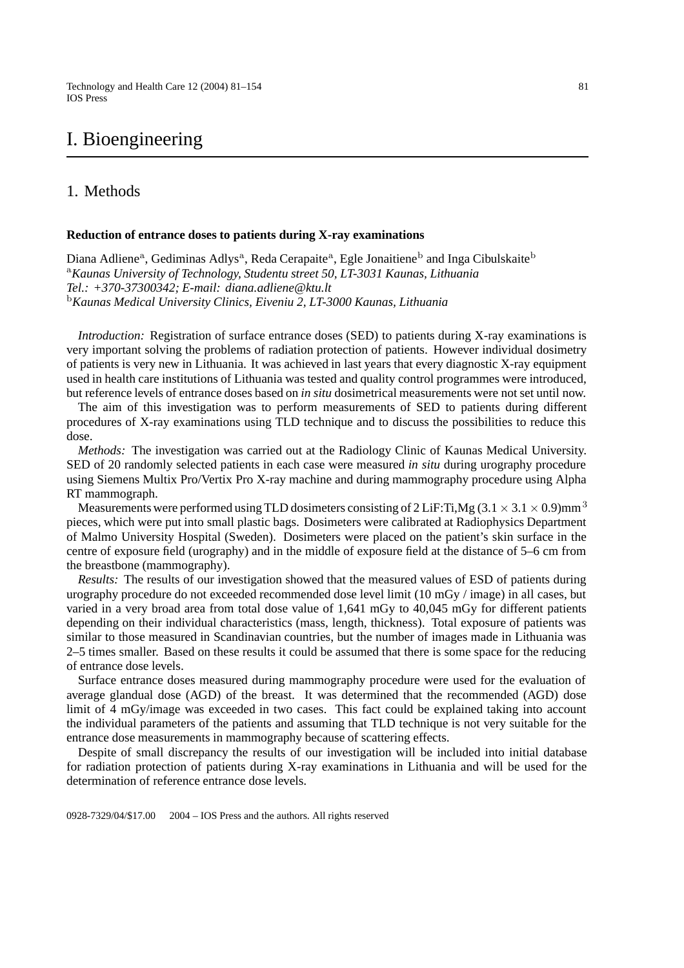# I. Bioengineering

# 1. Methods

#### **Reduction of entrance doses to patients during X-ray examinations**

Diana Adliene<sup>a</sup>, Gediminas Adlys<sup>a</sup>, Reda Cerapaite<sup>a</sup>, Egle Jonaitiene<sup>b</sup> and Inga Cibulskaite<sup>b</sup> <sup>a</sup>*Kaunas University of Technology, Studentu street 50, LT-3031 Kaunas, Lithuania Tel.: +370-37300342; E-mail: diana.adliene@ktu.lt* <sup>b</sup>*Kaunas Medical University Clinics, Eiveniu 2, LT-3000 Kaunas, Lithuania*

*Introduction:* Registration of surface entrance doses (SED) to patients during X-ray examinations is very important solving the problems of radiation protection of patients. However individual dosimetry of patients is very new in Lithuania. It was achieved in last years that every diagnostic X-ray equipment used in health care institutions of Lithuania was tested and quality control programmes were introduced, but reference levels of entrance doses based on *in situ* dosimetrical measurements were not set until now.

The aim of this investigation was to perform measurements of SED to patients during different procedures of X-ray examinations using TLD technique and to discuss the possibilities to reduce this dose.

*Methods:* The investigation was carried out at the Radiology Clinic of Kaunas Medical University. SED of 20 randomly selected patients in each case were measured *in situ* during urography procedure using Siemens Multix Pro/Vertix Pro X-ray machine and during mammography procedure using Alpha RT mammograph.

Measurements were performed using TLD dosimeters consisting of 2 LiF: Ti, Mg (3.1  $\times$  3.1  $\times$  0.9)mm<sup>3</sup> pieces, which were put into small plastic bags. Dosimeters were calibrated at Radiophysics Department of Malmo University Hospital (Sweden). Dosimeters were placed on the patient's skin surface in the centre of exposure field (urography) and in the middle of exposure field at the distance of 5–6 cm from the breastbone (mammography).

*Results:* The results of our investigation showed that the measured values of ESD of patients during urography procedure do not exceeded recommended dose level limit (10 mGy / image) in all cases, but varied in a very broad area from total dose value of 1,641 mGy to 40,045 mGy for different patients depending on their individual characteristics (mass, length, thickness). Total exposure of patients was similar to those measured in Scandinavian countries, but the number of images made in Lithuania was 2–5 times smaller. Based on these results it could be assumed that there is some space for the reducing of entrance dose levels.

Surface entrance doses measured during mammography procedure were used for the evaluation of average glandual dose (AGD) of the breast. It was determined that the recommended (AGD) dose limit of 4 mGy/image was exceeded in two cases. This fact could be explained taking into account the individual parameters of the patients and assuming that TLD technique is not very suitable for the entrance dose measurements in mammography because of scattering effects.

Despite of small discrepancy the results of our investigation will be included into initial database for radiation protection of patients during X-ray examinations in Lithuania and will be used for the determination of reference entrance dose levels.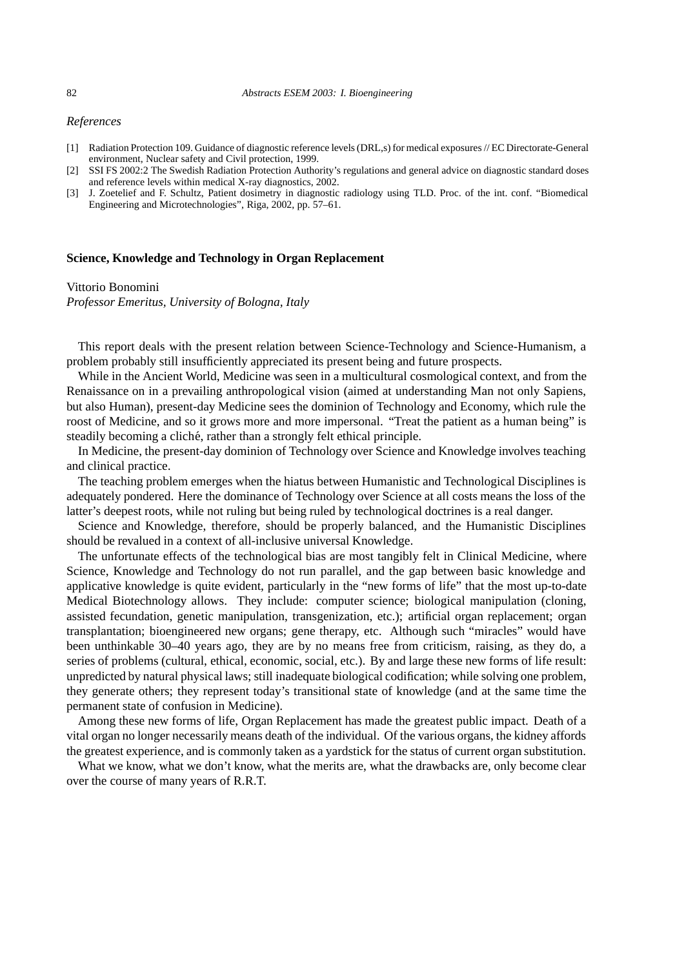#### *References*

- [1] Radiation Protection 109. Guidance of diagnostic reference levels (DRL,s) for medical exposures // EC Directorate-General environment, Nuclear safety and Civil protection, 1999.
- [2] SSI FS 2002:2 The Swedish Radiation Protection Authority's regulations and general advice on diagnostic standard doses and reference levels within medical X-ray diagnostics, 2002.
- [3] J. Zoetelief and F. Schultz, Patient dosimetry in diagnostic radiology using TLD. Proc. of the int. conf. "Biomedical Engineering and Microtechnologies", Riga, 2002, pp. 57–61.

#### **Science, Knowledge and Technology in Organ Replacement**

Vittorio Bonomini

*Professor Emeritus, University of Bologna, Italy*

This report deals with the present relation between Science-Technology and Science-Humanism, a problem probably still insufficiently appreciated its present being and future prospects.

While in the Ancient World, Medicine was seen in a multicultural cosmological context, and from the Renaissance on in a prevailing anthropological vision (aimed at understanding Man not only Sapiens, but also Human), present-day Medicine sees the dominion of Technology and Economy, which rule the roost of Medicine, and so it grows more and more impersonal. "Treat the patient as a human being" is steadily becoming a cliché, rather than a strongly felt ethical principle.

In Medicine, the present-day dominion of Technology over Science and Knowledge involves teaching and clinical practice.

The teaching problem emerges when the hiatus between Humanistic and Technological Disciplines is adequately pondered. Here the dominance of Technology over Science at all costs means the loss of the latter's deepest roots, while not ruling but being ruled by technological doctrines is a real danger.

Science and Knowledge, therefore, should be properly balanced, and the Humanistic Disciplines should be revalued in a context of all-inclusive universal Knowledge.

The unfortunate effects of the technological bias are most tangibly felt in Clinical Medicine, where Science, Knowledge and Technology do not run parallel, and the gap between basic knowledge and applicative knowledge is quite evident, particularly in the "new forms of life" that the most up-to-date Medical Biotechnology allows. They include: computer science; biological manipulation (cloning, assisted fecundation, genetic manipulation, transgenization, etc.); artificial organ replacement; organ transplantation; bioengineered new organs; gene therapy, etc. Although such "miracles" would have been unthinkable 30–40 years ago, they are by no means free from criticism, raising, as they do, a series of problems (cultural, ethical, economic, social, etc.). By and large these new forms of life result: unpredicted by natural physical laws; still inadequate biological codification; while solving one problem, they generate others; they represent today's transitional state of knowledge (and at the same time the permanent state of confusion in Medicine).

Among these new forms of life, Organ Replacement has made the greatest public impact. Death of a vital organ no longer necessarily means death of the individual. Of the various organs, the kidney affords the greatest experience, and is commonly taken as a yardstick for the status of current organ substitution.

What we know, what we don't know, what the merits are, what the drawbacks are, only become clear over the course of many years of R.R.T.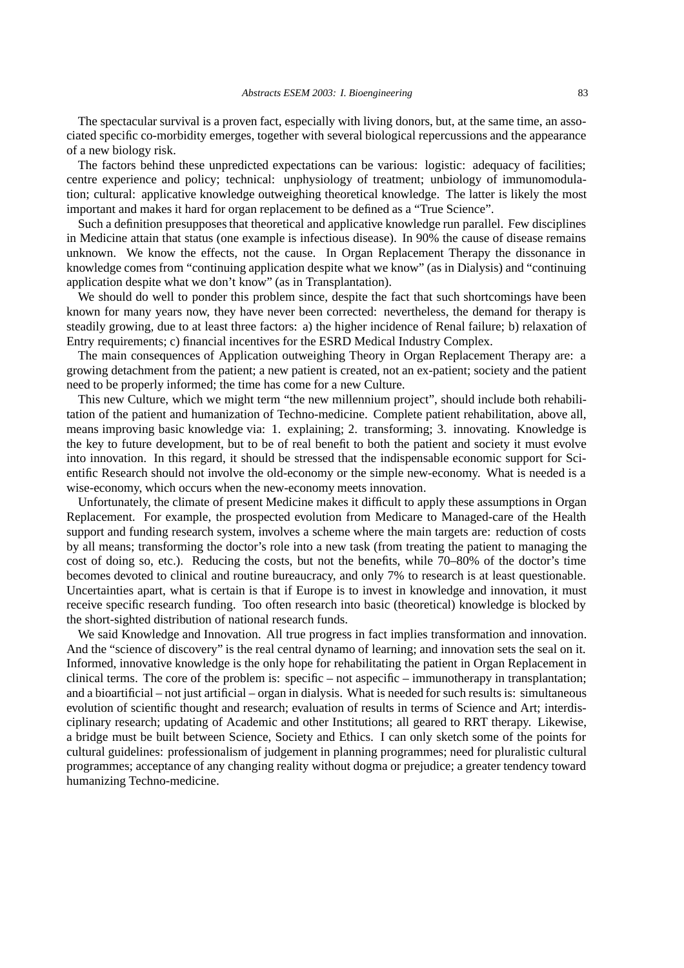The spectacular survival is a proven fact, especially with living donors, but, at the same time, an associated specific co-morbidity emerges, together with several biological repercussions and the appearance of a new biology risk.

The factors behind these unpredicted expectations can be various: logistic: adequacy of facilities; centre experience and policy; technical: unphysiology of treatment; unbiology of immunomodulation; cultural: applicative knowledge outweighing theoretical knowledge. The latter is likely the most important and makes it hard for organ replacement to be defined as a "True Science".

Such a definition presupposes that theoretical and applicative knowledge run parallel. Few disciplines in Medicine attain that status (one example is infectious disease). In 90% the cause of disease remains unknown. We know the effects, not the cause. In Organ Replacement Therapy the dissonance in knowledge comes from "continuing application despite what we know" (as in Dialysis) and "continuing application despite what we don't know" (as in Transplantation).

We should do well to ponder this problem since, despite the fact that such shortcomings have been known for many years now, they have never been corrected: nevertheless, the demand for therapy is steadily growing, due to at least three factors: a) the higher incidence of Renal failure; b) relaxation of Entry requirements; c) financial incentives for the ESRD Medical Industry Complex.

The main consequences of Application outweighing Theory in Organ Replacement Therapy are: a growing detachment from the patient; a new patient is created, not an ex-patient; society and the patient need to be properly informed; the time has come for a new Culture.

This new Culture, which we might term "the new millennium project", should include both rehabilitation of the patient and humanization of Techno-medicine. Complete patient rehabilitation, above all, means improving basic knowledge via: 1. explaining; 2. transforming; 3. innovating. Knowledge is the key to future development, but to be of real benefit to both the patient and society it must evolve into innovation. In this regard, it should be stressed that the indispensable economic support for Scientific Research should not involve the old-economy or the simple new-economy. What is needed is a wise-economy, which occurs when the new-economy meets innovation.

Unfortunately, the climate of present Medicine makes it difficult to apply these assumptions in Organ Replacement. For example, the prospected evolution from Medicare to Managed-care of the Health support and funding research system, involves a scheme where the main targets are: reduction of costs by all means; transforming the doctor's role into a new task (from treating the patient to managing the cost of doing so, etc.). Reducing the costs, but not the benefits, while 70–80% of the doctor's time becomes devoted to clinical and routine bureaucracy, and only 7% to research is at least questionable. Uncertainties apart, what is certain is that if Europe is to invest in knowledge and innovation, it must receive specific research funding. Too often research into basic (theoretical) knowledge is blocked by the short-sighted distribution of national research funds.

We said Knowledge and Innovation. All true progress in fact implies transformation and innovation. And the "science of discovery" is the real central dynamo of learning; and innovation sets the seal on it. Informed, innovative knowledge is the only hope for rehabilitating the patient in Organ Replacement in clinical terms. The core of the problem is: specific – not aspecific – immunotherapy in transplantation; and a bioartificial – not just artificial – organ in dialysis. What is needed for such results is: simultaneous evolution of scientific thought and research; evaluation of results in terms of Science and Art; interdisciplinary research; updating of Academic and other Institutions; all geared to RRT therapy. Likewise, a bridge must be built between Science, Society and Ethics. I can only sketch some of the points for cultural guidelines: professionalism of judgement in planning programmes; need for pluralistic cultural programmes; acceptance of any changing reality without dogma or prejudice; a greater tendency toward humanizing Techno-medicine.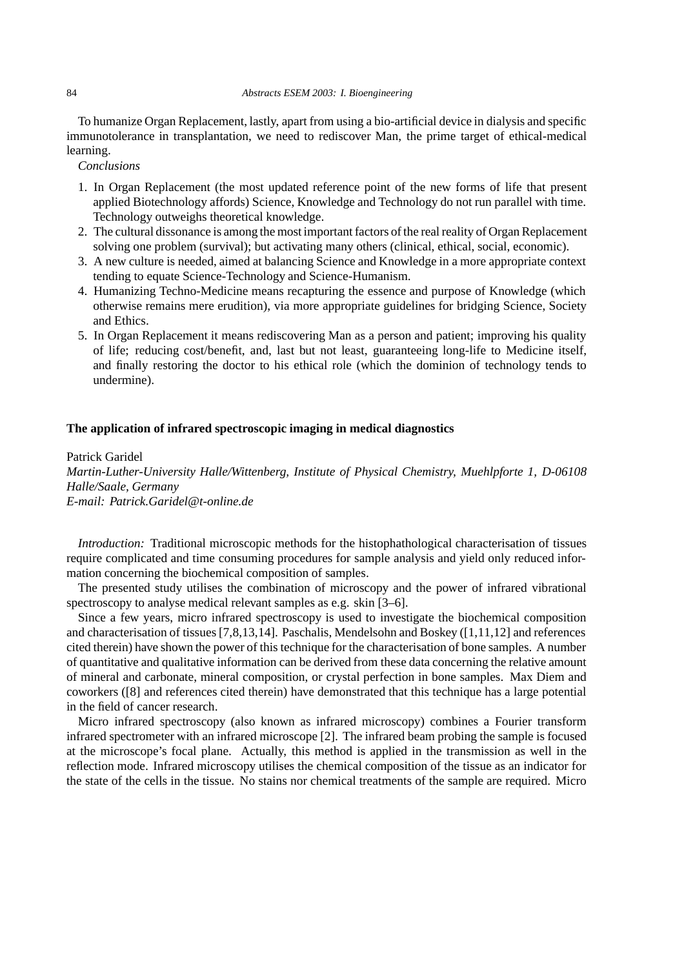#### 84 *Abstracts ESEM 2003: I. Bioengineering*

To humanize Organ Replacement, lastly, apart from using a bio-artificial device in dialysis and specific immunotolerance in transplantation, we need to rediscover Man, the prime target of ethical-medical learning.

*Conclusions*

- 1. In Organ Replacement (the most updated reference point of the new forms of life that present applied Biotechnology affords) Science, Knowledge and Technology do not run parallel with time. Technology outweighs theoretical knowledge.
- 2. The cultural dissonance is among the most important factors of the real reality of Organ Replacement solving one problem (survival); but activating many others (clinical, ethical, social, economic).
- 3. A new culture is needed, aimed at balancing Science and Knowledge in a more appropriate context tending to equate Science-Technology and Science-Humanism.
- 4. Humanizing Techno-Medicine means recapturing the essence and purpose of Knowledge (which otherwise remains mere erudition), via more appropriate guidelines for bridging Science, Society and Ethics.
- 5. In Organ Replacement it means rediscovering Man as a person and patient; improving his quality of life; reducing cost/benefit, and, last but not least, guaranteeing long-life to Medicine itself, and finally restoring the doctor to his ethical role (which the dominion of technology tends to undermine).

#### **The application of infrared spectroscopic imaging in medical diagnostics**

Patrick Garidel *Martin-Luther-University Halle/Wittenberg, Institute of Physical Chemistry, Muehlpforte 1, D-06108 Halle/Saale, Germany E-mail: Patrick.Garidel@t-online.de*

*Introduction:* Traditional microscopic methods for the histophathological characterisation of tissues require complicated and time consuming procedures for sample analysis and yield only reduced information concerning the biochemical composition of samples.

The presented study utilises the combination of microscopy and the power of infrared vibrational spectroscopy to analyse medical relevant samples as e.g. skin [3–6].

Since a few years, micro infrared spectroscopy is used to investigate the biochemical composition and characterisation of tissues [7,8,13,14]. Paschalis, Mendelsohn and Boskey ([1,11,12] and references cited therein) have shown the power of this technique for the characterisation of bone samples. A number of quantitative and qualitative information can be derived from these data concerning the relative amount of mineral and carbonate, mineral composition, or crystal perfection in bone samples. Max Diem and coworkers ([8] and references cited therein) have demonstrated that this technique has a large potential in the field of cancer research.

Micro infrared spectroscopy (also known as infrared microscopy) combines a Fourier transform infrared spectrometer with an infrared microscope [2]. The infrared beam probing the sample is focused at the microscope's focal plane. Actually, this method is applied in the transmission as well in the reflection mode. Infrared microscopy utilises the chemical composition of the tissue as an indicator for the state of the cells in the tissue. No stains nor chemical treatments of the sample are required. Micro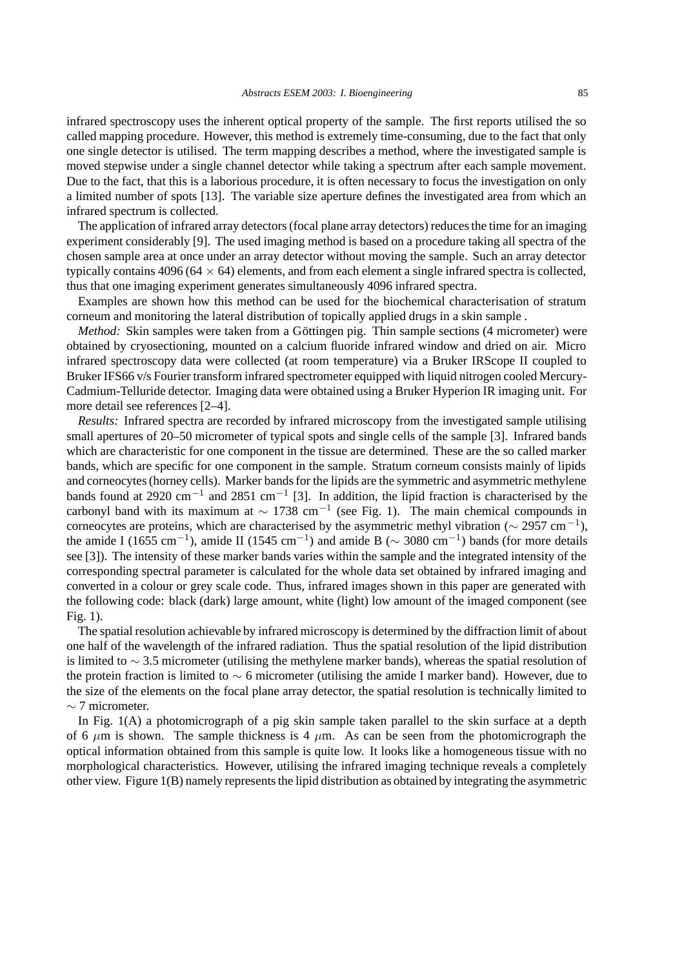infrared spectroscopy uses the inherent optical property of the sample. The first reports utilised the so called mapping procedure. However, this method is extremely time-consuming, due to the fact that only one single detector is utilised. The term mapping describes a method, where the investigated sample is moved stepwise under a single channel detector while taking a spectrum after each sample movement. Due to the fact, that this is a laborious procedure, it is often necessary to focus the investigation on only a limited number of spots [13]. The variable size aperture defines the investigated area from which an infrared spectrum is collected.

The application of infrared array detectors (focal plane array detectors) reduces the time for an imaging experiment considerably [9]. The used imaging method is based on a procedure taking all spectra of the chosen sample area at once under an array detector without moving the sample. Such an array detector typically contains 4096 (64  $\times$  64) elements, and from each element a single infrared spectra is collected, thus that one imaging experiment generates simultaneously 4096 infrared spectra.

Examples are shown how this method can be used for the biochemical characterisation of stratum corneum and monitoring the lateral distribution of topically applied drugs in a skin sample .

*Method:* Skin samples were taken from a Göttingen pig. Thin sample sections (4 micrometer) were obtained by cryosectioning, mounted on a calcium fluoride infrared window and dried on air. Micro infrared spectroscopy data were collected (at room temperature) via a Bruker IRScope II coupled to Bruker IFS66 v/s Fourier transform infrared spectrometer equipped with liquid nitrogen cooled Mercury-Cadmium-Telluride detector. Imaging data were obtained using a Bruker Hyperion IR imaging unit. For more detail see references [2–4].

*Results:* Infrared spectra are recorded by infrared microscopy from the investigated sample utilising small apertures of 20–50 micrometer of typical spots and single cells of the sample [3]. Infrared bands which are characteristic for one component in the tissue are determined. These are the so called marker bands, which are specific for one component in the sample. Stratum corneum consists mainly of lipids and corneocytes (horney cells). Marker bands for the lipids are the symmetric and asymmetric methylene bands found at 2920 cm<sup>-1</sup> and 2851 cm<sup>-1</sup> [3]. In addition, the lipid fraction is characterised by the carbonyl band with its maximum at  $\sim 1738$  cm<sup>-1</sup> (see Fig. 1). The main chemical compounds in corneocytes are proteins, which are characterised by the asymmetric methyl vibration ( $\sim$  2957 cm<sup>-1</sup>), the amide I (1655 cm<sup>-1</sup>), amide II (1545 cm<sup>-1</sup>) and amide B ( $\sim$  3080 cm<sup>-1</sup>) bands (for more details see [3]). The intensity of these marker bands varies within the sample and the integrated intensity of the corresponding spectral parameter is calculated for the whole data set obtained by infrared imaging and converted in a colour or grey scale code. Thus, infrared images shown in this paper are generated with the following code: black (dark) large amount, white (light) low amount of the imaged component (see Fig. 1).

The spatial resolution achievable by infrared microscopy is determined by the diffraction limit of about one half of the wavelength of the infrared radiation. Thus the spatial resolution of the lipid distribution is limited to ∼ 3.5 micrometer (utilising the methylene marker bands), whereas the spatial resolution of the protein fraction is limited to  $\sim$  6 micrometer (utilising the amide I marker band). However, due to the size of the elements on the focal plane array detector, the spatial resolution is technically limited to ∼ 7 micrometer.

In Fig. 1(A) a photomicrograph of a pig skin sample taken parallel to the skin surface at a depth of 6  $\mu$ m is shown. The sample thickness is 4  $\mu$ m. As can be seen from the photomicrograph the optical information obtained from this sample is quite low. It looks like a homogeneous tissue with no morphological characteristics. However, utilising the infrared imaging technique reveals a completely other view. Figure 1(B) namely represents the lipid distribution as obtained by integrating the asymmetric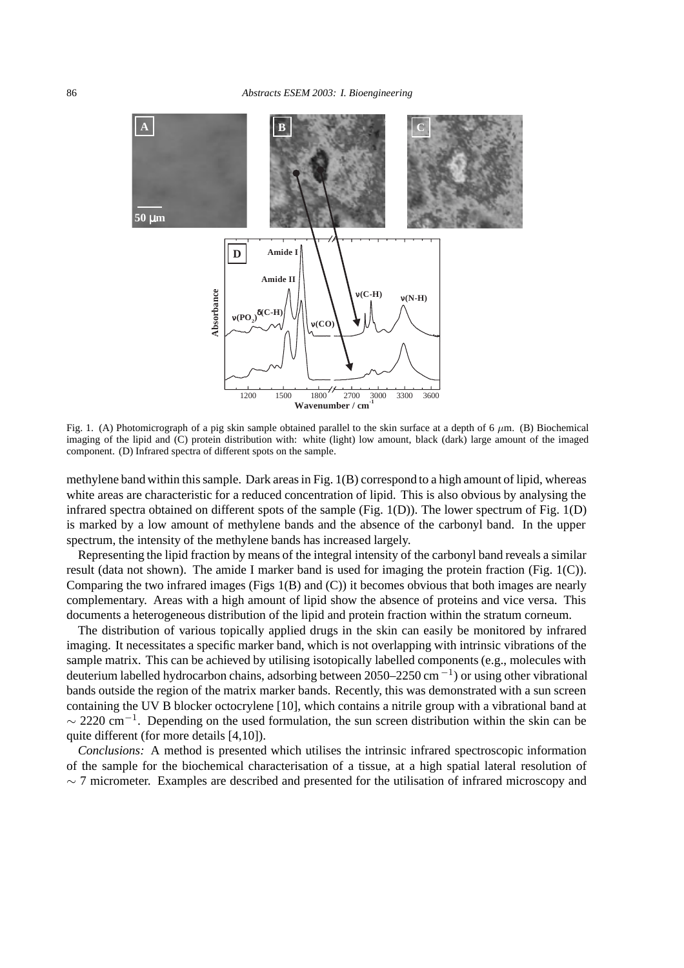

Fig. 1. (A) Photomicrograph of a pig skin sample obtained parallel to the skin surface at a depth of 6  $\mu$ m. (B) Biochemical imaging of the lipid and (C) protein distribution with: white (light) low amount, black (dark) large amount of the imaged component. (D) Infrared spectra of different spots on the sample.

methylene band within this sample. Dark areas in Fig. 1(B) correspond to a high amount of lipid, whereas white areas are characteristic for a reduced concentration of lipid. This is also obvious by analysing the infrared spectra obtained on different spots of the sample (Fig. 1(D)). The lower spectrum of Fig. 1(D) is marked by a low amount of methylene bands and the absence of the carbonyl band. In the upper spectrum, the intensity of the methylene bands has increased largely.

Representing the lipid fraction by means of the integral intensity of the carbonyl band reveals a similar result (data not shown). The amide I marker band is used for imaging the protein fraction (Fig. 1(C)). Comparing the two infrared images (Figs 1(B) and (C)) it becomes obvious that both images are nearly complementary. Areas with a high amount of lipid show the absence of proteins and vice versa. This documents a heterogeneous distribution of the lipid and protein fraction within the stratum corneum.

The distribution of various topically applied drugs in the skin can easily be monitored by infrared imaging. It necessitates a specific marker band, which is not overlapping with intrinsic vibrations of the sample matrix. This can be achieved by utilising isotopically labelled components (e.g., molecules with deuterium labelled hydrocarbon chains, adsorbing between 2050–2250 cm<sup>-1</sup>) or using other vibrational bands outside the region of the matrix marker bands. Recently, this was demonstrated with a sun screen containing the UV B blocker octocrylene [10], which contains a nitrile group with a vibrational band at  $\sim$  2220 cm<sup>-1</sup>. Depending on the used formulation, the sun screen distribution within the skin can be quite different (for more details [4,10]).

*Conclusions:* A method is presented which utilises the intrinsic infrared spectroscopic information of the sample for the biochemical characterisation of a tissue, at a high spatial lateral resolution of  $\sim$  7 micrometer. Examples are described and presented for the utilisation of infrared microscopy and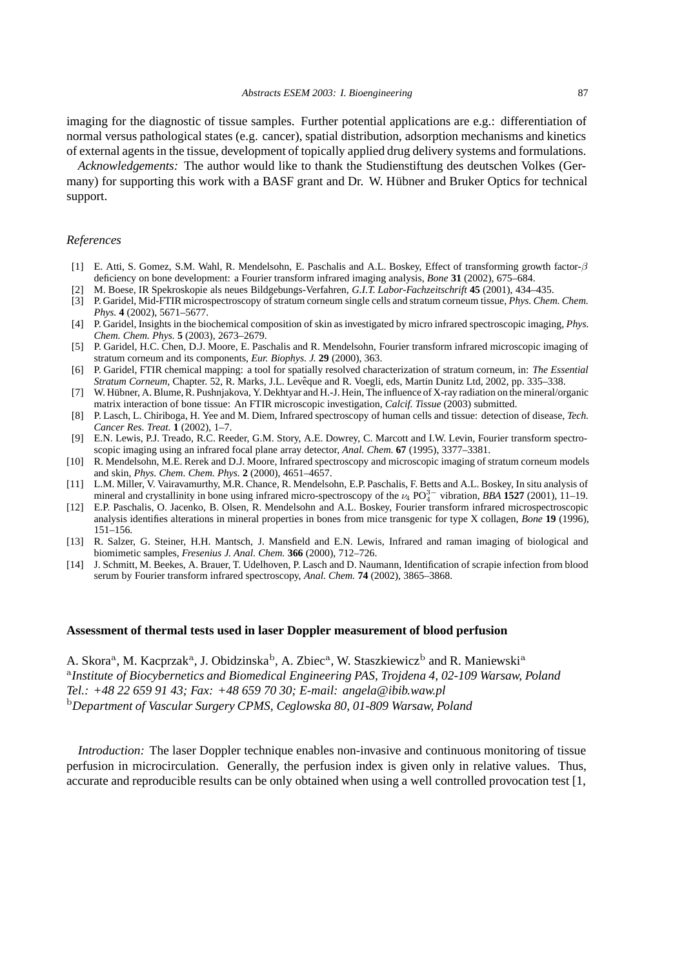imaging for the diagnostic of tissue samples. Further potential applications are e.g.: differentiation of normal versus pathological states (e.g. cancer), spatial distribution, adsorption mechanisms and kinetics of external agents in the tissue, development of topically applied drug delivery systems and formulations.

*Acknowledgements:* The author would like to thank the Studienstiftung des deutschen Volkes (Germany) for supporting this work with a BASF grant and Dr. W. Hübner and Bruker Optics for technical support.

# *References*

- [1] E. Atti, S. Gomez, S.M. Wahl, R. Mendelsohn, E. Paschalis and A.L. Boskey, Effect of transforming growth factor-β deficiency on bone development: a Fourier transform infrared imaging analysis, *Bone* **31** (2002), 675–684.
- [2] M. Boese, IR Spekroskopie als neues Bildgebungs-Verfahren, *G.I.T. Labor-Fachzeitschrift* **45** (2001), 434–435.
- [3] P. Garidel, Mid-FTIR microspectroscopy of stratum corneum single cells and stratum corneum tissue, *Phys. Chem. Chem. Phys.* **4** (2002), 5671–5677.
- [4] P. Garidel, Insights in the biochemical composition of skin as investigated by micro infrared spectroscopic imaging, *Phys. Chem. Chem. Phys.* **5** (2003), 2673–2679.
- [5] P. Garidel, H.C. Chen, D.J. Moore, E. Paschalis and R. Mendelsohn, Fourier transform infrared microscopic imaging of stratum corneum and its components, *Eur. Biophys. J.* **29** (2000), 363.
- [6] P. Garidel, FTIR chemical mapping: a tool for spatially resolved characterization of stratum corneum, in: *The Essential Stratum Corneum, Chapter. 52, R. Marks, J.L. Levêque and R. Voegli, eds, Martin Dunitz Ltd, 2002, pp. 335–338.*
- [7] W. Hubner, A. Blume, R. Pushnjakova, Y. Dekhtyar and H.-J. Hein, The influence of X-ray radiation on the mineral/organic ¨ matrix interaction of bone tissue: An FTIR microscopic investigation, *Calcif. Tissue* (2003) submitted.
- [8] P. Lasch, L. Chiriboga, H. Yee and M. Diem, Infrared spectroscopy of human cells and tissue: detection of disease, *Tech. Cancer Res. Treat.* **1** (2002), 1–7.
- [9] E.N. Lewis, P.J. Treado, R.C. Reeder, G.M. Story, A.E. Dowrey, C. Marcott and I.W. Levin, Fourier transform spectroscopic imaging using an infrared focal plane array detector, *Anal. Chem.* **67** (1995), 3377–3381.
- [10] R. Mendelsohn, M.E. Rerek and D.J. Moore, Infrared spectroscopy and microscopic imaging of stratum corneum models and skin, *Phys. Chem. Chem. Phys.* **2** (2000), 4651–4657.
- [11] L.M. Miller, V. Vairavamurthy, M.R. Chance, R. Mendelsohn, E.P. Paschalis, F. Betts and A.L. Boskey, In situ analysis of mineral and crystallinity in bone using infrared micro-spectroscopy of the  $\nu_4$  PO $_4^{3-}$  vibration, *BBA* **1527** (2001), 11–19.
- [12] E.P. Paschalis, O. Jacenko, B. Olsen, R. Mendelsohn and A.L. Boskey, Fourier transform infrared microspectroscopic analysis identifies alterations in mineral properties in bones from mice transgenic for type X collagen, *Bone* **19** (1996), 151–156.
- [13] R. Salzer, G. Steiner, H.H. Mantsch, J. Mansfield and E.N. Lewis, Infrared and raman imaging of biological and biomimetic samples, *Fresenius J. Anal. Chem.* **366** (2000), 712–726.
- [14] J. Schmitt, M. Beekes, A. Brauer, T. Udelhoven, P. Lasch and D. Naumann, Identification of scrapie infection from blood serum by Fourier transform infrared spectroscopy, *Anal. Chem.* **74** (2002), 3865–3868.

#### **Assessment of thermal tests used in laser Doppler measurement of blood perfusion**

A. Skora<sup>a</sup>, M. Kacprzak<sup>a</sup>, J. Obidzinska<sup>b</sup>, A. Zbiec<sup>a</sup>, W. Staszkiewicz<sup>b</sup> and R. Maniewski<sup>a</sup> <sup>a</sup>*Institute of Biocybernetics and Biomedical Engineering PAS, Trojdena 4, 02-109 Warsaw, Poland Tel.: +48 22 659 91 43; Fax: +48 659 70 30; E-mail: angela@ibib.waw.pl* <sup>b</sup>*Department of Vascular Surgery CPMS, Ceglowska 80, 01-809 Warsaw, Poland*

*Introduction:* The laser Doppler technique enables non-invasive and continuous monitoring of tissue perfusion in microcirculation. Generally, the perfusion index is given only in relative values. Thus, accurate and reproducible results can be only obtained when using a well controlled provocation test [1,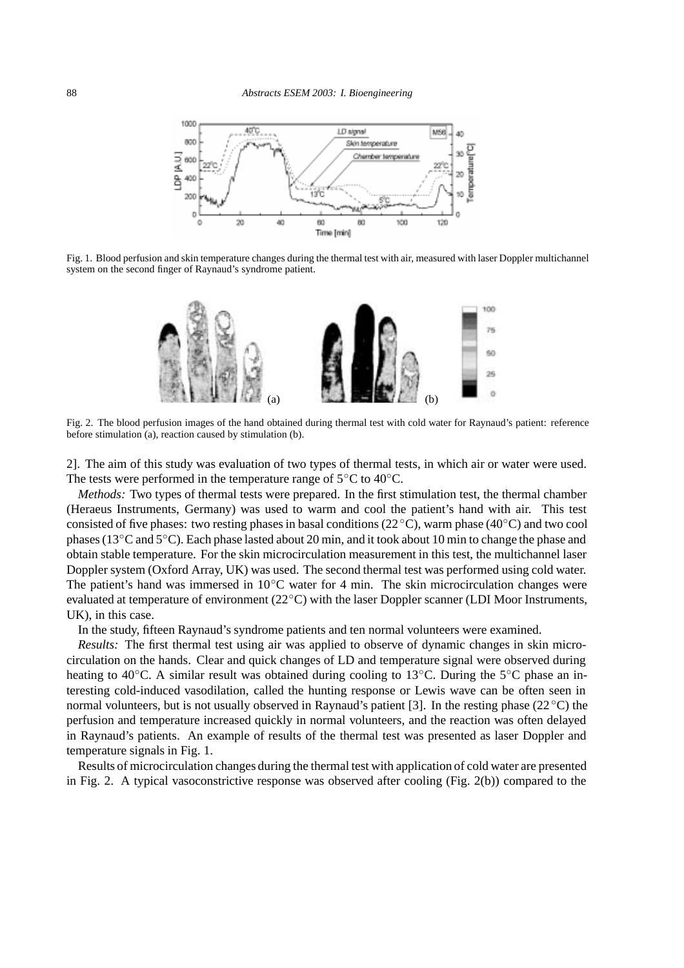

Fig. 1. Blood perfusion and skin temperature changes during the thermal test with air, measured with laser Doppler multichannel system on the second finger of Raynaud's syndrome patient.



Fig. 2. The blood perfusion images of the hand obtained during thermal test with cold water for Raynaud's patient: reference before stimulation (a), reaction caused by stimulation (b).

2]. The aim of this study was evaluation of two types of thermal tests, in which air or water were used. The tests were performed in the temperature range of  $5^{\circ}$ C to 40 $^{\circ}$ C.

*Methods:* Two types of thermal tests were prepared. In the first stimulation test, the thermal chamber (Heraeus Instruments, Germany) was used to warm and cool the patient's hand with air. This test consisted of five phases: two resting phases in basal conditions (22  $\rm{°C}$ ), warm phase (40 $\rm{°C}$ ) and two cool phases (13◦C and 5◦C). Each phase lasted about 20 min, and it took about 10 min to change the phase and obtain stable temperature. For the skin microcirculation measurement in this test, the multichannel laser Doppler system (Oxford Array, UK) was used. The second thermal test was performed using cold water. The patient's hand was immersed in 10◦C water for 4 min. The skin microcirculation changes were evaluated at temperature of environment (22◦C) with the laser Doppler scanner (LDI Moor Instruments, UK), in this case.

In the study, fifteen Raynaud's syndrome patients and ten normal volunteers were examined.

*Results:* The first thermal test using air was applied to observe of dynamic changes in skin microcirculation on the hands. Clear and quick changes of LD and temperature signal were observed during heating to 40°C. A similar result was obtained during cooling to 13°C. During the 5°C phase an interesting cold-induced vasodilation, called the hunting response or Lewis wave can be often seen in normal volunteers, but is not usually observed in Raynaud's patient [3]. In the resting phase (22 $\degree$ C) the perfusion and temperature increased quickly in normal volunteers, and the reaction was often delayed in Raynaud's patients. An example of results of the thermal test was presented as laser Doppler and temperature signals in Fig. 1.

Results of microcirculation changes during the thermal test with application of cold water are presented in Fig. 2. A typical vasoconstrictive response was observed after cooling (Fig. 2(b)) compared to the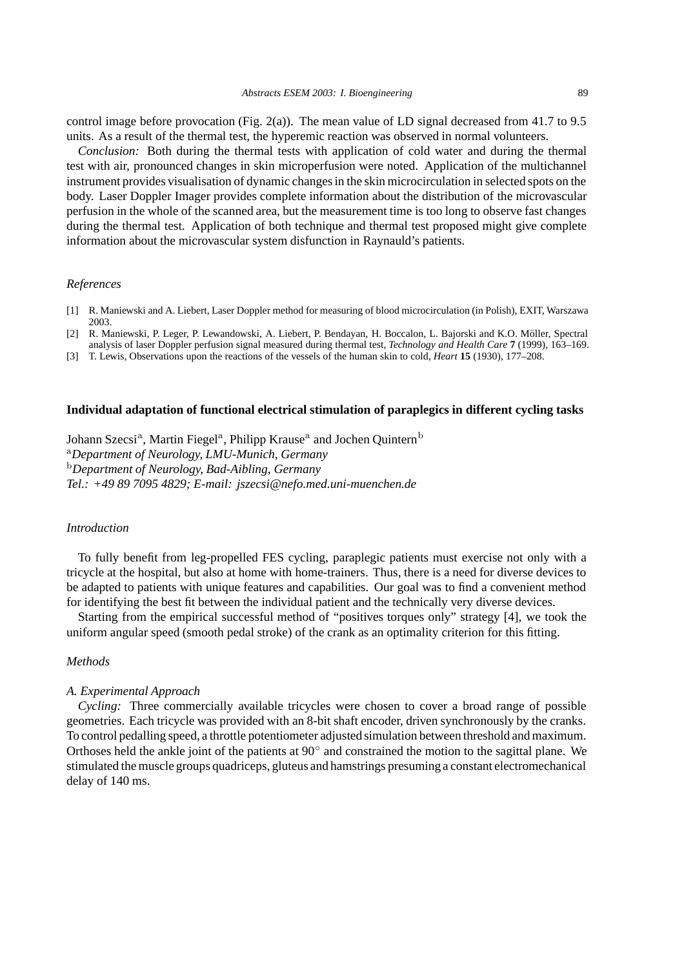control image before provocation (Fig. 2(a)). The mean value of LD signal decreased from 41.7 to 9.5 units. As a result of the thermal test, the hyperemic reaction was observed in normal volunteers.

*Conclusion:* Both during the thermal tests with application of cold water and during the thermal test with air, pronounced changes in skin microperfusion were noted. Application of the multichannel instrument provides visualisation of dynamic changes in the skin microcirculation in selected spots on the body. Laser Doppler Imager provides complete information about the distribution of the microvascular perfusion in the whole of the scanned area, but the measurement time is too long to observe fast changes during the thermal test. Application of both technique and thermal test proposed might give complete information about the microvascular system disfunction in Raynauld's patients.

# *References*

- [1] R. Maniewski and A. Liebert, Laser Doppler method for measuring of blood microcirculation (in Polish), EXIT, Warszawa 2003.
- [2] R. Maniewski, P. Leger, P. Lewandowski, A. Liebert, P. Bendayan, H. Boccalon, L. Bajorski and K.O. Moller, Spectral ¨ analysis of laser Doppler perfusion signal measured during thermal test, *Technology and Health Care* **7** (1999), 163–169.
- [3] T. Lewis, Observations upon the reactions of the vessels of the human skin to cold, *Heart* **15** (1930), 177–208.

#### **Individual adaptation of functional electrical stimulation of paraplegics in different cycling tasks**

Johann Szecsi<sup>a</sup>, Martin Fiegel<sup>a</sup>, Philipp Krause<sup>a</sup> and Jochen Quintern<sup>b</sup> <sup>a</sup>*Department of Neurology, LMU-Munich, Germany* <sup>b</sup>*Department of Neurology, Bad-Aibling, Germany Tel.: +49 89 7095 4829; E-mail: jszecsi@nefo.med.uni-muenchen.de*

### *Introduction*

To fully benefit from leg-propelled FES cycling, paraplegic patients must exercise not only with a tricycle at the hospital, but also at home with home-trainers. Thus, there is a need for diverse devices to be adapted to patients with unique features and capabilities. Our goal was to find a convenient method for identifying the best fit between the individual patient and the technically very diverse devices.

Starting from the empirical successful method of "positives torques only" strategy [4], we took the uniform angular speed (smooth pedal stroke) of the crank as an optimality criterion for this fitting.

#### *Methods*

# *A. Experimental Approach*

*Cycling:* Three commercially available tricycles were chosen to cover a broad range of possible geometries. Each tricycle was provided with an 8-bit shaft encoder, driven synchronously by the cranks. To control pedalling speed, a throttle potentiometer adjusted simulation between threshold and maximum. Orthoses held the ankle joint of the patients at  $90°$  and constrained the motion to the sagittal plane. We stimulated the muscle groups quadriceps, gluteus and hamstrings presuming a constant electromechanical delay of 140 ms.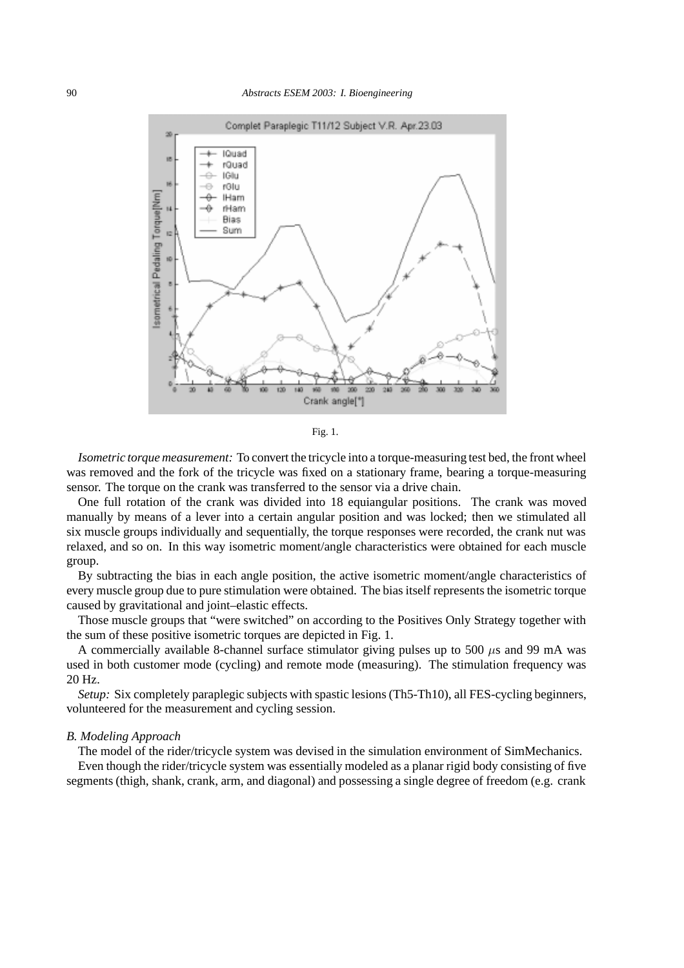

Fig. 1.

*Isometric torque measurement:* To convert the tricycle into a torque-measuring test bed, the front wheel was removed and the fork of the tricycle was fixed on a stationary frame, bearing a torque-measuring sensor. The torque on the crank was transferred to the sensor via a drive chain.

One full rotation of the crank was divided into 18 equiangular positions. The crank was moved manually by means of a lever into a certain angular position and was locked; then we stimulated all six muscle groups individually and sequentially, the torque responses were recorded, the crank nut was relaxed, and so on. In this way isometric moment/angle characteristics were obtained for each muscle group.

By subtracting the bias in each angle position, the active isometric moment/angle characteristics of every muscle group due to pure stimulation were obtained. The bias itself represents the isometric torque caused by gravitational and joint–elastic effects.

Those muscle groups that "were switched" on according to the Positives Only Strategy together with the sum of these positive isometric torques are depicted in Fig. 1.

A commercially available 8-channel surface stimulator giving pulses up to 500  $\mu$ s and 99 mA was used in both customer mode (cycling) and remote mode (measuring). The stimulation frequency was 20 Hz.

*Setup:* Six completely paraplegic subjects with spastic lesions (Th5-Th10), all FES-cycling beginners, volunteered for the measurement and cycling session.

#### *B. Modeling Approach*

The model of the rider/tricycle system was devised in the simulation environment of SimMechanics.

Even though the rider/tricycle system was essentially modeled as a planar rigid body consisting of five segments (thigh, shank, crank, arm, and diagonal) and possessing a single degree of freedom (e.g. crank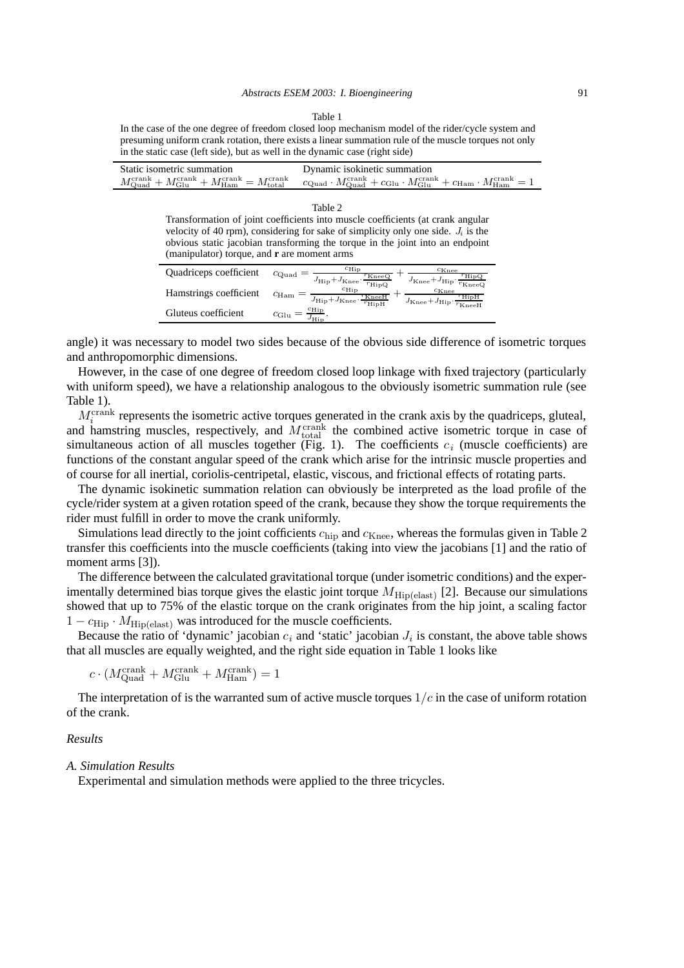Table 1

In the case of the one degree of freedom closed loop mechanism model of the rider/cycle system and presuming uniform crank rotation, there exists a linear summation rule of the muscle torques not only in the static case (left side), but as well in the dynamic case (right side)

| Static isometric summation | Dynamic isokinetic summation                                                                                                                                                                                                                           |
|----------------------------|--------------------------------------------------------------------------------------------------------------------------------------------------------------------------------------------------------------------------------------------------------|
|                            | $M_{\rm Quad}^{\rm crash}+M_{\rm Glu}^{\rm crash}+M_{\rm Ham}^{\rm rank}=M_{\rm total}^{\rm crash}$ $c_{\rm Quad} \cdot M_{\rm Quad}^{\rm crash}+c_{\rm Glu} \cdot M_{\rm Glu}^{\rm crash}+c_{\rm Ham}$<br>$\mathcal{M}_{\text{Ham}}^{\text{crank}}$ - |

#### Table 2

Transformation of joint coefficients into muscle coefficients (at crank angular velocity of 40 rpm), considering for sake of simplicity only one side. J*<sup>i</sup>* is the obvious static jacobian transforming the torque in the joint into an endpoint (manipulator) torque, and **r** are moment arms

| Quadriceps coefficient | $c_{\text{Hip}}$<br>$c_{Knee}$<br>$c_{\text{Quad}} =$<br>$r_{\rm KneeQ}$<br>HipQ<br>$J_{\rm Hip} + J_{\rm Knee}$ .<br>$J_{\text{Knee}}+J_{\text{Hip}}\cdot \frac{1}{r_{\text{KneeQ}}}$<br>$r_{\rm{HipO}}$         |
|------------------------|-------------------------------------------------------------------------------------------------------------------------------------------------------------------------------------------------------------------|
| Hamstrings coefficient | $c_{\rm{Hip}}$<br>$c_{\rm Knee}$<br>$c_{\text{Ham}}$<br>$J_{\text{Knee}} + J_{\text{Hip}} \cdot \frac{r_{\text{HipH}}}{r_{\text{KneeH}}}$<br>$r_{\rm KneeH}$<br>$J_{\rm Hip} + J_{\rm Knee}$ .<br>$r_{\rm{HipH}}$ |
| Gluteus coefficient    | $=\frac{c_{\text{Hip}}}{J_{\text{Hip}}}$<br>$c_{\mathrm{Glu}}$                                                                                                                                                    |

angle) it was necessary to model two sides because of the obvious side difference of isometric torques and anthropomorphic dimensions.

However, in the case of one degree of freedom closed loop linkage with fixed trajectory (particularly with uniform speed), we have a relationship analogous to the obviously isometric summation rule (see Table 1).

 $M_i^{\text{crank}}$  represents the isometric active torques generated in the crank axis by the quadriceps, gluteal, and hamstring muscles, respectively, and  $M_{\rm total}^{\rm trank}$  the combined active isometric torque in case of simultaneous action of all muscles together (Fig. 1). The coefficients  $c_i$  (muscle coefficients) are functions of the constant angular speed of the crank which arise for the intrinsic muscle properties and of course for all inertial, coriolis-centripetal, elastic, viscous, and frictional effects of rotating parts.

The dynamic isokinetic summation relation can obviously be interpreted as the load profile of the cycle/rider system at a given rotation speed of the crank, because they show the torque requirements the rider must fulfill in order to move the crank uniformly.

Simulations lead directly to the joint cofficients  $c_{\text{hip}}$  and  $c_{\text{Knee}}$ , whereas the formulas given in Table 2 transfer this coefficients into the muscle coefficients (taking into view the jacobians [1] and the ratio of moment arms [3]).

The difference between the calculated gravitational torque (under isometric conditions) and the experimentally determined bias torque gives the elastic joint torque  $M_{\text{Hip}(elast)}$  [2]. Because our simulations showed that up to 75% of the elastic torque on the crank originates from the hip joint, a scaling factor  $1 - c_{\text{Hip}} \cdot M_{\text{Hip}(elast)}$  was introduced for the muscle coefficients.

Because the ratio of 'dynamic' jacobian  $c_i$  and 'static' jacobian  $J_i$  is constant, the above table shows that all muscles are equally weighted, and the right side equation in Table 1 looks like

$$
c \cdot (M_{\rm Quad}^{\rm crash} + M_{\rm Glu}^{\rm crash} + M_{\rm Ham}^{\rm crash}) = 1
$$

The interpretation of is the warranted sum of active muscle torques  $1/c$  in the case of uniform rotation of the crank.

#### *Results*

#### *A. Simulation Results*

Experimental and simulation methods were applied to the three tricycles.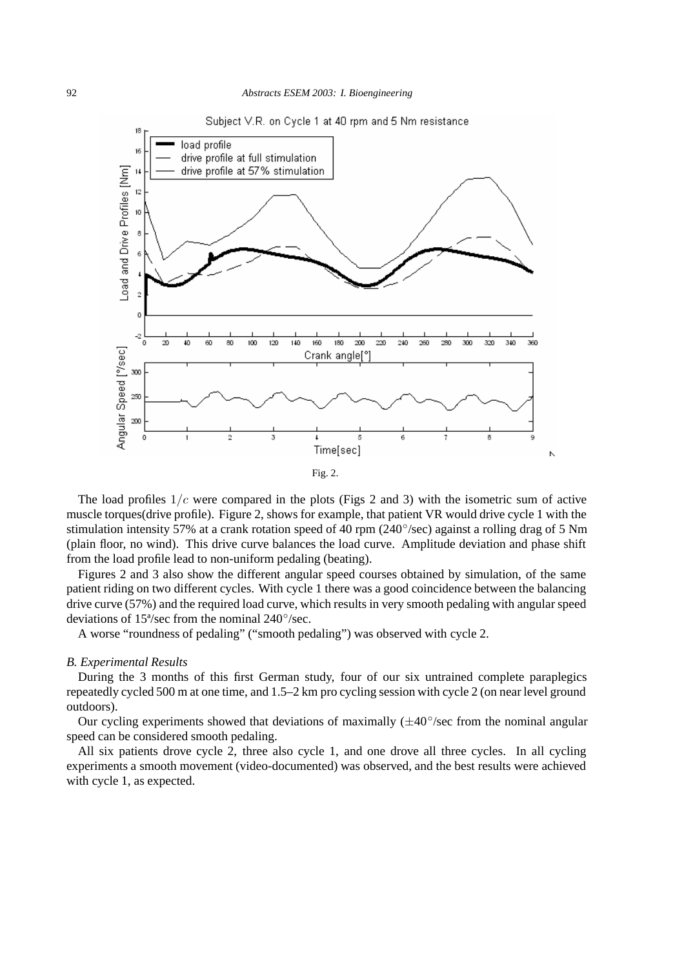

The load profiles  $1/c$  were compared in the plots (Figs 2 and 3) with the isometric sum of active muscle torques(drive profile). Figure 2, shows for example, that patient VR would drive cycle 1 with the stimulation intensity 57% at a crank rotation speed of 40 rpm (240°/sec) against a rolling drag of 5 Nm (plain floor, no wind). This drive curve balances the load curve. Amplitude deviation and phase shift from the load profile lead to non-uniform pedaling (beating).

Figures 2 and 3 also show the different angular speed courses obtained by simulation, of the same patient riding on two different cycles. With cycle 1 there was a good coincidence between the balancing drive curve (57%) and the required load curve, which results in very smooth pedaling with angular speed deviations of 15ª/sec from the nominal 240◦/sec.

A worse "roundness of pedaling" ("smooth pedaling") was observed with cycle 2.

#### *B. Experimental Results*

During the 3 months of this first German study, four of our six untrained complete paraplegics repeatedly cycled 500 m at one time, and 1.5–2 km pro cycling session with cycle 2 (on near level ground outdoors).

Our cycling experiments showed that deviations of maximally  $(\pm 40\degree/\text{sec}$  from the nominal angular speed can be considered smooth pedaling.

All six patients drove cycle 2, three also cycle 1, and one drove all three cycles. In all cycling experiments a smooth movement (video-documented) was observed, and the best results were achieved with cycle 1, as expected.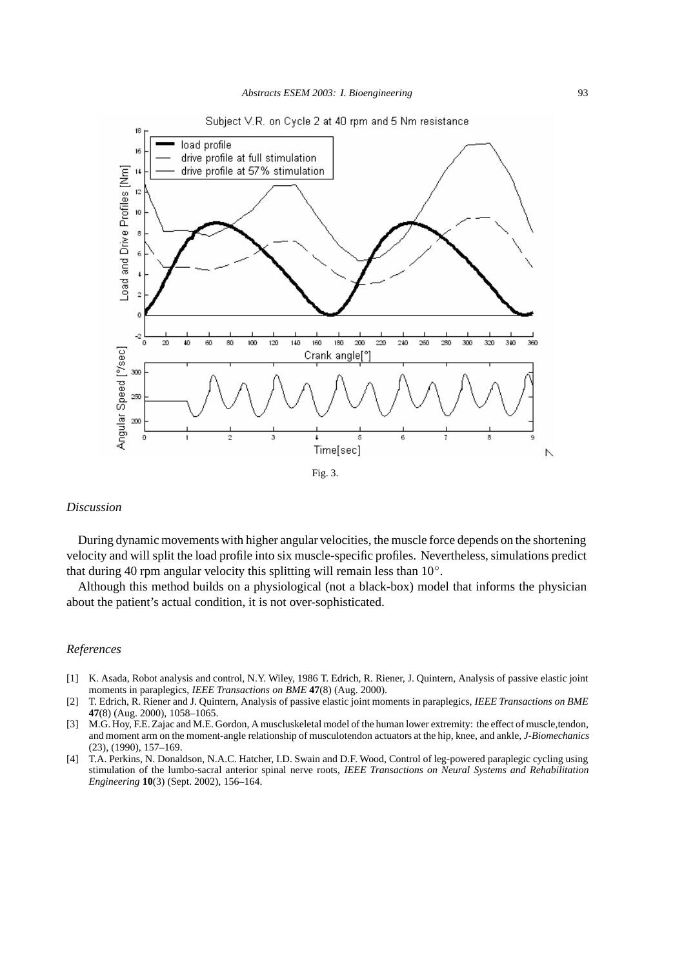

#### *Discussion*

During dynamic movements with higher angular velocities, the muscle force depends on the shortening velocity and will split the load profile into six muscle-specific profiles. Nevertheless, simulations predict that during 40 rpm angular velocity this splitting will remain less than 10◦.

Although this method builds on a physiological (not a black-box) model that informs the physician about the patient's actual condition, it is not over-sophisticated.

# *References*

- [1] K. Asada, Robot analysis and control, N.Y. Wiley, 1986 T. Edrich, R. Riener, J. Quintern, Analysis of passive elastic joint moments in paraplegics, *IEEE Transactions on BME* **47**(8) (Aug. 2000).
- [2] T. Edrich, R. Riener and J. Quintern, Analysis of passive elastic joint moments in paraplegics, *IEEE Transactions on BME* **47**(8) (Aug. 2000), 1058–1065.
- [3] M.G. Hoy, F.E. Zajac and M.E. Gordon, A muscluskeletal model of the human lower extremity: the effect of muscle,tendon, and moment arm on the moment-angle relationship of musculotendon actuators at the hip, knee, and ankle, *J-Biomechanics* (23), (1990), 157–169.
- [4] T.A. Perkins, N. Donaldson, N.A.C. Hatcher, I.D. Swain and D.F. Wood, Control of leg-powered paraplegic cycling using stimulation of the lumbo-sacral anterior spinal nerve roots, *IEEE Transactions on Neural Systems and Rehabilitation Engineering* **10**(3) (Sept. 2002), 156–164.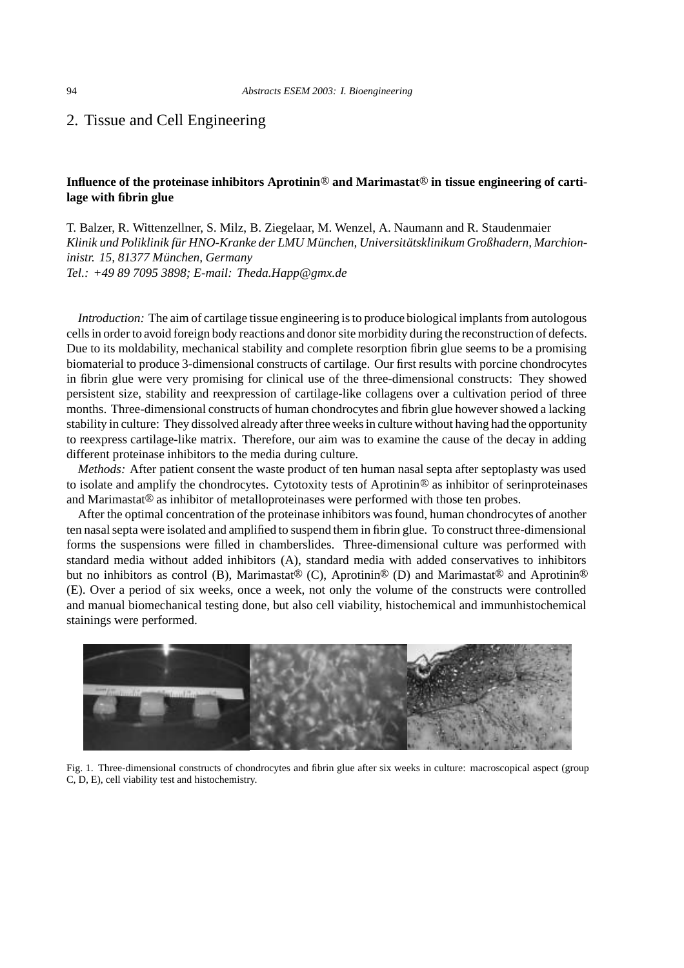# 2. Tissue and Cell Engineering

# Influence of the proteinase inhibitors Aprotinin<sup>®</sup> and Marimastat<sup>®</sup> in tissue engineering of carti**lage with fibrin glue**

T. Balzer, R. Wittenzellner, S. Milz, B. Ziegelaar, M. Wenzel, A. Naumann and R. Staudenmaier *Klinik und Poliklinik fur HNO-Kranke der LMU M ¨ unchen, Universit ¨ atsklinikum Großhadern, Marchion- ¨ inistr. 15, 81377 Munchen, Germany ¨ Tel.: +49 89 7095 3898; E-mail: Theda.Happ@gmx.de*

*Introduction:* The aim of cartilage tissue engineering is to produce biological implants from autologous cells in order to avoid foreign body reactions and donor site morbidity during the reconstruction of defects. Due to its moldability, mechanical stability and complete resorption fibrin glue seems to be a promising biomaterial to produce 3-dimensional constructs of cartilage. Our first results with porcine chondrocytes in fibrin glue were very promising for clinical use of the three-dimensional constructs: They showed persistent size, stability and reexpression of cartilage-like collagens over a cultivation period of three months. Three-dimensional constructs of human chondrocytes and fibrin glue however showed a lacking stability in culture: They dissolved already after three weeks in culture without having had the opportunity to reexpress cartilage-like matrix. Therefore, our aim was to examine the cause of the decay in adding different proteinase inhibitors to the media during culture.

*Methods:* After patient consent the waste product of ten human nasal septa after septoplasty was used to isolate and amplify the chondrocytes. Cytotoxity tests of Aprotinin<sup>®</sup> as inhibitor of serinproteinases and Marimastat  $\&$  as inhibitor of metalloproteinases were performed with those ten probes.

After the optimal concentration of the proteinase inhibitors was found, human chondrocytes of another ten nasal septa were isolated and amplified to suspend them in fibrin glue. To construct three-dimensional forms the suspensions were filled in chamberslides. Three-dimensional culture was performed with standard media without added inhibitors (A), standard media with added conservatives to inhibitors but no inhibitors as control (B), Marimastat® (C), Aprotinin® (D) and Marimastat® and Aprotinin® (E). Over a period of six weeks, once a week, not only the volume of the constructs were controlled and manual biomechanical testing done, but also cell viability, histochemical and immunhistochemical stainings were performed.



Fig. 1. Three-dimensional constructs of chondrocytes and fibrin glue after six weeks in culture: macroscopical aspect (group C, D, E), cell viability test and histochemistry.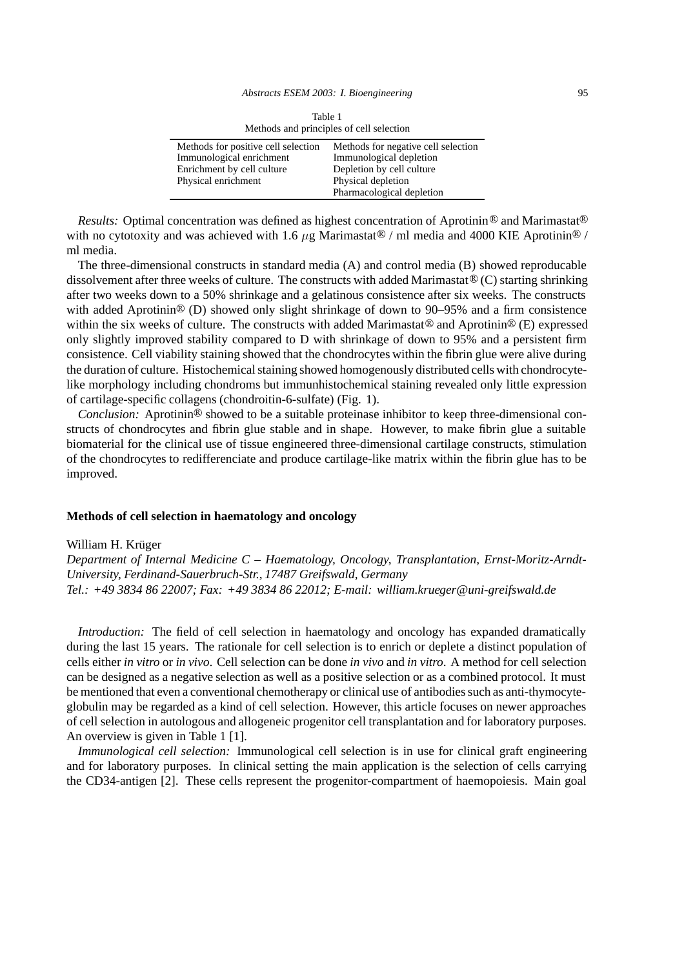| Abstracts ESEM 2003: I. Bioengineering |  |
|----------------------------------------|--|
|----------------------------------------|--|

| Table 1<br>Methods and principles of cell selection                                                                  |                                                                                                                                                |  |  |
|----------------------------------------------------------------------------------------------------------------------|------------------------------------------------------------------------------------------------------------------------------------------------|--|--|
| Methods for positive cell selection<br>Immunological enrichment<br>Enrichment by cell culture<br>Physical enrichment | Methods for negative cell selection<br>Immunological depletion<br>Depletion by cell culture<br>Physical depletion<br>Pharmacological depletion |  |  |

*Results:* Optimal concentration was defined as highest concentration of Aprotinin  $\mathbb{R}$  and Marimastat  $\mathbb{R}$ with no cytotoxity and was achieved with 1.6  $\mu$ g Marimastat ® / ml media and 4000 KIE Aprotinin ® / ml media.

The three-dimensional constructs in standard media (A) and control media (B) showed reproducable dissolvement after three weeks of culture. The constructs with added Marimastat  $\mathcal{O}(C)$  starting shrinking after two weeks down to a 50% shrinkage and a gelatinous consistence after six weeks. The constructs with added Aprotinin<sup>®</sup> (D) showed only slight shrinkage of down to 90–95% and a firm consistence within the six weeks of culture. The constructs with added Marimastat  $\mathcal{R}$  and Aprotinin  $\mathcal{R}$  (E) expressed only slightly improved stability compared to D with shrinkage of down to 95% and a persistent firm consistence. Cell viability staining showed that the chondrocytes within the fibrin glue were alive during the duration of culture. Histochemical staining showed homogenously distributed cells with chondrocytelike morphology including chondroms but immunhistochemical staining revealed only little expression of cartilage-specific collagens (chondroitin-6-sulfate) (Fig. 1).

*Conclusion:* Aprotinin<sup>®</sup> showed to be a suitable proteinase inhibitor to keep three-dimensional constructs of chondrocytes and fibrin glue stable and in shape. However, to make fibrin glue a suitable biomaterial for the clinical use of tissue engineered three-dimensional cartilage constructs, stimulation of the chondrocytes to redifferenciate and produce cartilage-like matrix within the fibrin glue has to be improved.

#### **Methods of cell selection in haematology and oncology**

#### William H. Krüger

*Department of Internal Medicine C – Haematology, Oncology, Transplantation, Ernst-Moritz-Arndt-University, Ferdinand-Sauerbruch-Str., 17487 Greifswald, Germany Tel.: +49 3834 86 22007; Fax: +49 3834 86 22012; E-mail: william.krueger@uni-greifswald.de*

*Introduction:* The field of cell selection in haematology and oncology has expanded dramatically during the last 15 years. The rationale for cell selection is to enrich or deplete a distinct population of cells either *in vitro* or *in vivo*. Cell selection can be done *in vivo* and *in vitro*. A method for cell selection can be designed as a negative selection as well as a positive selection or as a combined protocol. It must be mentioned that even a conventional chemotherapy or clinical use of antibodies such as anti-thymocyteglobulin may be regarded as a kind of cell selection. However, this article focuses on newer approaches of cell selection in autologous and allogeneic progenitor cell transplantation and for laboratory purposes. An overview is given in Table 1 [1].

*Immunological cell selection:* Immunological cell selection is in use for clinical graft engineering and for laboratory purposes. In clinical setting the main application is the selection of cells carrying the CD34-antigen [2]. These cells represent the progenitor-compartment of haemopoiesis. Main goal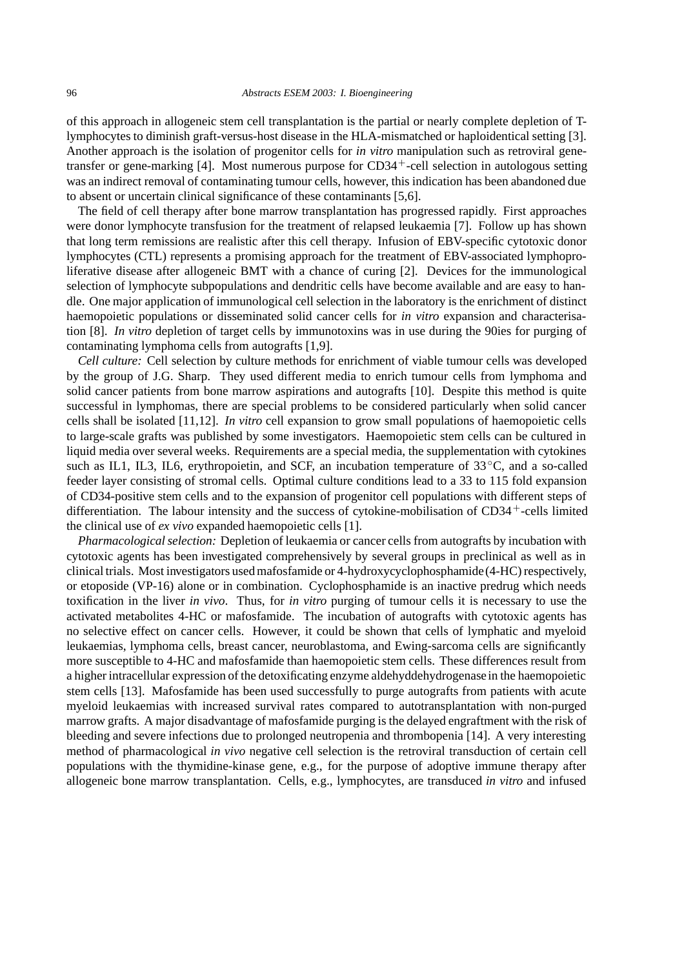of this approach in allogeneic stem cell transplantation is the partial or nearly complete depletion of Tlymphocytes to diminish graft-versus-host disease in the HLA-mismatched or haploidentical setting [3]. Another approach is the isolation of progenitor cells for *in vitro* manipulation such as retroviral genetransfer or gene-marking  $[4]$ . Most numerous purpose for CD34<sup>+</sup>-cell selection in autologous setting was an indirect removal of contaminating tumour cells, however, this indication has been abandoned due to absent or uncertain clinical significance of these contaminants [5,6].

The field of cell therapy after bone marrow transplantation has progressed rapidly. First approaches were donor lymphocyte transfusion for the treatment of relapsed leukaemia [7]. Follow up has shown that long term remissions are realistic after this cell therapy. Infusion of EBV-specific cytotoxic donor lymphocytes (CTL) represents a promising approach for the treatment of EBV-associated lymphoproliferative disease after allogeneic BMT with a chance of curing [2]. Devices for the immunological selection of lymphocyte subpopulations and dendritic cells have become available and are easy to handle. One major application of immunological cell selection in the laboratory is the enrichment of distinct haemopoietic populations or disseminated solid cancer cells for *in vitro* expansion and characterisation [8]. *In vitro* depletion of target cells by immunotoxins was in use during the 90ies for purging of contaminating lymphoma cells from autografts [1,9].

*Cell culture:* Cell selection by culture methods for enrichment of viable tumour cells was developed by the group of J.G. Sharp. They used different media to enrich tumour cells from lymphoma and solid cancer patients from bone marrow aspirations and autografts [10]. Despite this method is quite successful in lymphomas, there are special problems to be considered particularly when solid cancer cells shall be isolated [11,12]. *In vitro* cell expansion to grow small populations of haemopoietic cells to large-scale grafts was published by some investigators. Haemopoietic stem cells can be cultured in liquid media over several weeks. Requirements are a special media, the supplementation with cytokines such as IL1, IL3, IL6, erythropoietin, and SCF, an incubation temperature of 33<sup>°</sup>C, and a so-called feeder layer consisting of stromal cells. Optimal culture conditions lead to a 33 to 115 fold expansion of CD34-positive stem cells and to the expansion of progenitor cell populations with different steps of differentiation. The labour intensity and the success of cytokine-mobilisation of CD34<sup>+</sup>-cells limited the clinical use of *ex vivo* expanded haemopoietic cells [1].

*Pharmacological selection:* Depletion of leukaemia or cancer cells from autografts by incubation with cytotoxic agents has been investigated comprehensively by several groups in preclinical as well as in clinical trials. Most investigators used mafosfamide or 4-hydroxycyclophosphamide(4-HC) respectively, or etoposide (VP-16) alone or in combination. Cyclophosphamide is an inactive predrug which needs toxification in the liver *in vivo*. Thus, for *in vitro* purging of tumour cells it is necessary to use the activated metabolites 4-HC or mafosfamide. The incubation of autografts with cytotoxic agents has no selective effect on cancer cells. However, it could be shown that cells of lymphatic and myeloid leukaemias, lymphoma cells, breast cancer, neuroblastoma, and Ewing-sarcoma cells are significantly more susceptible to 4-HC and mafosfamide than haemopoietic stem cells. These differences result from a higher intracellular expression of the detoxificating enzyme aldehyddehydrogenasein the haemopoietic stem cells [13]. Mafosfamide has been used successfully to purge autografts from patients with acute myeloid leukaemias with increased survival rates compared to autotransplantation with non-purged marrow grafts. A major disadvantage of mafosfamide purging is the delayed engraftment with the risk of bleeding and severe infections due to prolonged neutropenia and thrombopenia [14]. A very interesting method of pharmacological *in vivo* negative cell selection is the retroviral transduction of certain cell populations with the thymidine-kinase gene, e.g., for the purpose of adoptive immune therapy after allogeneic bone marrow transplantation. Cells, e.g., lymphocytes, are transduced *in vitro* and infused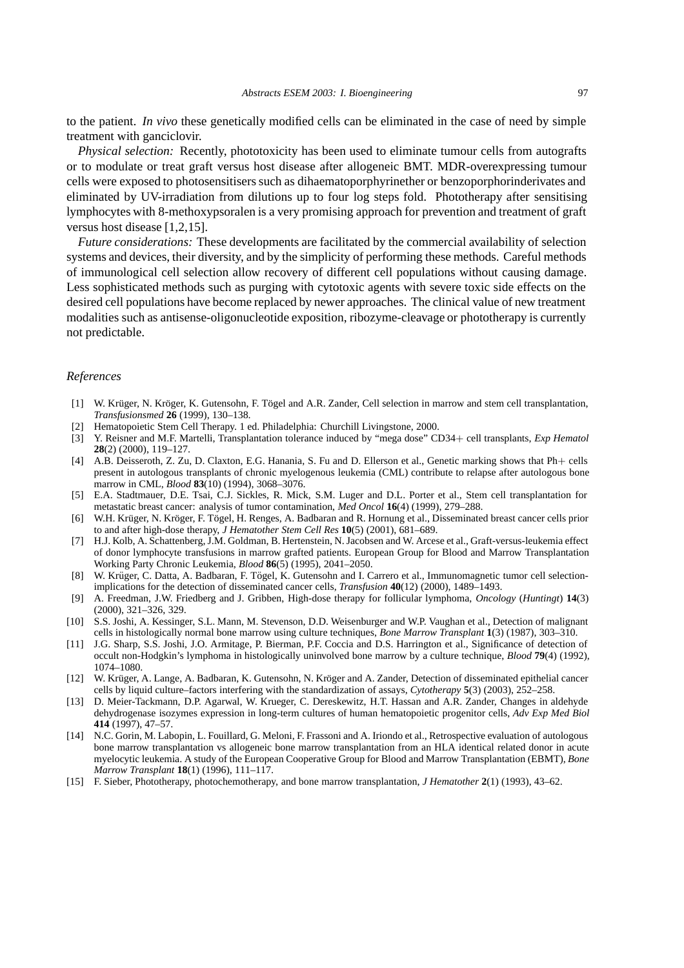to the patient. *In vivo* these genetically modified cells can be eliminated in the case of need by simple treatment with ganciclovir.

*Physical selection:* Recently, phototoxicity has been used to eliminate tumour cells from autografts or to modulate or treat graft versus host disease after allogeneic BMT. MDR-overexpressing tumour cells were exposed to photosensitisers such as dihaematoporphyrinether or benzoporphorinderivates and eliminated by UV-irradiation from dilutions up to four log steps fold. Phototherapy after sensitising lymphocytes with 8-methoxypsoralen is a very promising approach for prevention and treatment of graft versus host disease [1,2,15].

*Future considerations:* These developments are facilitated by the commercial availability of selection systems and devices, their diversity, and by the simplicity of performing these methods. Careful methods of immunological cell selection allow recovery of different cell populations without causing damage. Less sophisticated methods such as purging with cytotoxic agents with severe toxic side effects on the desired cell populations have become replaced by newer approaches. The clinical value of new treatment modalities such as antisense-oligonucleotide exposition, ribozyme-cleavage or phototherapy is currently not predictable.

#### *References*

- [1] W. Krüger, N. Kröger, K. Gutensohn, F. Tögel and A.R. Zander, Cell selection in marrow and stem cell transplantation, *Transfusionsmed* **26** (1999), 130–138.
- [2] Hematopoietic Stem Cell Therapy. 1 ed. Philadelphia: Churchill Livingstone, 2000.
- [3] Y. Reisner and M.F. Martelli, Transplantation tolerance induced by "mega dose" CD34+ cell transplants, *Exp Hematol* **28**(2) (2000), 119–127.
- [4] A.B. Deisseroth, Z. Zu, D. Claxton, E.G. Hanania, S. Fu and D. Ellerson et al., Genetic marking shows that Ph+ cells present in autologous transplants of chronic myelogenous leukemia (CML) contribute to relapse after autologous bone marrow in CML, *Blood* **83**(10) (1994), 3068–3076.
- [5] E.A. Stadtmauer, D.E. Tsai, C.J. Sickles, R. Mick, S.M. Luger and D.L. Porter et al., Stem cell transplantation for metastatic breast cancer: analysis of tumor contamination, *Med Oncol* **16**(4) (1999), 279–288.
- [6] W.H. Krüger, N. Kröger, F. Tögel, H. Renges, A. Badbaran and R. Hornung et al., Disseminated breast cancer cells prior to and after high-dose therapy, *J Hematother Stem Cell Res* **10**(5) (2001), 681–689.
- [7] H.J. Kolb, A. Schattenberg, J.M. Goldman, B. Hertenstein, N. Jacobsen and W. Arcese et al., Graft-versus-leukemia effect of donor lymphocyte transfusions in marrow grafted patients. European Group for Blood and Marrow Transplantation Working Party Chronic Leukemia, *Blood* **86**(5) (1995), 2041–2050.
- [8] W. Krüger, C. Datta, A. Badbaran, F. Tögel, K. Gutensohn and I. Carrero et al., Immunomagnetic tumor cell selectionimplications for the detection of disseminated cancer cells, *Transfusion* **40**(12) (2000), 1489–1493.
- [9] A. Freedman, J.W. Friedberg and J. Gribben, High-dose therapy for follicular lymphoma, *Oncology* (*Huntingt*) **14**(3) (2000), 321–326, 329.
- [10] S.S. Joshi, A. Kessinger, S.L. Mann, M. Stevenson, D.D. Weisenburger and W.P. Vaughan et al., Detection of malignant cells in histologically normal bone marrow using culture techniques, *Bone Marrow Transplant* **1**(3) (1987), 303–310.
- [11] J.G. Sharp, S.S. Joshi, J.O. Armitage, P. Bierman, P.F. Coccia and D.S. Harrington et al., Significance of detection of occult non-Hodgkin's lymphoma in histologically uninvolved bone marrow by a culture technique, *Blood* **79**(4) (1992), 1074–1080.
- [12] W. Krüger, A. Lange, A. Badbaran, K. Gutensohn, N. Kröger and A. Zander, Detection of disseminated epithelial cancer cells by liquid culture–factors interfering with the standardization of assays, *Cytotherapy* **5**(3) (2003), 252–258.
- [13] D. Meier-Tackmann, D.P. Agarwal, W. Krueger, C. Dereskewitz, H.T. Hassan and A.R. Zander, Changes in aldehyde dehydrogenase isozymes expression in long-term cultures of human hematopoietic progenitor cells, *Adv Exp Med Biol* **414** (1997), 47–57.
- [14] N.C. Gorin, M. Labopin, L. Fouillard, G. Meloni, F. Frassoni and A. Iriondo et al., Retrospective evaluation of autologous bone marrow transplantation vs allogeneic bone marrow transplantation from an HLA identical related donor in acute myelocytic leukemia. A study of the European Cooperative Group for Blood and Marrow Transplantation (EBMT), *Bone Marrow Transplant* **18**(1) (1996), 111–117.
- [15] F. Sieber, Phototherapy, photochemotherapy, and bone marrow transplantation, *J Hematother* **2**(1) (1993), 43–62.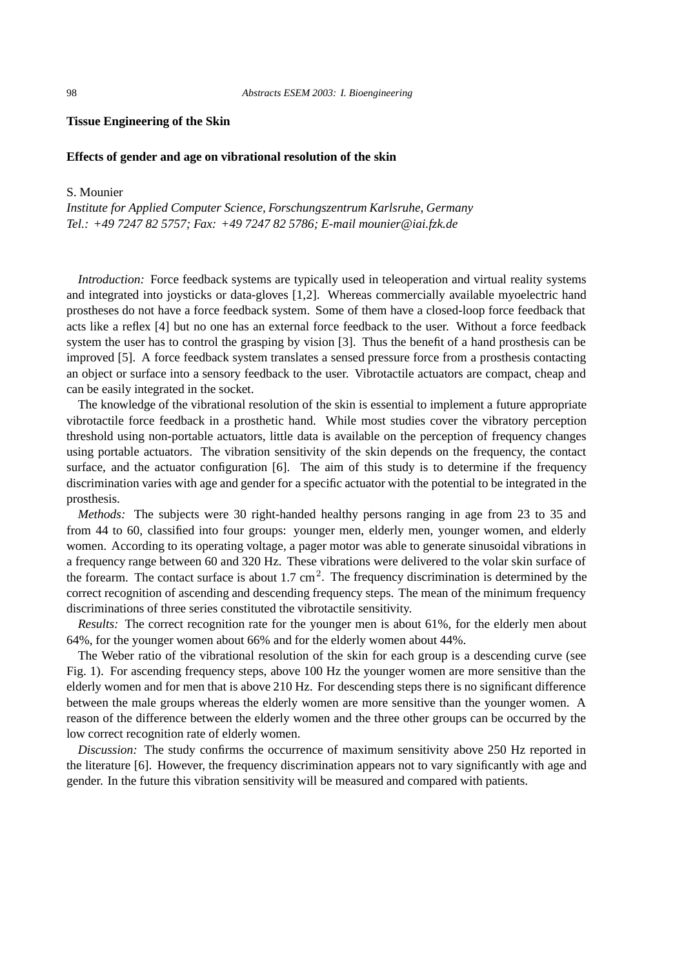#### **Tissue Engineering of the Skin**

#### **Effects of gender and age on vibrational resolution of the skin**

#### S. Mounier

*Institute for Applied Computer Science, Forschungszentrum Karlsruhe, Germany Tel.: +49 7247 82 5757; Fax: +49 7247 82 5786; E-mail mounier@iai.fzk.de*

*Introduction:* Force feedback systems are typically used in teleoperation and virtual reality systems and integrated into joysticks or data-gloves [1,2]. Whereas commercially available myoelectric hand prostheses do not have a force feedback system. Some of them have a closed-loop force feedback that acts like a reflex [4] but no one has an external force feedback to the user. Without a force feedback system the user has to control the grasping by vision [3]. Thus the benefit of a hand prosthesis can be improved [5]. A force feedback system translates a sensed pressure force from a prosthesis contacting an object or surface into a sensory feedback to the user. Vibrotactile actuators are compact, cheap and can be easily integrated in the socket.

The knowledge of the vibrational resolution of the skin is essential to implement a future appropriate vibrotactile force feedback in a prosthetic hand. While most studies cover the vibratory perception threshold using non-portable actuators, little data is available on the perception of frequency changes using portable actuators. The vibration sensitivity of the skin depends on the frequency, the contact surface, and the actuator configuration [6]. The aim of this study is to determine if the frequency discrimination varies with age and gender for a specific actuator with the potential to be integrated in the prosthesis.

*Methods:* The subjects were 30 right-handed healthy persons ranging in age from 23 to 35 and from 44 to 60, classified into four groups: younger men, elderly men, younger women, and elderly women. According to its operating voltage, a pager motor was able to generate sinusoidal vibrations in a frequency range between 60 and 320 Hz. These vibrations were delivered to the volar skin surface of the forearm. The contact surface is about  $1.7 \text{ cm}^2$ . The frequency discrimination is determined by the correct recognition of ascending and descending frequency steps. The mean of the minimum frequency discriminations of three series constituted the vibrotactile sensitivity.

*Results:* The correct recognition rate for the younger men is about 61%, for the elderly men about 64%, for the younger women about 66% and for the elderly women about 44%.

The Weber ratio of the vibrational resolution of the skin for each group is a descending curve (see Fig. 1). For ascending frequency steps, above 100 Hz the younger women are more sensitive than the elderly women and for men that is above 210 Hz. For descending steps there is no significant difference between the male groups whereas the elderly women are more sensitive than the younger women. A reason of the difference between the elderly women and the three other groups can be occurred by the low correct recognition rate of elderly women.

*Discussion:* The study confirms the occurrence of maximum sensitivity above 250 Hz reported in the literature [6]. However, the frequency discrimination appears not to vary significantly with age and gender. In the future this vibration sensitivity will be measured and compared with patients.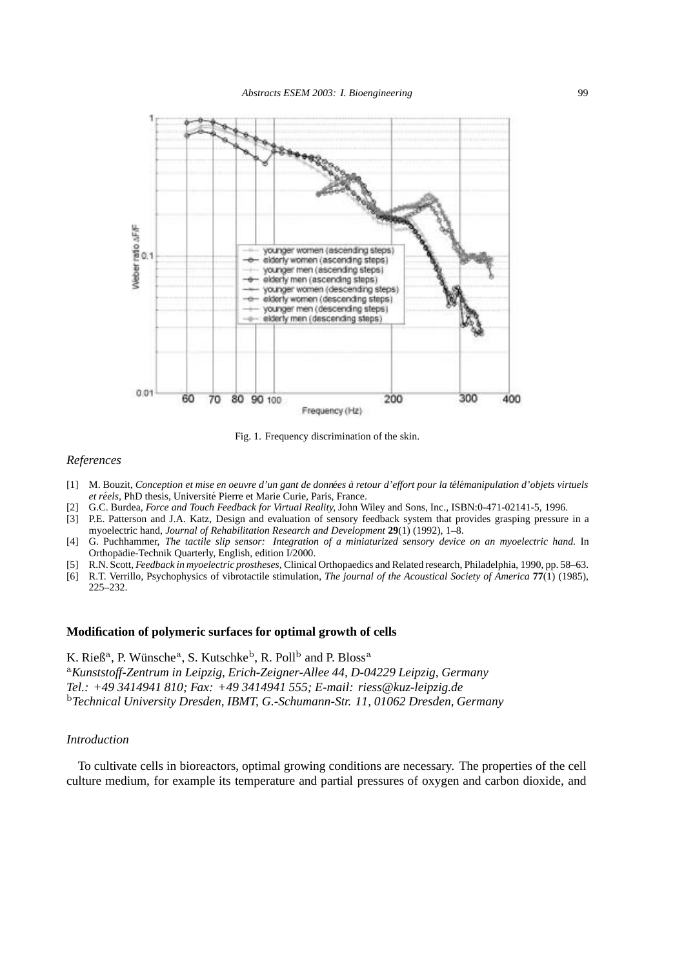

Fig. 1. Frequency discrimination of the skin.

#### *References*

- [1] M. Bouzit, *Conception et mise en oeuvre d'un gant de donnees ´ a retour d'effort pour la t ` el´ emanipulation d'objets virtuels ´ et réels*, PhD thesis, Université Pierre et Marie Curie, Paris, France.
- [2] G.C. Burdea, *Force and Touch Feedback for Virtual Reality,* John Wiley and Sons, Inc., ISBN:0-471-02141-5, 1996.
- [3] P.E. Patterson and J.A. Katz, Design and evaluation of sensory feedback system that provides grasping pressure in a myoelectric hand, *Journal of Rehabilitation Research and Development* **29**(1) (1992), 1–8.
- [4] G. Puchhammer, *The tactile slip sensor: Integration of a miniaturized sensory device on an myoelectric hand.* In Orthopädie-Technik Quarterly, English, edition I/2000.
- [5] R.N. Scott, *Feedback in myoelectric prostheses,* Clinical Orthopaedics and Related research, Philadelphia, 1990, pp. 58–63.
- [6] R.T. Verrillo, Psychophysics of vibrotactile stimulation, *The journal of the Acoustical Society of America* **77**(1) (1985), 225–232.

#### **Modification of polymeric surfaces for optimal growth of cells**

K. Rieß<sup>a</sup>, P. Wünsche<sup>a</sup>, S. Kutschke<sup>b</sup>, R. Poll<sup>b</sup> and P. Bloss<sup>a</sup> <sup>a</sup>*Kunststoff-Zentrum in Leipzig, Erich-Zeigner-Allee 44, D-04229 Leipzig, Germany Tel.: +49 3414941 810; Fax: +49 3414941 555; E-mail: riess@kuz-leipzig.de* <sup>b</sup>*Technical University Dresden, IBMT, G.-Schumann-Str. 11, 01062 Dresden, Germany*

#### *Introduction*

To cultivate cells in bioreactors, optimal growing conditions are necessary. The properties of the cell culture medium, for example its temperature and partial pressures of oxygen and carbon dioxide, and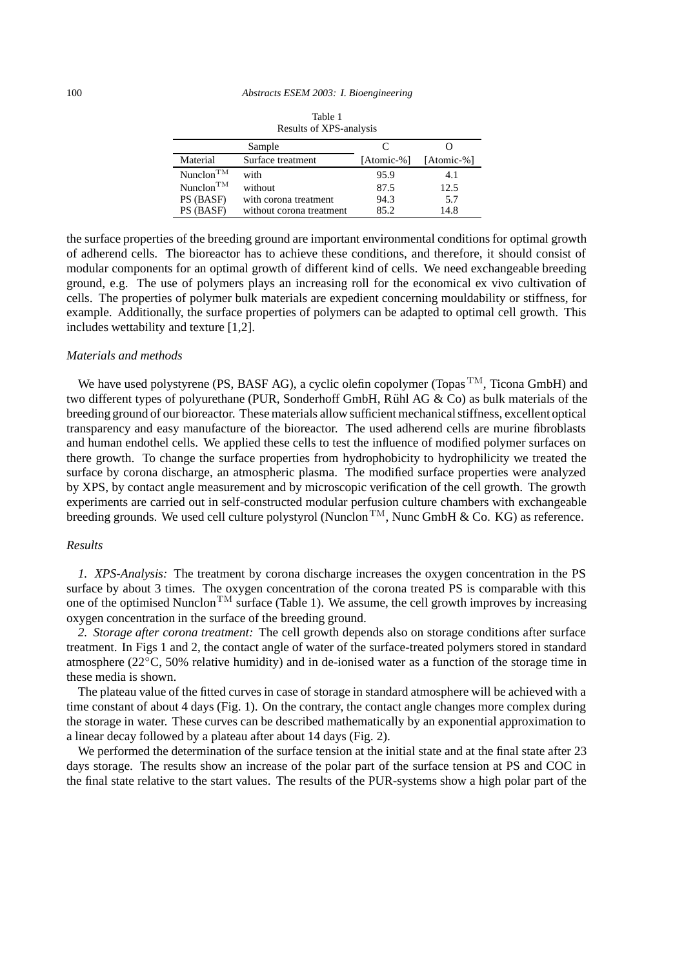| Results of XPS-analysis |                          |            |            |  |  |
|-------------------------|--------------------------|------------|------------|--|--|
| Sample                  |                          |            |            |  |  |
| Material                | Surface treatment        | [Atomic-%] | [Atomic-%] |  |  |
| $Nunch^{TM}$            | with                     | 95.9       | 4.1        |  |  |
| $Nunch^{TM}$            | without                  | 87.5       | 12.5       |  |  |
| PS (BASF)               | with corona treatment    | 94.3       | 5.7        |  |  |
| PS (BASF)               | without corona treatment | 85.2       | 14.8       |  |  |

the surface properties of the breeding ground are important environmental conditions for optimal growth of adherend cells. The bioreactor has to achieve these conditions, and therefore, it should consist of modular components for an optimal growth of different kind of cells. We need exchangeable breeding ground, e.g. The use of polymers plays an increasing roll for the economical ex vivo cultivation of cells. The properties of polymer bulk materials are expedient concerning mouldability or stiffness, for example. Additionally, the surface properties of polymers can be adapted to optimal cell growth. This includes wettability and texture [1,2].

#### *Materials and methods*

We have used polystyrene (PS, BASF AG), a cyclic olefin copolymer (Topas<sup>TM</sup>, Ticona GmbH) and two different types of polyurethane (PUR, Sonderhoff GmbH, Rühl AG & Co) as bulk materials of the breeding ground of our bioreactor. These materials allow sufficient mechanical stiffness, excellent optical transparency and easy manufacture of the bioreactor. The used adherend cells are murine fibroblasts and human endothel cells. We applied these cells to test the influence of modified polymer surfaces on there growth. To change the surface properties from hydrophobicity to hydrophilicity we treated the surface by corona discharge, an atmospheric plasma. The modified surface properties were analyzed by XPS, by contact angle measurement and by microscopic verification of the cell growth. The growth experiments are carried out in self-constructed modular perfusion culture chambers with exchangeable breeding grounds. We used cell culture polystyrol (Nunclon<sup>TM</sup>, Nunc GmbH & Co. KG) as reference.

#### *Results*

*1. XPS-Analysis:* The treatment by corona discharge increases the oxygen concentration in the PS surface by about 3 times. The oxygen concentration of the corona treated PS is comparable with this one of the optimised Nunclon<sup>TM</sup> surface (Table 1). We assume, the cell growth improves by increasing oxygen concentration in the surface of the breeding ground.

*2. Storage after corona treatment:* The cell growth depends also on storage conditions after surface treatment. In Figs 1 and 2, the contact angle of water of the surface-treated polymers stored in standard atmosphere (22◦C, 50% relative humidity) and in de-ionised water as a function of the storage time in these media is shown.

The plateau value of the fitted curves in case of storage in standard atmosphere will be achieved with a time constant of about 4 days (Fig. 1). On the contrary, the contact angle changes more complex during the storage in water. These curves can be described mathematically by an exponential approximation to a linear decay followed by a plateau after about 14 days (Fig. 2).

We performed the determination of the surface tension at the initial state and at the final state after 23 days storage. The results show an increase of the polar part of the surface tension at PS and COC in the final state relative to the start values. The results of the PUR-systems show a high polar part of the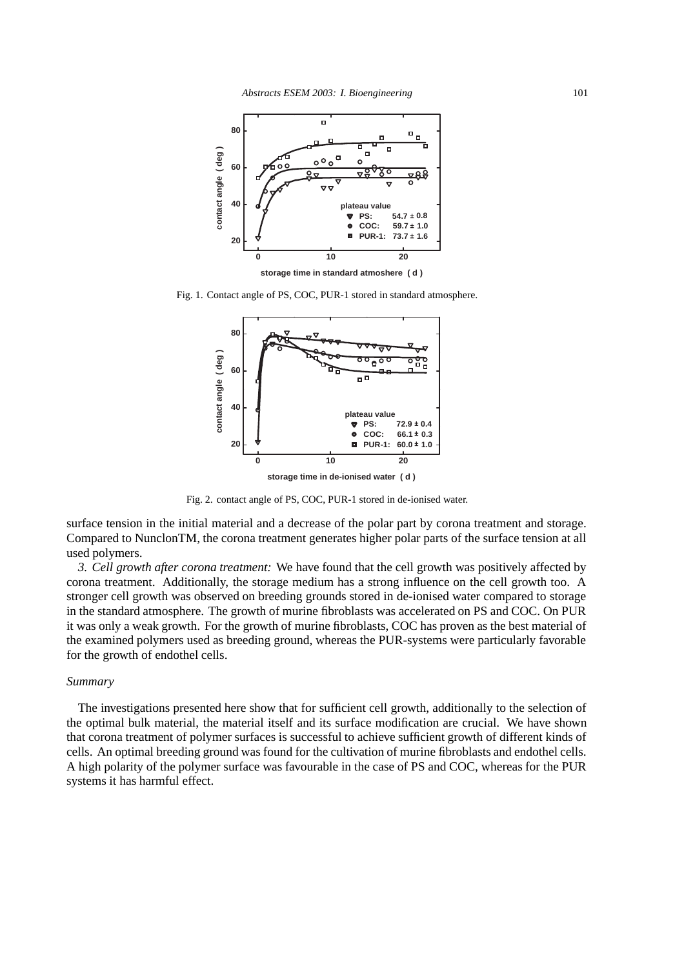

Fig. 1. Contact angle of PS, COC, PUR-1 stored in standard atmosphere.



Fig. 2. contact angle of PS, COC, PUR-1 stored in de-ionised water.

surface tension in the initial material and a decrease of the polar part by corona treatment and storage. Compared to NunclonTM, the corona treatment generates higher polar parts of the surface tension at all used polymers.

*3. Cell growth after corona treatment:* We have found that the cell growth was positively affected by corona treatment. Additionally, the storage medium has a strong influence on the cell growth too. A stronger cell growth was observed on breeding grounds stored in de-ionised water compared to storage in the standard atmosphere. The growth of murine fibroblasts was accelerated on PS and COC. On PUR it was only a weak growth. For the growth of murine fibroblasts, COC has proven as the best material of the examined polymers used as breeding ground, whereas the PUR-systems were particularly favorable for the growth of endothel cells.

# *Summary*

The investigations presented here show that for sufficient cell growth, additionally to the selection of the optimal bulk material, the material itself and its surface modification are crucial. We have shown that corona treatment of polymer surfaces is successful to achieve sufficient growth of different kinds of cells. An optimal breeding ground was found for the cultivation of murine fibroblasts and endothel cells. A high polarity of the polymer surface was favourable in the case of PS and COC, whereas for the PUR systems it has harmful effect.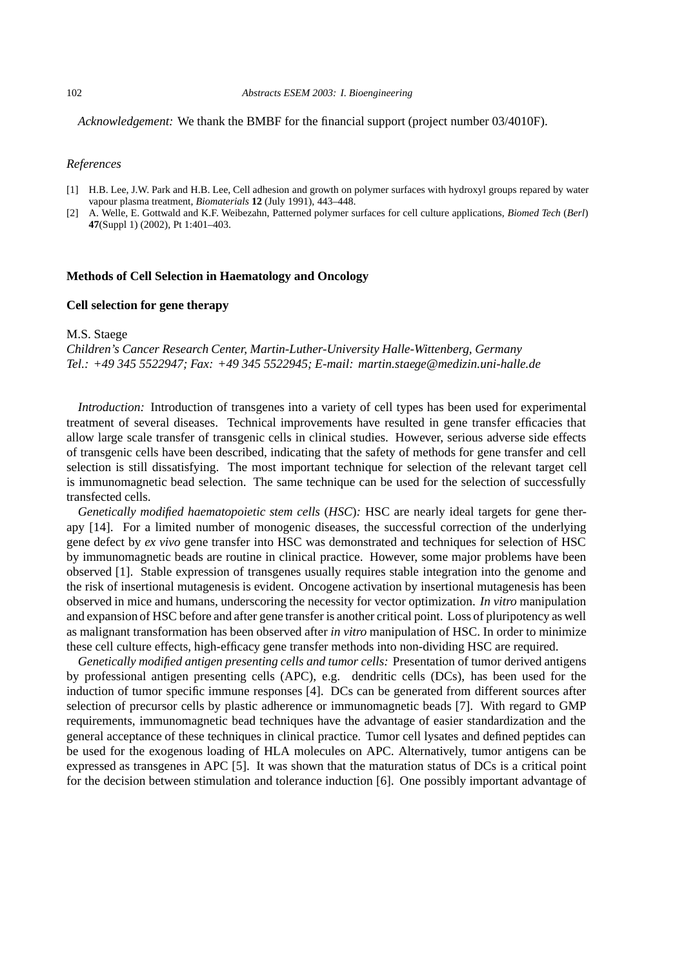*Acknowledgement:* We thank the BMBF for the financial support (project number 03/4010F).

#### *References*

- [1] H.B. Lee, J.W. Park and H.B. Lee, Cell adhesion and growth on polymer surfaces with hydroxyl groups repared by water vapour plasma treatment, *Biomaterials* **12** (July 1991), 443–448.
- [2] A. Welle, E. Gottwald and K.F. Weibezahn, Patterned polymer surfaces for cell culture applications, *Biomed Tech* (*Berl*) **47**(Suppl 1) (2002), Pt 1:401–403.

#### **Methods of Cell Selection in Haematology and Oncology**

# **Cell selection for gene therapy**

#### M.S. Staege

*Children's Cancer Research Center, Martin-Luther-University Halle-Wittenberg, Germany Tel.: +49 345 5522947; Fax: +49 345 5522945; E-mail: martin.staege@medizin.uni-halle.de*

*Introduction:* Introduction of transgenes into a variety of cell types has been used for experimental treatment of several diseases. Technical improvements have resulted in gene transfer efficacies that allow large scale transfer of transgenic cells in clinical studies. However, serious adverse side effects of transgenic cells have been described, indicating that the safety of methods for gene transfer and cell selection is still dissatisfying. The most important technique for selection of the relevant target cell is immunomagnetic bead selection. The same technique can be used for the selection of successfully transfected cells.

*Genetically modified haematopoietic stem cells* (*HSC*)*:* HSC are nearly ideal targets for gene therapy [14]. For a limited number of monogenic diseases, the successful correction of the underlying gene defect by *ex vivo* gene transfer into HSC was demonstrated and techniques for selection of HSC by immunomagnetic beads are routine in clinical practice. However, some major problems have been observed [1]. Stable expression of transgenes usually requires stable integration into the genome and the risk of insertional mutagenesis is evident. Oncogene activation by insertional mutagenesis has been observed in mice and humans, underscoring the necessity for vector optimization. *In vitro* manipulation and expansion of HSC before and after gene transfer is another critical point. Loss of pluripotency as well as malignant transformation has been observed after *in vitro* manipulation of HSC. In order to minimize these cell culture effects, high-efficacy gene transfer methods into non-dividing HSC are required.

*Genetically modified antigen presenting cells and tumor cells:* Presentation of tumor derived antigens by professional antigen presenting cells (APC), e.g. dendritic cells (DCs), has been used for the induction of tumor specific immune responses [4]. DCs can be generated from different sources after selection of precursor cells by plastic adherence or immunomagnetic beads [7]. With regard to GMP requirements, immunomagnetic bead techniques have the advantage of easier standardization and the general acceptance of these techniques in clinical practice. Tumor cell lysates and defined peptides can be used for the exogenous loading of HLA molecules on APC. Alternatively, tumor antigens can be expressed as transgenes in APC [5]. It was shown that the maturation status of DCs is a critical point for the decision between stimulation and tolerance induction [6]. One possibly important advantage of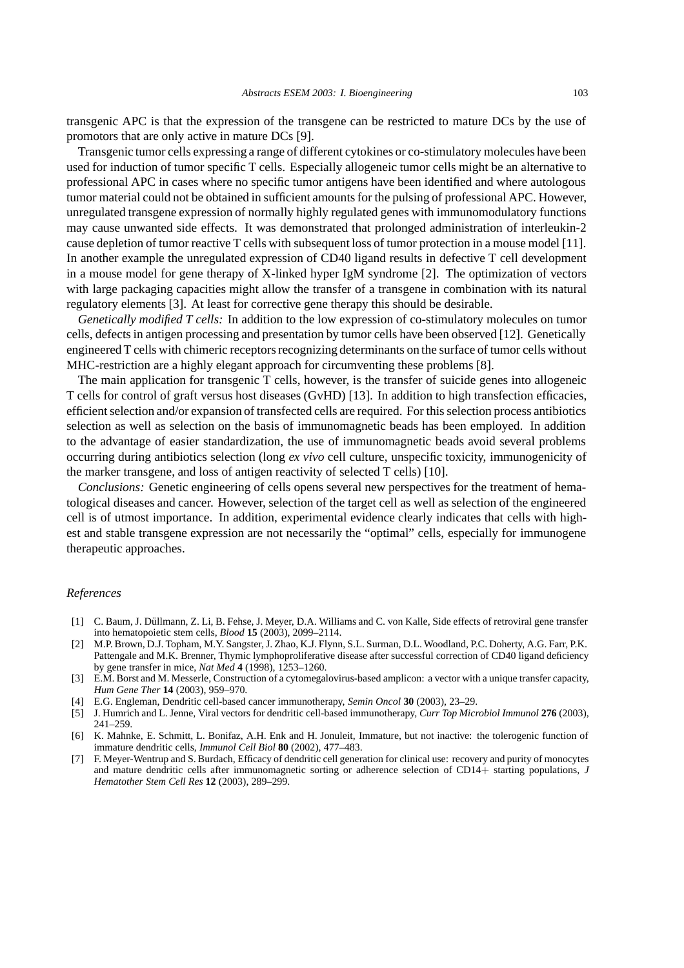transgenic APC is that the expression of the transgene can be restricted to mature DCs by the use of promotors that are only active in mature DCs [9].

Transgenic tumor cells expressing a range of different cytokines or co-stimulatory molecules have been used for induction of tumor specific T cells. Especially allogeneic tumor cells might be an alternative to professional APC in cases where no specific tumor antigens have been identified and where autologous tumor material could not be obtained in sufficient amounts for the pulsing of professional APC. However, unregulated transgene expression of normally highly regulated genes with immunomodulatory functions may cause unwanted side effects. It was demonstrated that prolonged administration of interleukin-2 cause depletion of tumor reactive T cells with subsequent loss of tumor protection in a mouse model [11]. In another example the unregulated expression of CD40 ligand results in defective T cell development in a mouse model for gene therapy of X-linked hyper IgM syndrome [2]. The optimization of vectors with large packaging capacities might allow the transfer of a transgene in combination with its natural regulatory elements [3]. At least for corrective gene therapy this should be desirable.

*Genetically modified T cells:* In addition to the low expression of co-stimulatory molecules on tumor cells, defects in antigen processing and presentation by tumor cells have been observed [12]. Genetically engineered T cells with chimeric receptors recognizing determinants on the surface of tumor cells without MHC-restriction are a highly elegant approach for circumventing these problems [8].

The main application for transgenic T cells, however, is the transfer of suicide genes into allogeneic T cells for control of graft versus host diseases (GvHD) [13]. In addition to high transfection efficacies, efficient selection and/or expansion of transfected cells are required. For this selection process antibiotics selection as well as selection on the basis of immunomagnetic beads has been employed. In addition to the advantage of easier standardization, the use of immunomagnetic beads avoid several problems occurring during antibiotics selection (long *ex vivo* cell culture, unspecific toxicity, immunogenicity of the marker transgene, and loss of antigen reactivity of selected T cells) [10].

*Conclusions:* Genetic engineering of cells opens several new perspectives for the treatment of hematological diseases and cancer. However, selection of the target cell as well as selection of the engineered cell is of utmost importance. In addition, experimental evidence clearly indicates that cells with highest and stable transgene expression are not necessarily the "optimal" cells, especially for immunogene therapeutic approaches.

#### *References*

- [1] C. Baum, J. Dullmann, Z. Li, B. Fehse, J. Meyer, D.A. Williams and C. von Kalle, Side effects of retroviral gene transfer ¨ into hematopoietic stem cells, *Blood* **15** (2003), 2099–2114.
- [2] M.P. Brown, D.J. Topham, M.Y. Sangster, J. Zhao, K.J. Flynn, S.L. Surman, D.L. Woodland, P.C. Doherty, A.G. Farr, P.K. Pattengale and M.K. Brenner, Thymic lymphoproliferative disease after successful correction of CD40 ligand deficiency by gene transfer in mice, *Nat Med* **4** (1998), 1253–1260.
- [3] E.M. Borst and M. Messerle, Construction of a cytomegalovirus-based amplicon: a vector with a unique transfer capacity, *Hum Gene Ther* **14** (2003), 959–970.
- [4] E.G. Engleman, Dendritic cell-based cancer immunotherapy, *Semin Oncol* **30** (2003), 23–29.
- [5] J. Humrich and L. Jenne, Viral vectors for dendritic cell-based immunotherapy, *Curr Top Microbiol Immunol* **276** (2003), 241–259.
- [6] K. Mahnke, E. Schmitt, L. Bonifaz, A.H. Enk and H. Jonuleit, Immature, but not inactive: the tolerogenic function of immature dendritic cells, *Immunol Cell Biol* **80** (2002), 477–483.
- [7] F. Meyer-Wentrup and S. Burdach, Efficacy of dendritic cell generation for clinical use: recovery and purity of monocytes and mature dendritic cells after immunomagnetic sorting or adherence selection of CD14+ starting populations, *J Hematother Stem Cell Res* **12** (2003), 289–299.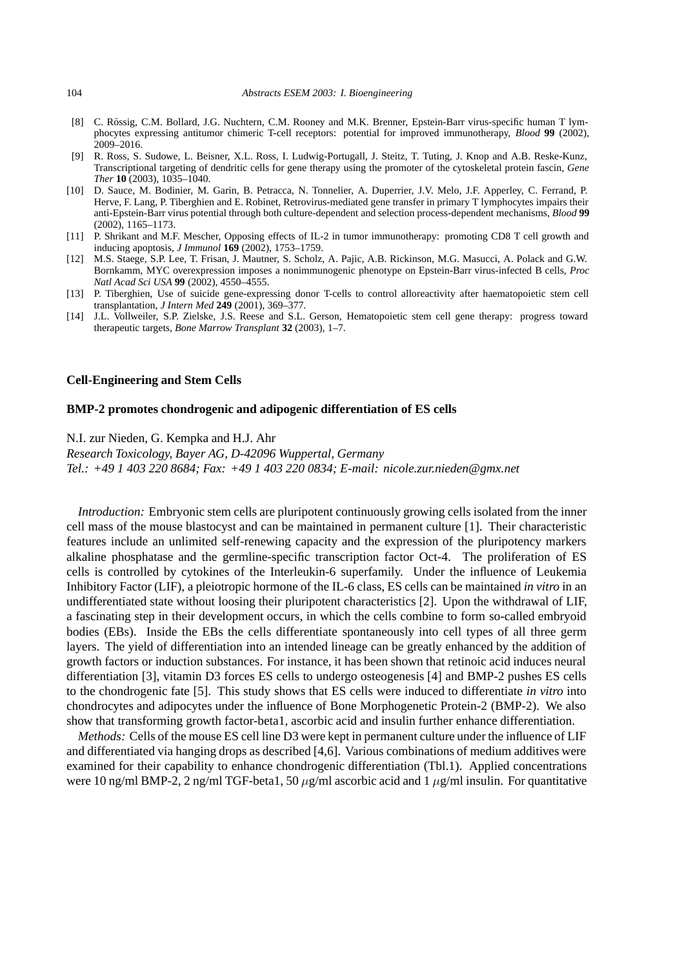- [8] C. Rössig, C.M. Bollard, J.G. Nuchtern, C.M. Rooney and M.K. Brenner, Epstein-Barr virus-specific human T lymphocytes expressing antitumor chimeric T-cell receptors: potential for improved immunotherapy, *Blood* **99** (2002), 2009–2016.
- [9] R. Ross, S. Sudowe, L. Beisner, X.L. Ross, I. Ludwig-Portugall, J. Steitz, T. Tuting, J. Knop and A.B. Reske-Kunz, Transcriptional targeting of dendritic cells for gene therapy using the promoter of the cytoskeletal protein fascin, *Gene Ther* **10** (2003), 1035–1040.
- [10] D. Sauce, M. Bodinier, M. Garin, B. Petracca, N. Tonnelier, A. Duperrier, J.V. Melo, J.F. Apperley, C. Ferrand, P. Herve, F. Lang, P. Tiberghien and E. Robinet, Retrovirus-mediated gene transfer in primary T lymphocytes impairs their anti-Epstein-Barr virus potential through both culture-dependent and selection process-dependent mechanisms, *Blood* **99** (2002), 1165–1173.
- [11] P. Shrikant and M.F. Mescher, Opposing effects of IL-2 in tumor immunotherapy: promoting CD8 T cell growth and inducing apoptosis, *J Immunol* **169** (2002), 1753–1759.
- [12] M.S. Staege, S.P. Lee, T. Frisan, J. Mautner, S. Scholz, A. Pajic, A.B. Rickinson, M.G. Masucci, A. Polack and G.W. Bornkamm, MYC overexpression imposes a nonimmunogenic phenotype on Epstein-Barr virus-infected B cells, *Proc Natl Acad Sci USA* **99** (2002), 4550–4555.
- [13] P. Tiberghien, Use of suicide gene-expressing donor T-cells to control alloreactivity after haematopoietic stem cell transplantation, *J Intern Med* **249** (2001), 369–377.
- [14] J.L. Vollweiler, S.P. Zielske, J.S. Reese and S.L. Gerson, Hematopoietic stem cell gene therapy: progress toward therapeutic targets, *Bone Marrow Transplant* **32** (2003), 1–7.

#### **Cell-Engineering and Stem Cells**

#### **BMP-2 promotes chondrogenic and adipogenic differentiation of ES cells**

N.I. zur Nieden, G. Kempka and H.J. Ahr

*Research Toxicology, Bayer AG, D-42096 Wuppertal, Germany Tel.: +49 1 403 220 8684; Fax: +49 1 403 220 0834; E-mail: nicole.zur.nieden@gmx.net*

*Introduction:* Embryonic stem cells are pluripotent continuously growing cells isolated from the inner cell mass of the mouse blastocyst and can be maintained in permanent culture [1]. Their characteristic features include an unlimited self-renewing capacity and the expression of the pluripotency markers alkaline phosphatase and the germline-specific transcription factor Oct-4. The proliferation of ES cells is controlled by cytokines of the Interleukin-6 superfamily. Under the influence of Leukemia Inhibitory Factor (LIF), a pleiotropic hormone of the IL-6 class, ES cells can be maintained *in vitro* in an undifferentiated state without loosing their pluripotent characteristics [2]. Upon the withdrawal of LIF, a fascinating step in their development occurs, in which the cells combine to form so-called embryoid bodies (EBs). Inside the EBs the cells differentiate spontaneously into cell types of all three germ layers. The yield of differentiation into an intended lineage can be greatly enhanced by the addition of growth factors or induction substances. For instance, it has been shown that retinoic acid induces neural differentiation [3], vitamin D3 forces ES cells to undergo osteogenesis [4] and BMP-2 pushes ES cells to the chondrogenic fate [5]. This study shows that ES cells were induced to differentiate *in vitro* into chondrocytes and adipocytes under the influence of Bone Morphogenetic Protein-2 (BMP-2). We also show that transforming growth factor-beta1, ascorbic acid and insulin further enhance differentiation.

*Methods:* Cells of the mouse ES cell line D3 were kept in permanent culture under the influence of LIF and differentiated via hanging drops as described [4,6]. Various combinations of medium additives were examined for their capability to enhance chondrogenic differentiation (Tbl.1). Applied concentrations were 10 ng/ml BMP-2, 2 ng/ml TGF-beta1, 50  $\mu$ g/ml ascorbic acid and 1  $\mu$ g/ml insulin. For quantitative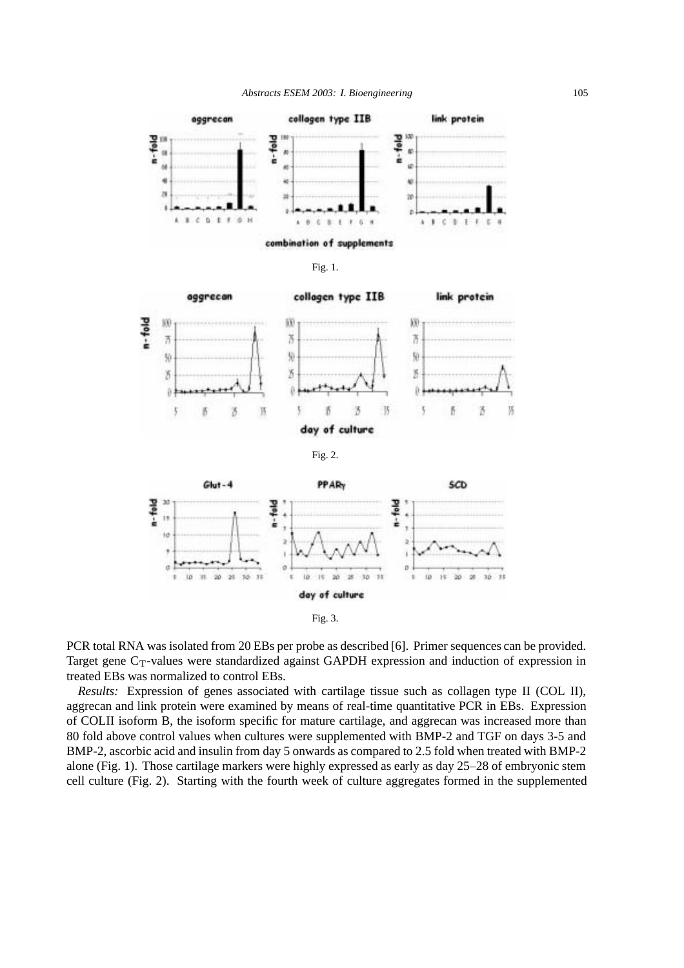









PCR total RNA was isolated from 20 EBs per probe as described [6]. Primer sequences can be provided. Target gene  $C_T$ -values were standardized against GAPDH expression and induction of expression in treated EBs was normalized to control EBs.

*Results:* Expression of genes associated with cartilage tissue such as collagen type II (COL II), aggrecan and link protein were examined by means of real-time quantitative PCR in EBs. Expression of COLII isoform B, the isoform specific for mature cartilage, and aggrecan was increased more than 80 fold above control values when cultures were supplemented with BMP-2 and TGF on days 3-5 and BMP-2, ascorbic acid and insulin from day 5 onwards as compared to 2.5 fold when treated with BMP-2 alone (Fig. 1). Those cartilage markers were highly expressed as early as day 25–28 of embryonic stem cell culture (Fig. 2). Starting with the fourth week of culture aggregates formed in the supplemented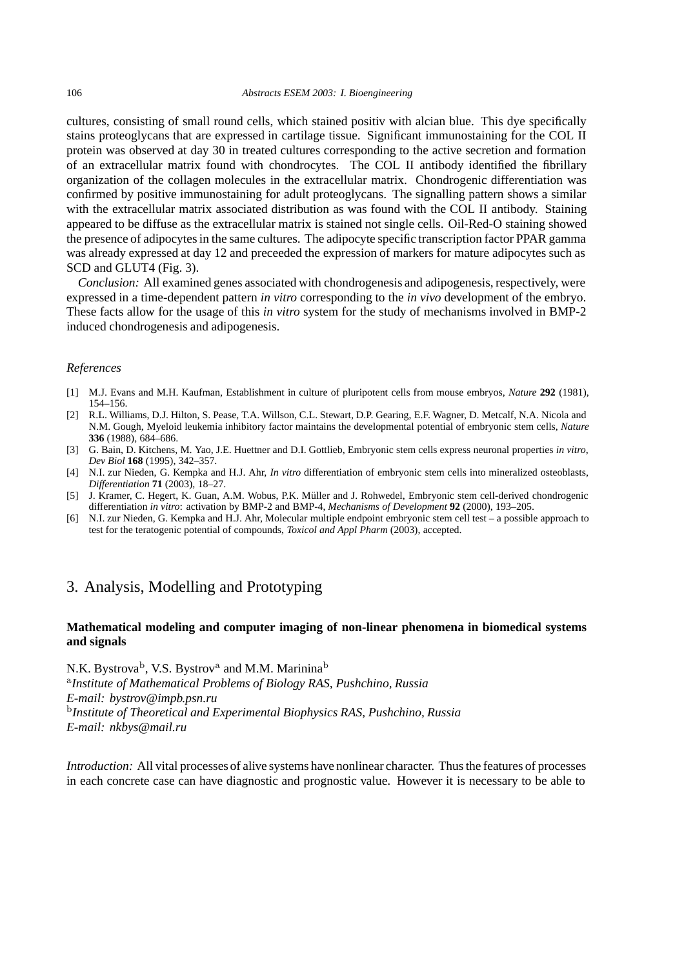cultures, consisting of small round cells, which stained positiv with alcian blue. This dye specifically stains proteoglycans that are expressed in cartilage tissue. Significant immunostaining for the COL II protein was observed at day 30 in treated cultures corresponding to the active secretion and formation of an extracellular matrix found with chondrocytes. The COL II antibody identified the fibrillary organization of the collagen molecules in the extracellular matrix. Chondrogenic differentiation was confirmed by positive immunostaining for adult proteoglycans. The signalling pattern shows a similar with the extracellular matrix associated distribution as was found with the COL II antibody. Staining appeared to be diffuse as the extracellular matrix is stained not single cells. Oil-Red-O staining showed the presence of adipocytes in the same cultures. The adipocyte specific transcription factor PPAR gamma was already expressed at day 12 and preceeded the expression of markers for mature adipocytes such as SCD and GLUT4 (Fig. 3).

*Conclusion:* All examined genes associated with chondrogenesis and adipogenesis, respectively, were expressed in a time-dependent pattern *in vitro* corresponding to the *in vivo* development of the embryo. These facts allow for the usage of this *in vitro* system for the study of mechanisms involved in BMP-2 induced chondrogenesis and adipogenesis.

#### *References*

- [1] M.J. Evans and M.H. Kaufman, Establishment in culture of pluripotent cells from mouse embryos, *Nature* **292** (1981), 154–156.
- [2] R.L. Williams, D.J. Hilton, S. Pease, T.A. Willson, C.L. Stewart, D.P. Gearing, E.F. Wagner, D. Metcalf, N.A. Nicola and N.M. Gough, Myeloid leukemia inhibitory factor maintains the developmental potential of embryonic stem cells, *Nature* **336** (1988), 684–686.
- [3] G. Bain, D. Kitchens, M. Yao, J.E. Huettner and D.I. Gottlieb, Embryonic stem cells express neuronal properties *in vitro*, *Dev Biol* **168** (1995), 342–357.
- [4] N.I. zur Nieden, G. Kempka and H.J. Ahr, *In vitro* differentiation of embryonic stem cells into mineralized osteoblasts, *Differentiation* **71** (2003), 18–27.
- [5] J. Kramer, C. Hegert, K. Guan, A.M. Wobus, P.K. Muller and J. Rohwedel, Embryonic stem cell-derived chondrogenic ¨ differentiation *in vitro*: activation by BMP-2 and BMP-4, *Mechanisms of Development* **92** (2000), 193–205.
- [6] N.I. zur Nieden, G. Kempka and H.J. Ahr, Molecular multiple endpoint embryonic stem cell test a possible approach to test for the teratogenic potential of compounds, *Toxicol and Appl Pharm* (2003), accepted.

# 3. Analysis, Modelling and Prototyping

# **Mathematical modeling and computer imaging of non-linear phenomena in biomedical systems and signals**

N.K. Bystrova<sup>b</sup>, V.S. Bystrov<sup>a</sup> and M.M. Marinina<sup>b</sup> <sup>a</sup>*Institute of Mathematical Problems of Biology RAS, Pushchino, Russia E-mail: bystrov@impb.psn.ru* <sup>b</sup>*Institute of Theoretical and Experimental Biophysics RAS, Pushchino, Russia E-mail: nkbys@mail.ru*

*Introduction:* All vital processes of alive systems have nonlinear character. Thus the features of processes in each concrete case can have diagnostic and prognostic value. However it is necessary to be able to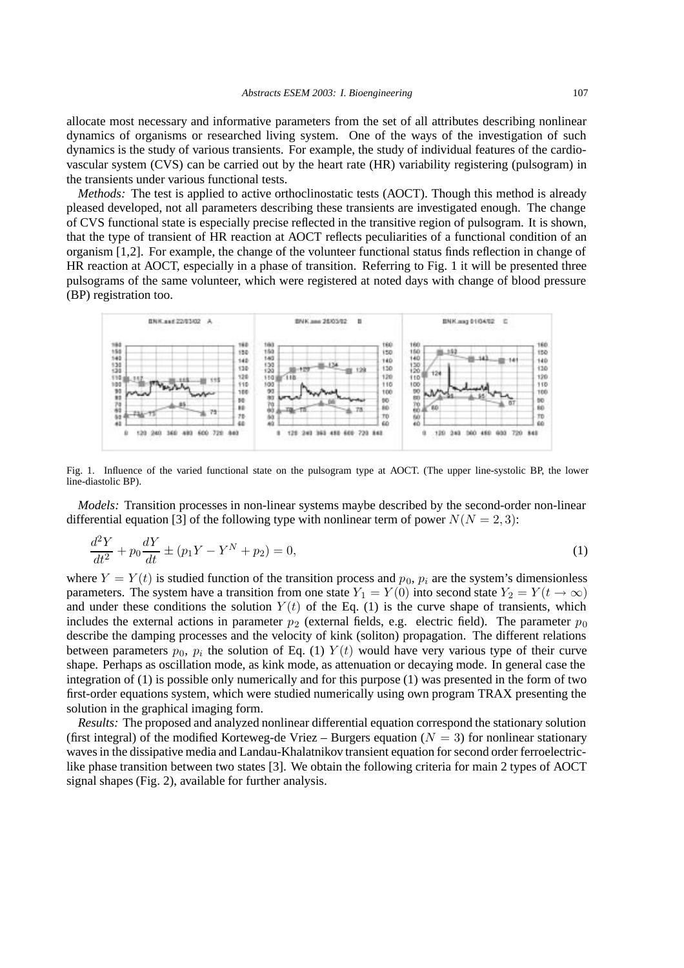allocate most necessary and informative parameters from the set of all attributes describing nonlinear dynamics of organisms or researched living system. One of the ways of the investigation of such dynamics is the study of various transients. For example, the study of individual features of the cardiovascular system (CVS) can be carried out by the heart rate (HR) variability registering (pulsogram) in the transients under various functional tests.

*Methods:* The test is applied to active orthoclinostatic tests (AOCT). Though this method is already pleased developed, not all parameters describing these transients are investigated enough. The change of CVS functional state is especially precise reflected in the transitive region of pulsogram. It is shown, that the type of transient of HR reaction at AOCT reflects peculiarities of a functional condition of an organism [1,2]. For example, the change of the volunteer functional status finds reflection in change of HR reaction at AOCT, especially in a phase of transition. Referring to Fig. 1 it will be presented three pulsograms of the same volunteer, which were registered at noted days with change of blood pressure (BP) registration too.



Fig. 1. Influence of the varied functional state on the pulsogram type at AOCT. (The upper line-systolic BP, the lower line-diastolic BP).

*Models:* Transition processes in non-linear systems maybe described by the second-order non-linear differential equation [3] of the following type with nonlinear term of power  $N(N = 2, 3)$ :

$$
\frac{d^2Y}{dt^2} + p_0 \frac{dY}{dt} \pm (p_1 Y - Y^N + p_2) = 0,\t\t(1)
$$

where  $Y = Y(t)$  is studied function of the transition process and  $p_0$ ,  $p_i$  are the system's dimensionless parameters. The system have a transition from one state  $Y_1 = Y(0)$  into second state  $Y_2 = Y(t \to \infty)$ and under these conditions the solution  $Y(t)$  of the Eq. (1) is the curve shape of transients, which includes the external actions in parameter  $p_2$  (external fields, e.g. electric field). The parameter  $p_0$ describe the damping processes and the velocity of kink (soliton) propagation. The different relations between parameters  $p_0$ ,  $p_i$  the solution of Eq. (1)  $Y(t)$  would have very various type of their curve shape. Perhaps as oscillation mode, as kink mode, as attenuation or decaying mode. In general case the integration of (1) is possible only numerically and for this purpose (1) was presented in the form of two first-order equations system, which were studied numerically using own program TRAX presenting the solution in the graphical imaging form.

*Results:* The proposed and analyzed nonlinear differential equation correspond the stationary solution (first integral) of the modified Korteweg-de Vriez – Burgers equation ( $N = 3$ ) for nonlinear stationary waves in the dissipative media and Landau-Khalatnikov transient equation for second order ferroelectriclike phase transition between two states [3]. We obtain the following criteria for main 2 types of AOCT signal shapes (Fig. 2), available for further analysis.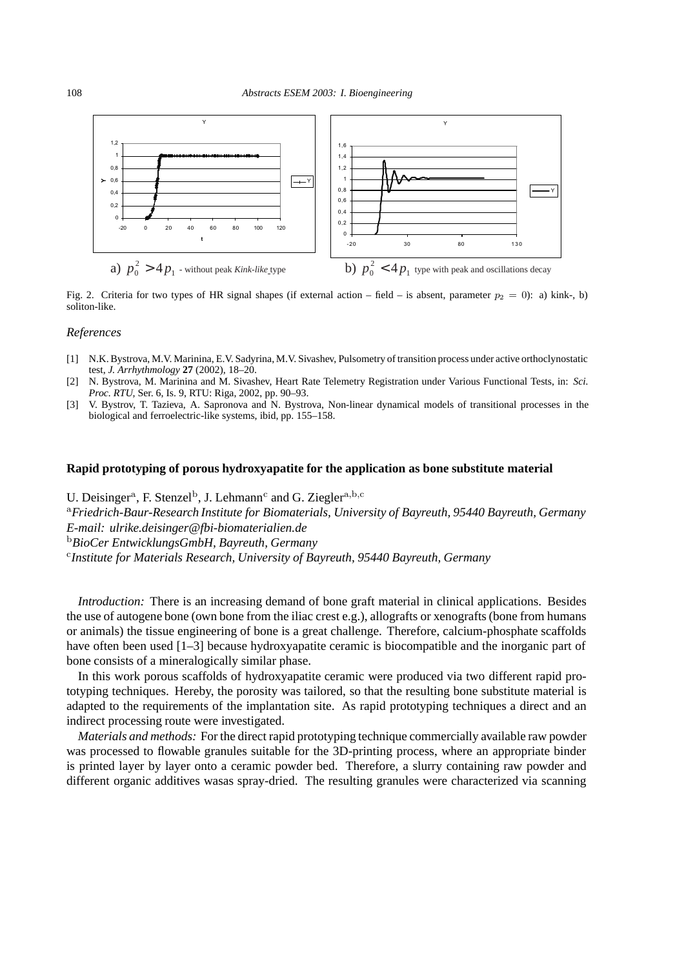

Fig. 2. Criteria for two types of HR signal shapes (if external action – field – is absent, parameter  $p_2 = 0$ ): a) kink-, b) soliton-like.

#### *References*

- [1] N.K. Bystrova, M.V. Marinina, E.V. Sadyrina, M.V. Sivashev, Pulsometry of transition process under active orthoclynostatic test, *J. Arrhythmology* **27** (2002), 18–20.
- [2] N. Bystrova, M. Marinina and M. Sivashev, Heart Rate Telemetry Registration under Various Functional Tests, in: *Sci. Proc. RTU,* Ser. 6, Is. 9, RTU: Riga, 2002, pp. 90–93.
- [3] V. Bystrov, T. Tazieva, A. Sapronova and N. Bystrova, Non-linear dynamical models of transitional processes in the biological and ferroelectric-like systems, ibid, pp. 155–158.

#### **Rapid prototyping of porous hydroxyapatite for the application as bone substitute material**

U. Deisinger<sup>a</sup>, F. Stenzel<sup>b</sup>, J. Lehmann<sup>c</sup> and G. Ziegler<sup>a,b,c</sup> <sup>a</sup>*Friedrich-Baur-Research Institute for Biomaterials, University of Bayreuth, 95440 Bayreuth, Germany E-mail: ulrike.deisinger@fbi-biomaterialien.de* <sup>b</sup>*BioCer EntwicklungsGmbH, Bayreuth, Germany* <sup>c</sup>*Institute for Materials Research, University of Bayreuth, 95440 Bayreuth, Germany*

*Introduction:* There is an increasing demand of bone graft material in clinical applications. Besides the use of autogene bone (own bone from the iliac crest e.g.), allografts or xenografts (bone from humans or animals) the tissue engineering of bone is a great challenge. Therefore, calcium-phosphate scaffolds have often been used [1–3] because hydroxyapatite ceramic is biocompatible and the inorganic part of bone consists of a mineralogically similar phase.

In this work porous scaffolds of hydroxyapatite ceramic were produced via two different rapid prototyping techniques. Hereby, the porosity was tailored, so that the resulting bone substitute material is adapted to the requirements of the implantation site. As rapid prototyping techniques a direct and an indirect processing route were investigated.

*Materials and methods:* For the direct rapid prototyping technique commercially available raw powder was processed to flowable granules suitable for the 3D-printing process, where an appropriate binder is printed layer by layer onto a ceramic powder bed. Therefore, a slurry containing raw powder and different organic additives wasas spray-dried. The resulting granules were characterized via scanning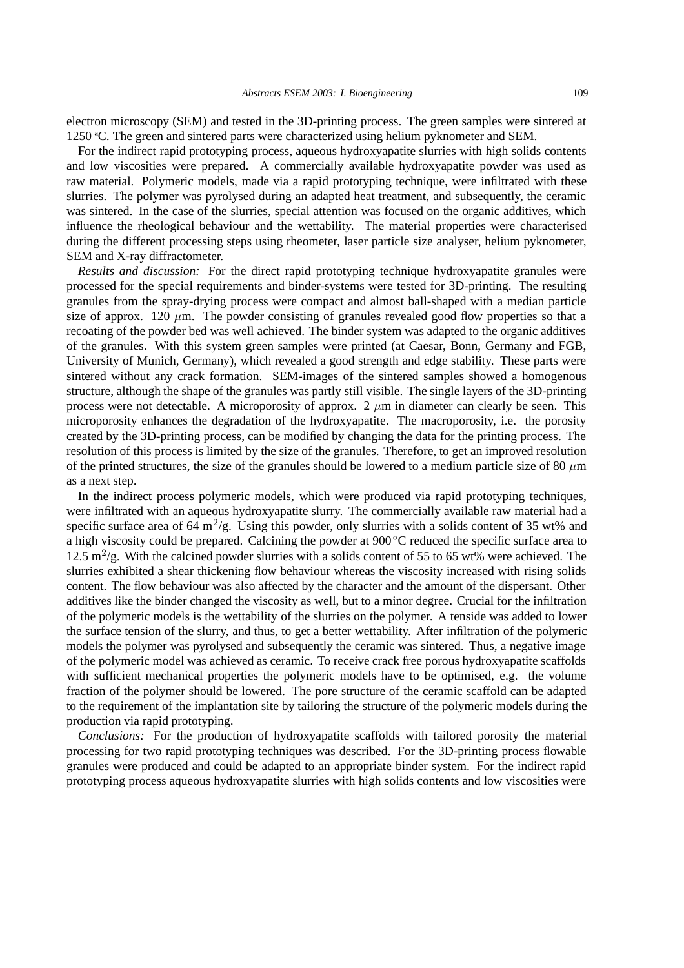electron microscopy (SEM) and tested in the 3D-printing process. The green samples were sintered at 1250 ªC. The green and sintered parts were characterized using helium pyknometer and SEM.

For the indirect rapid prototyping process, aqueous hydroxyapatite slurries with high solids contents and low viscosities were prepared. A commercially available hydroxyapatite powder was used as raw material. Polymeric models, made via a rapid prototyping technique, were infiltrated with these slurries. The polymer was pyrolysed during an adapted heat treatment, and subsequently, the ceramic was sintered. In the case of the slurries, special attention was focused on the organic additives, which influence the rheological behaviour and the wettability. The material properties were characterised during the different processing steps using rheometer, laser particle size analyser, helium pyknometer, SEM and X-ray diffractometer.

*Results and discussion:* For the direct rapid prototyping technique hydroxyapatite granules were processed for the special requirements and binder-systems were tested for 3D-printing. The resulting granules from the spray-drying process were compact and almost ball-shaped with a median particle size of approx. 120  $\mu$ m. The powder consisting of granules revealed good flow properties so that a recoating of the powder bed was well achieved. The binder system was adapted to the organic additives of the granules. With this system green samples were printed (at Caesar, Bonn, Germany and FGB, University of Munich, Germany), which revealed a good strength and edge stability. These parts were sintered without any crack formation. SEM-images of the sintered samples showed a homogenous structure, although the shape of the granules was partly still visible. The single layers of the 3D-printing process were not detectable. A microporosity of approx. 2  $\mu$ m in diameter can clearly be seen. This microporosity enhances the degradation of the hydroxyapatite. The macroporosity, i.e. the porosity created by the 3D-printing process, can be modified by changing the data for the printing process. The resolution of this process is limited by the size of the granules. Therefore, to get an improved resolution of the printed structures, the size of the granules should be lowered to a medium particle size of 80  $\mu$ m as a next step.

In the indirect process polymeric models, which were produced via rapid prototyping techniques, were infiltrated with an aqueous hydroxyapatite slurry. The commercially available raw material had a specific surface area of 64 m<sup>2</sup>/g. Using this powder, only slurries with a solids content of 35 wt% and a high viscosity could be prepared. Calcining the powder at 900 ◦C reduced the specific surface area to 12.5  $\text{m}^2/\text{g}$ . With the calcined powder slurries with a solids content of 55 to 65 wt% were achieved. The slurries exhibited a shear thickening flow behaviour whereas the viscosity increased with rising solids content. The flow behaviour was also affected by the character and the amount of the dispersant. Other additives like the binder changed the viscosity as well, but to a minor degree. Crucial for the infiltration of the polymeric models is the wettability of the slurries on the polymer. A tenside was added to lower the surface tension of the slurry, and thus, to get a better wettability. After infiltration of the polymeric models the polymer was pyrolysed and subsequently the ceramic was sintered. Thus, a negative image of the polymeric model was achieved as ceramic. To receive crack free porous hydroxyapatite scaffolds with sufficient mechanical properties the polymeric models have to be optimised, e.g. the volume fraction of the polymer should be lowered. The pore structure of the ceramic scaffold can be adapted to the requirement of the implantation site by tailoring the structure of the polymeric models during the production via rapid prototyping.

*Conclusions:* For the production of hydroxyapatite scaffolds with tailored porosity the material processing for two rapid prototyping techniques was described. For the 3D-printing process flowable granules were produced and could be adapted to an appropriate binder system. For the indirect rapid prototyping process aqueous hydroxyapatite slurries with high solids contents and low viscosities were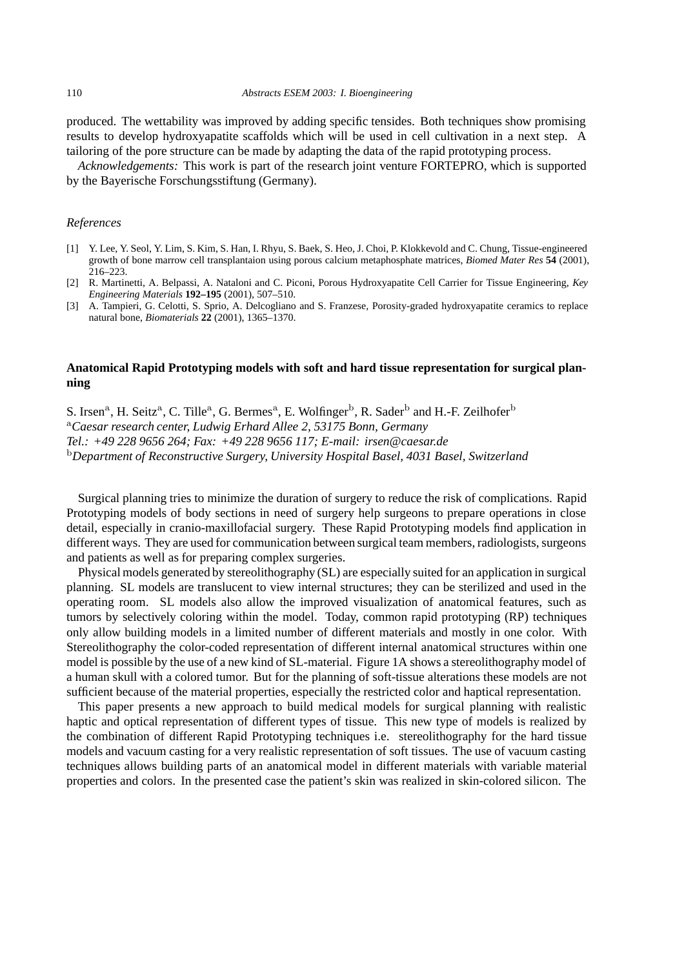produced. The wettability was improved by adding specific tensides. Both techniques show promising results to develop hydroxyapatite scaffolds which will be used in cell cultivation in a next step. A tailoring of the pore structure can be made by adapting the data of the rapid prototyping process.

*Acknowledgements:* This work is part of the research joint venture FORTEPRO, which is supported by the Bayerische Forschungsstiftung (Germany).

# *References*

- [1] Y. Lee, Y. Seol, Y. Lim, S. Kim, S. Han, I. Rhyu, S. Baek, S. Heo, J. Choi, P. Klokkevold and C. Chung, Tissue-engineered growth of bone marrow cell transplantaion using porous calcium metaphosphate matrices, *Biomed Mater Res* **54** (2001), 216–223.
- [2] R. Martinetti, A. Belpassi, A. Nataloni and C. Piconi, Porous Hydroxyapatite Cell Carrier for Tissue Engineering, *Key Engineering Materials* **192–195** (2001), 507–510.
- [3] A. Tampieri, G. Celotti, S. Sprio, A. Delcogliano and S. Franzese, Porosity-graded hydroxyapatite ceramics to replace natural bone, *Biomaterials* **22** (2001), 1365–1370.

# **Anatomical Rapid Prototyping models with soft and hard tissue representation for surgical planning**

S. Irsen<sup>a</sup>, H. Seitz<sup>a</sup>, C. Tille<sup>a</sup>, G. Bermes<sup>a</sup>, E. Wolfinger<sup>b</sup>, R. Sader<sup>b</sup> and H.-F. Zeilhofer<sup>b</sup> <sup>a</sup>*Caesar research center, Ludwig Erhard Allee 2, 53175 Bonn, Germany Tel.: +49 228 9656 264; Fax: +49 228 9656 117; E-mail: irsen@caesar.de* <sup>b</sup>*Department of Reconstructive Surgery, University Hospital Basel, 4031 Basel, Switzerland*

Surgical planning tries to minimize the duration of surgery to reduce the risk of complications. Rapid Prototyping models of body sections in need of surgery help surgeons to prepare operations in close detail, especially in cranio-maxillofacial surgery. These Rapid Prototyping models find application in different ways. They are used for communication between surgical team members, radiologists, surgeons and patients as well as for preparing complex surgeries.

Physical models generated by stereolithography (SL) are especially suited for an application in surgical planning. SL models are translucent to view internal structures; they can be sterilized and used in the operating room. SL models also allow the improved visualization of anatomical features, such as tumors by selectively coloring within the model. Today, common rapid prototyping (RP) techniques only allow building models in a limited number of different materials and mostly in one color. With Stereolithography the color-coded representation of different internal anatomical structures within one model is possible by the use of a new kind of SL-material. Figure 1A shows a stereolithography model of a human skull with a colored tumor. But for the planning of soft-tissue alterations these models are not sufficient because of the material properties, especially the restricted color and haptical representation.

This paper presents a new approach to build medical models for surgical planning with realistic haptic and optical representation of different types of tissue. This new type of models is realized by the combination of different Rapid Prototyping techniques i.e. stereolithography for the hard tissue models and vacuum casting for a very realistic representation of soft tissues. The use of vacuum casting techniques allows building parts of an anatomical model in different materials with variable material properties and colors. In the presented case the patient's skin was realized in skin-colored silicon. The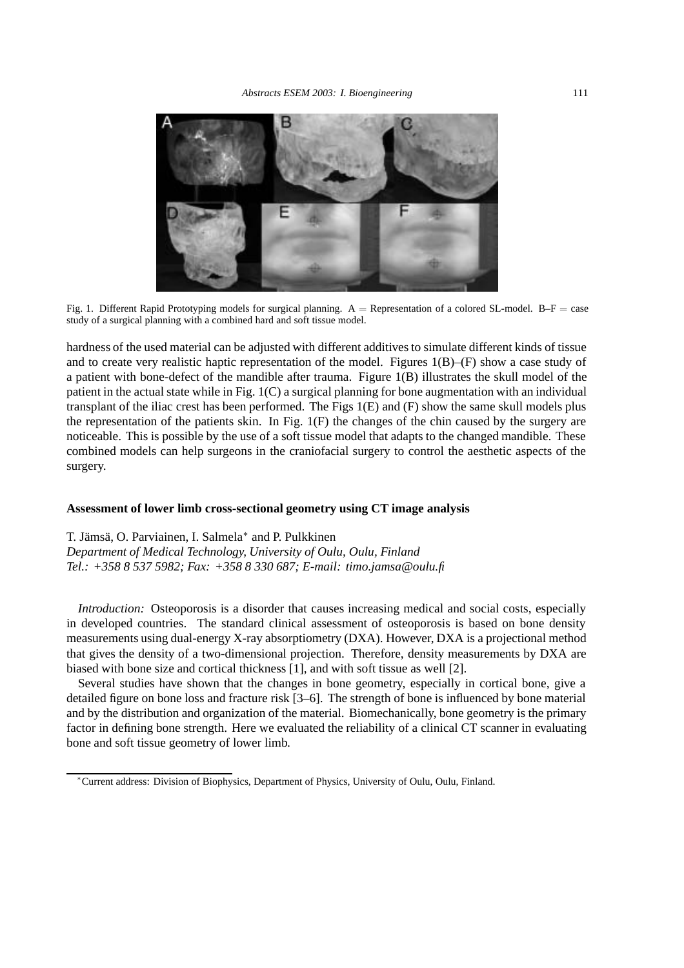

Fig. 1. Different Rapid Prototyping models for surgical planning.  $A =$  Representation of a colored SL-model.  $B-F = \text{case}$ study of a surgical planning with a combined hard and soft tissue model.

hardness of the used material can be adjusted with different additives to simulate different kinds of tissue and to create very realistic haptic representation of the model. Figures  $1(B)$ –(F) show a case study of a patient with bone-defect of the mandible after trauma. Figure 1(B) illustrates the skull model of the patient in the actual state while in Fig. 1(C) a surgical planning for bone augmentation with an individual transplant of the iliac crest has been performed. The Figs  $1(E)$  and  $(F)$  show the same skull models plus the representation of the patients skin. In Fig. 1(F) the changes of the chin caused by the surgery are noticeable. This is possible by the use of a soft tissue model that adapts to the changed mandible. These combined models can help surgeons in the craniofacial surgery to control the aesthetic aspects of the surgery.

# **Assessment of lower limb cross-sectional geometry using CT image analysis**

T. Jämsä, O. Parviainen, I. Salmela\* and P. Pulkkinen *Department of Medical Technology, University of Oulu, Oulu, Finland Tel.: +358 8 537 5982; Fax: +358 8 330 687; E-mail: timo.jamsa@oulu.fi*

*Introduction:* Osteoporosis is a disorder that causes increasing medical and social costs, especially in developed countries. The standard clinical assessment of osteoporosis is based on bone density measurements using dual-energy X-ray absorptiometry (DXA). However, DXA is a projectional method that gives the density of a two-dimensional projection. Therefore, density measurements by DXA are biased with bone size and cortical thickness [1], and with soft tissue as well [2].

Several studies have shown that the changes in bone geometry, especially in cortical bone, give a detailed figure on bone loss and fracture risk [3–6]. The strength of bone is influenced by bone material and by the distribution and organization of the material. Biomechanically, bone geometry is the primary factor in defining bone strength. Here we evaluated the reliability of a clinical CT scanner in evaluating bone and soft tissue geometry of lower limb.

<sup>∗</sup>Current address: Division of Biophysics, Department of Physics, University of Oulu, Oulu, Finland.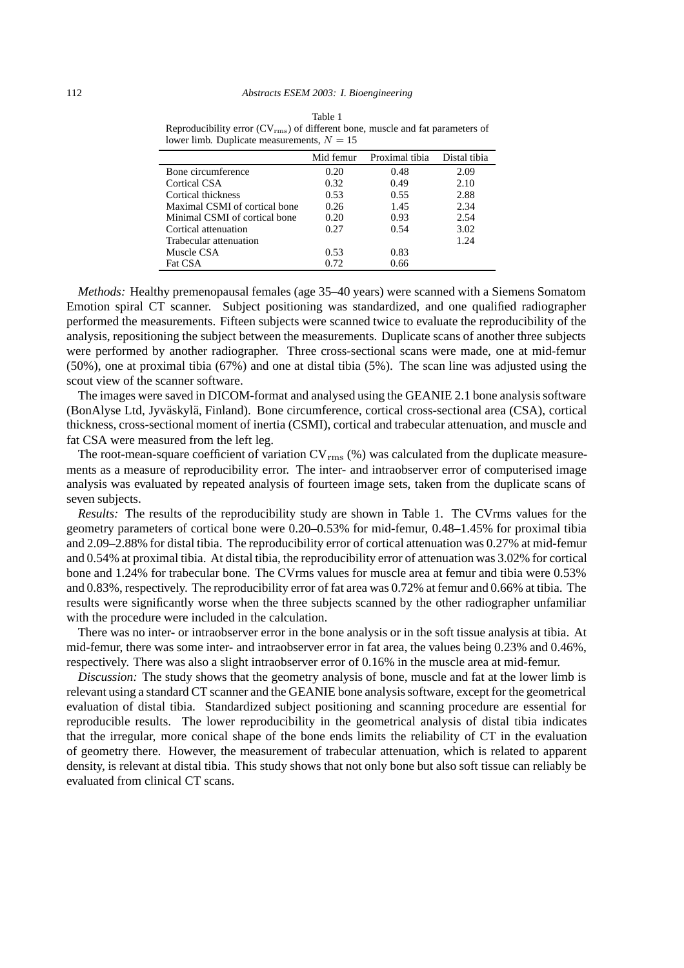|                               | Mid femur | Proximal tibia | Distal tibia |
|-------------------------------|-----------|----------------|--------------|
| Bone circumference            | 0.20      | 0.48           | 2.09         |
| Cortical CSA                  | 0.32      | 0.49           | 2.10         |
| Cortical thickness            | 0.53      | 0.55           | 2.88         |
| Maximal CSMI of cortical bone | 0.26      | 1.45           | 2.34         |
| Minimal CSMI of cortical bone | 0.20      | 0.93           | 2.54         |
| Cortical attenuation          | 0.27      | 0.54           | 3.02         |
| Trabecular attenuation        |           |                | 1.24         |
| Muscle CSA                    | 0.53      | 0.83           |              |
| <b>Fat CSA</b>                | 0.72      | 0.66           |              |

Table 1 Reproducibility error (CVrms) of different bone, muscle and fat parameters of lower limb. Duplicate measurements,  $N = 15$ 

*Methods:* Healthy premenopausal females (age 35–40 years) were scanned with a Siemens Somatom Emotion spiral CT scanner. Subject positioning was standardized, and one qualified radiographer performed the measurements. Fifteen subjects were scanned twice to evaluate the reproducibility of the analysis, repositioning the subject between the measurements. Duplicate scans of another three subjects were performed by another radiographer. Three cross-sectional scans were made, one at mid-femur (50%), one at proximal tibia (67%) and one at distal tibia (5%). The scan line was adjusted using the scout view of the scanner software.

The images were saved in DICOM-format and analysed using the GEANIE 2.1 bone analysis software (BonAlyse Ltd, Jyväskylä, Finland). Bone circumference, cortical cross-sectional area (CSA), cortical thickness, cross-sectional moment of inertia (CSMI), cortical and trabecular attenuation, and muscle and fat CSA were measured from the left leg.

The root-mean-square coefficient of variation  $CV_{rms}$  (%) was calculated from the duplicate measurements as a measure of reproducibility error. The inter- and intraobserver error of computerised image analysis was evaluated by repeated analysis of fourteen image sets, taken from the duplicate scans of seven subjects.

*Results:* The results of the reproducibility study are shown in Table 1. The CVrms values for the geometry parameters of cortical bone were 0.20–0.53% for mid-femur, 0.48–1.45% for proximal tibia and 2.09–2.88% for distal tibia. The reproducibility error of cortical attenuation was 0.27% at mid-femur and 0.54% at proximal tibia. At distal tibia, the reproducibility error of attenuation was 3.02% for cortical bone and 1.24% for trabecular bone. The CVrms values for muscle area at femur and tibia were 0.53% and 0.83%, respectively. The reproducibility error of fat area was 0.72% at femur and 0.66% at tibia. The results were significantly worse when the three subjects scanned by the other radiographer unfamiliar with the procedure were included in the calculation.

There was no inter- or intraobserver error in the bone analysis or in the soft tissue analysis at tibia. At mid-femur, there was some inter- and intraobserver error in fat area, the values being 0.23% and 0.46%, respectively. There was also a slight intraobserver error of 0.16% in the muscle area at mid-femur.

*Discussion:* The study shows that the geometry analysis of bone, muscle and fat at the lower limb is relevant using a standard CT scanner and the GEANIE bone analysis software, except for the geometrical evaluation of distal tibia. Standardized subject positioning and scanning procedure are essential for reproducible results. The lower reproducibility in the geometrical analysis of distal tibia indicates that the irregular, more conical shape of the bone ends limits the reliability of CT in the evaluation of geometry there. However, the measurement of trabecular attenuation, which is related to apparent density, is relevant at distal tibia. This study shows that not only bone but also soft tissue can reliably be evaluated from clinical CT scans.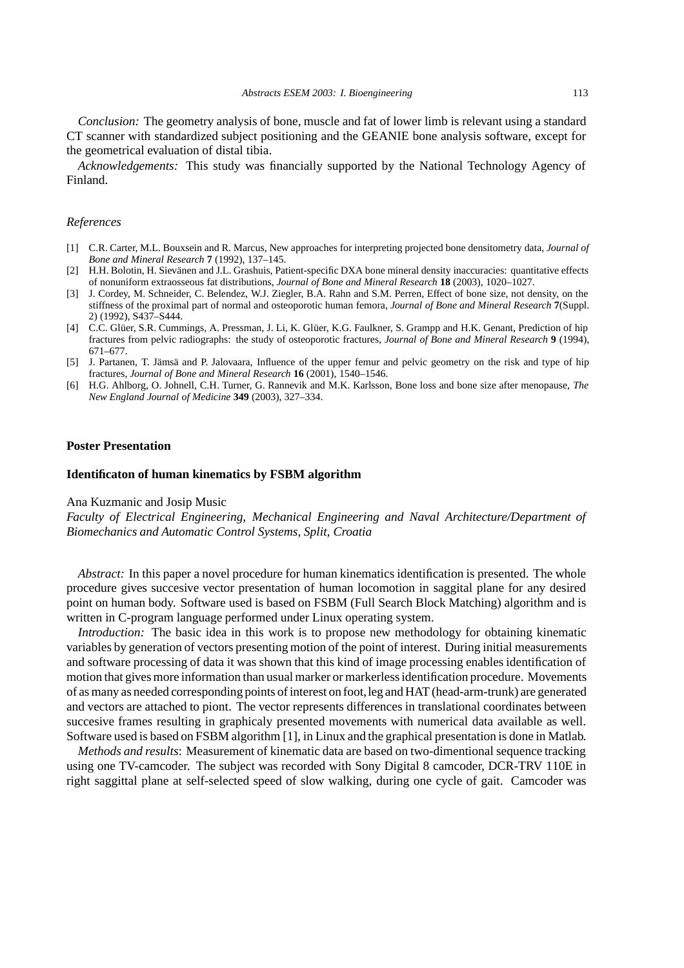*Conclusion:* The geometry analysis of bone, muscle and fat of lower limb is relevant using a standard CT scanner with standardized subject positioning and the GEANIE bone analysis software, except for the geometrical evaluation of distal tibia.

*Acknowledgements:* This study was financially supported by the National Technology Agency of Finland.

# *References*

- [1] C.R. Carter, M.L. Bouxsein and R. Marcus, New approaches for interpreting projected bone densitometry data, *Journal of Bone and Mineral Research* **7** (1992), 137–145.
- [2] H.H. Bolotin, H. Sievänen and J.L. Grashuis, Patient-specific DXA bone mineral density inaccuracies: quantitative effects of nonuniform extraosseous fat distributions, *Journal of Bone and Mineral Research* **18** (2003), 1020–1027.
- [3] J. Cordey, M. Schneider, C. Belendez, W.J. Ziegler, B.A. Rahn and S.M. Perren, Effect of bone size, not density, on the stiffness of the proximal part of normal and osteoporotic human femora, *Journal of Bone and Mineral Research* **7**(Suppl. 2) (1992), S437–S444.
- [4] C.C. Glüer, S.R. Cummings, A. Pressman, J. Li, K. Glüer, K.G. Faulkner, S. Grampp and H.K. Genant, Prediction of hip fractures from pelvic radiographs: the study of osteoporotic fractures, *Journal of Bone and Mineral Research* **9** (1994), 671–677.
- [5] J. Partanen, T. Jämsä and P. Jalovaara, Influence of the upper femur and pelvic geometry on the risk and type of hip fractures, *Journal of Bone and Mineral Research* **16** (2001), 1540–1546.
- [6] H.G. Ahlborg, O. Johnell, C.H. Turner, G. Rannevik and M.K. Karlsson, Bone loss and bone size after menopause, *The New England Journal of Medicine* **349** (2003), 327–334.

# **Poster Presentation**

#### **Identificaton of human kinematics by FSBM algorithm**

#### Ana Kuzmanic and Josip Music

*Faculty of Electrical Engineering, Mechanical Engineering and Naval Architecture/Department of Biomechanics and Automatic Control Systems, Split, Croatia*

*Abstract:* In this paper a novel procedure for human kinematics identification is presented. The whole procedure gives succesive vector presentation of human locomotion in saggital plane for any desired point on human body. Software used is based on FSBM (Full Search Block Matching) algorithm and is written in C-program language performed under Linux operating system.

*Introduction:* The basic idea in this work is to propose new methodology for obtaining kinematic variables by generation of vectors presenting motion of the point of interest. During initial measurements and software processing of data it was shown that this kind of image processing enables identification of motion that gives more information than usual marker or markerless identification procedure. Movements of as many as needed corresponding points of interest on foot,leg and HAT (head-arm-trunk) are generated and vectors are attached to piont. The vector represents differences in translational coordinates between succesive frames resulting in graphicaly presented movements with numerical data available as well. Software used is based on FSBM algorithm [1], in Linux and the graphical presentation is done in Matlab.

*Methods and results*: Measurement of kinematic data are based on two-dimentional sequence tracking using one TV-camcoder. The subject was recorded with Sony Digital 8 camcoder, DCR-TRV 110E in right saggittal plane at self-selected speed of slow walking, during one cycle of gait. Camcoder was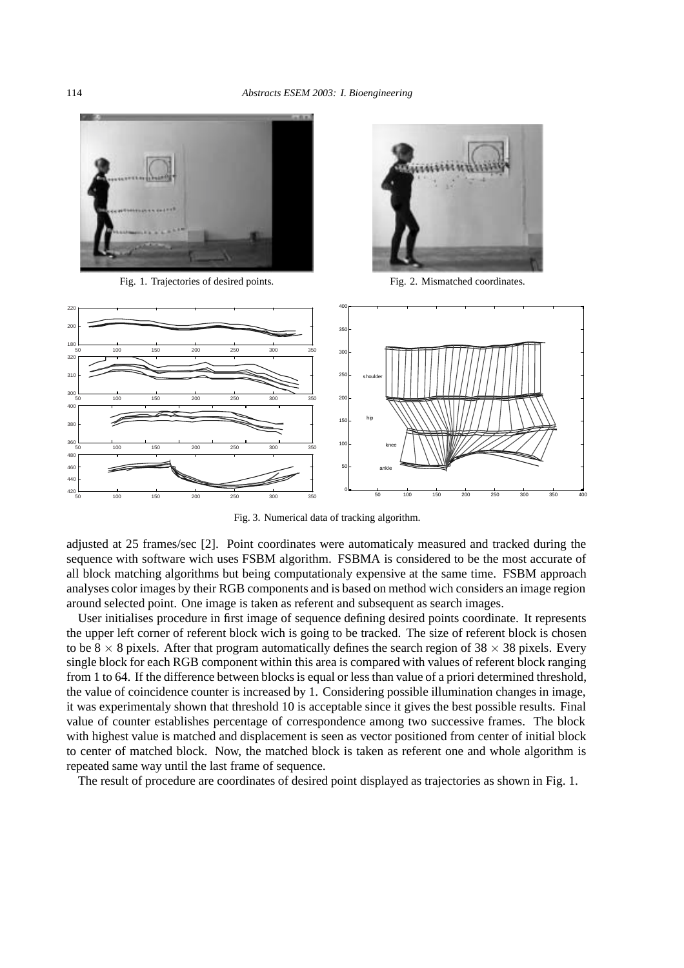

Fig. 1. Trajectories of desired points. Fig. 2. Mismatched coordinates.





Fig. 3. Numerical data of tracking algorithm.

adjusted at 25 frames/sec [2]. Point coordinates were automaticaly measured and tracked during the sequence with software wich uses FSBM algorithm. FSBMA is considered to be the most accurate of all block matching algorithms but being computationaly expensive at the same time. FSBM approach analyses color images by their RGB components and is based on method wich considers an image region around selected point. One image is taken as referent and subsequent as search images.

User initialises procedure in first image of sequence defining desired points coordinate. It represents the upper left corner of referent block wich is going to be tracked. The size of referent block is chosen to be  $8 \times 8$  pixels. After that program automatically defines the search region of 38  $\times$  38 pixels. Every single block for each RGB component within this area is compared with values of referent block ranging from 1 to 64. If the difference between blocks is equal or less than value of a priori determined threshold, the value of coincidence counter is increased by 1. Considering possible illumination changes in image, it was experimentaly shown that threshold 10 is acceptable since it gives the best possible results. Final value of counter establishes percentage of correspondence among two successive frames. The block with highest value is matched and displacement is seen as vector positioned from center of initial block to center of matched block. Now, the matched block is taken as referent one and whole algorithm is repeated same way until the last frame of sequence.

The result of procedure are coordinates of desired point displayed as trajectories as shown in Fig. 1.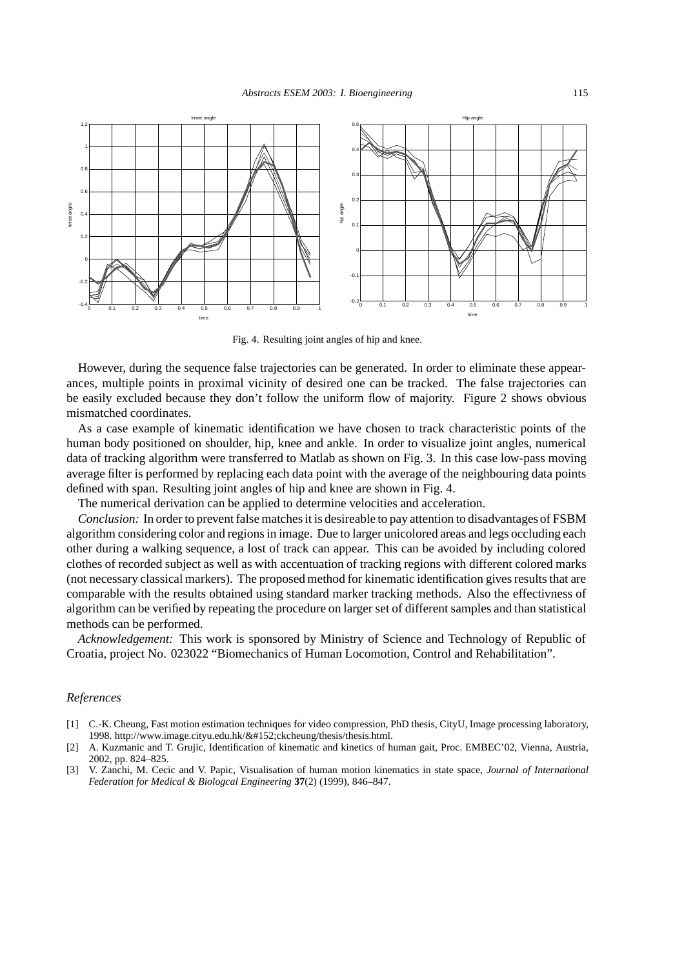

Fig. 4. Resulting joint angles of hip and knee.

However, during the sequence false trajectories can be generated. In order to eliminate these appearances, multiple points in proximal vicinity of desired one can be tracked. The false trajectories can be easily excluded because they don't follow the uniform flow of majority. Figure 2 shows obvious mismatched coordinates.

As a case example of kinematic identification we have chosen to track characteristic points of the human body positioned on shoulder, hip, knee and ankle. In order to visualize joint angles, numerical data of tracking algorithm were transferred to Matlab as shown on Fig. 3. In this case low-pass moving average filter is performed by replacing each data point with the average of the neighbouring data points defined with span. Resulting joint angles of hip and knee are shown in Fig. 4.

The numerical derivation can be applied to determine velocities and acceleration.

*Conclusion:* In order to prevent false matches it is desireable to pay attention to disadvantages of FSBM algorithm considering color and regions in image. Due to larger unicolored areas and legs occluding each other during a walking sequence, a lost of track can appear. This can be avoided by including colored clothes of recorded subject as well as with accentuation of tracking regions with different colored marks (not necessary classical markers). The proposed method for kinematic identification gives results that are comparable with the results obtained using standard marker tracking methods. Also the effectivness of algorithm can be verified by repeating the procedure on larger set of different samples and than statistical methods can be performed.

*Acknowledgement:* This work is sponsored by Ministry of Science and Technology of Republic of Croatia, project No. 023022 "Biomechanics of Human Locomotion, Control and Rehabilitation".

# *References*

- [1] C.-K. Cheung, Fast motion estimation techniques for video compression, PhD thesis, CityU, Image processing laboratory, 1998. http://www.image.cityu.edu.hk/˜ckcheung/thesis/thesis.html.
- [2] A. Kuzmanic and T. Grujic, Identification of kinematic and kinetics of human gait, Proc. EMBEC'02, Vienna, Austria, 2002, pp. 824–825.
- [3] V. Zanchi, M. Cecic and V. Papic, Visualisation of human motion kinematics in state space, *Journal of International Federation for Medical & Biologcal Engineering* **37**(2) (1999), 846–847.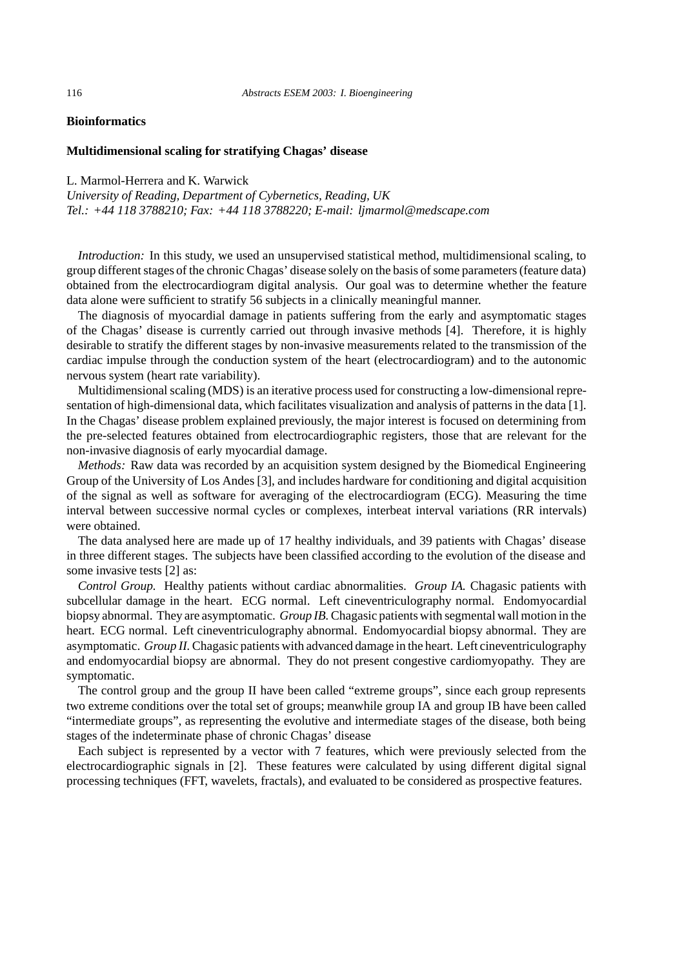# **Bioinformatics**

#### **Multidimensional scaling for stratifying Chagas' disease**

L. Marmol-Herrera and K. Warwick

*University of Reading, Department of Cybernetics, Reading, UK Tel.: +44 118 3788210; Fax: +44 118 3788220; E-mail: ljmarmol@medscape.com*

*Introduction:* In this study, we used an unsupervised statistical method, multidimensional scaling, to group different stages of the chronic Chagas' disease solely on the basis of some parameters (feature data) obtained from the electrocardiogram digital analysis. Our goal was to determine whether the feature data alone were sufficient to stratify 56 subjects in a clinically meaningful manner.

The diagnosis of myocardial damage in patients suffering from the early and asymptomatic stages of the Chagas' disease is currently carried out through invasive methods [4]. Therefore, it is highly desirable to stratify the different stages by non-invasive measurements related to the transmission of the cardiac impulse through the conduction system of the heart (electrocardiogram) and to the autonomic nervous system (heart rate variability).

Multidimensional scaling (MDS) is an iterative process used for constructing a low-dimensional representation of high-dimensional data, which facilitates visualization and analysis of patterns in the data [1]. In the Chagas' disease problem explained previously, the major interest is focused on determining from the pre-selected features obtained from electrocardiographic registers, those that are relevant for the non-invasive diagnosis of early myocardial damage.

*Methods:* Raw data was recorded by an acquisition system designed by the Biomedical Engineering Group of the University of Los Andes [3], and includes hardware for conditioning and digital acquisition of the signal as well as software for averaging of the electrocardiogram (ECG). Measuring the time interval between successive normal cycles or complexes, interbeat interval variations (RR intervals) were obtained.

The data analysed here are made up of 17 healthy individuals, and 39 patients with Chagas' disease in three different stages. The subjects have been classified according to the evolution of the disease and some invasive tests [2] as:

*Control Group.* Healthy patients without cardiac abnormalities. *Group IA.* Chagasic patients with subcellular damage in the heart. ECG normal. Left cineventriculography normal. Endomyocardial biopsy abnormal. They are asymptomatic. *Group IB.*Chagasic patients with segmental wall motion in the heart. ECG normal. Left cineventriculography abnormal. Endomyocardial biopsy abnormal. They are asymptomatic. *Group II.*Chagasic patients with advanced damage in the heart. Left cineventriculography and endomyocardial biopsy are abnormal. They do not present congestive cardiomyopathy. They are symptomatic.

The control group and the group II have been called "extreme groups", since each group represents two extreme conditions over the total set of groups; meanwhile group IA and group IB have been called "intermediate groups", as representing the evolutive and intermediate stages of the disease, both being stages of the indeterminate phase of chronic Chagas' disease

Each subject is represented by a vector with 7 features, which were previously selected from the electrocardiographic signals in [2]. These features were calculated by using different digital signal processing techniques (FFT, wavelets, fractals), and evaluated to be considered as prospective features.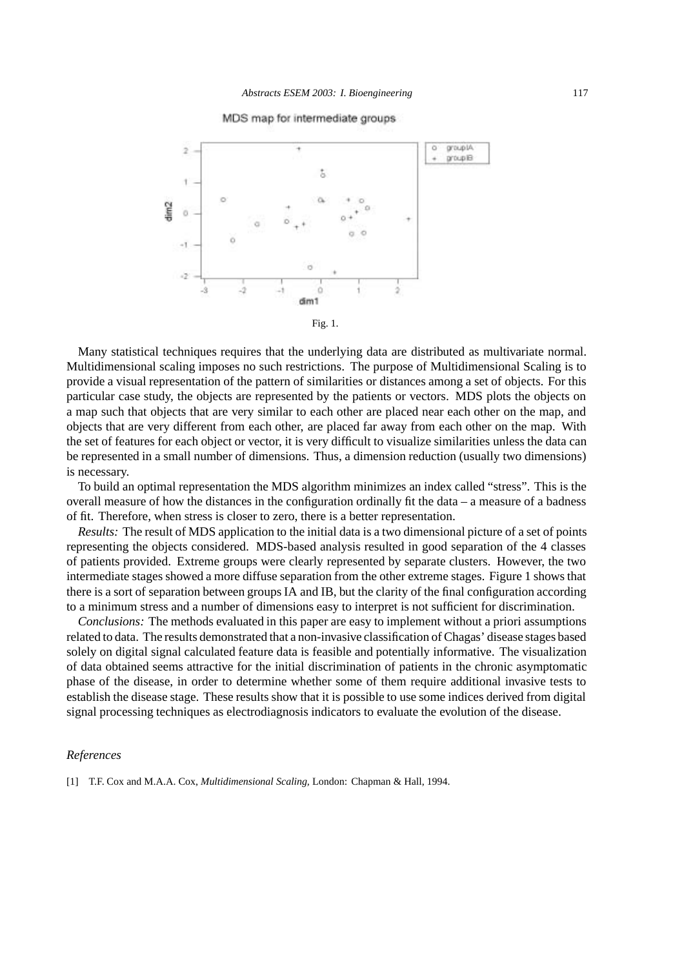



Many statistical techniques requires that the underlying data are distributed as multivariate normal. Multidimensional scaling imposes no such restrictions. The purpose of Multidimensional Scaling is to provide a visual representation of the pattern of similarities or distances among a set of objects. For this particular case study, the objects are represented by the patients or vectors. MDS plots the objects on a map such that objects that are very similar to each other are placed near each other on the map, and objects that are very different from each other, are placed far away from each other on the map. With the set of features for each object or vector, it is very difficult to visualize similarities unless the data can be represented in a small number of dimensions. Thus, a dimension reduction (usually two dimensions) is necessary.

To build an optimal representation the MDS algorithm minimizes an index called "stress". This is the overall measure of how the distances in the configuration ordinally fit the data – a measure of a badness of fit. Therefore, when stress is closer to zero, there is a better representation.

*Results:* The result of MDS application to the initial data is a two dimensional picture of a set of points representing the objects considered. MDS-based analysis resulted in good separation of the 4 classes of patients provided. Extreme groups were clearly represented by separate clusters. However, the two intermediate stages showed a more diffuse separation from the other extreme stages. Figure 1 shows that there is a sort of separation between groups IA and IB, but the clarity of the final configuration according to a minimum stress and a number of dimensions easy to interpret is not sufficient for discrimination.

*Conclusions:* The methods evaluated in this paper are easy to implement without a priori assumptions related to data. The results demonstrated that a non-invasive classification of Chagas' disease stages based solely on digital signal calculated feature data is feasible and potentially informative. The visualization of data obtained seems attractive for the initial discrimination of patients in the chronic asymptomatic phase of the disease, in order to determine whether some of them require additional invasive tests to establish the disease stage. These results show that it is possible to use some indices derived from digital signal processing techniques as electrodiagnosis indicators to evaluate the evolution of the disease.

### *References*

[1] T.F. Cox and M.A.A. Cox, *Multidimensional Scaling,* London: Chapman & Hall, 1994.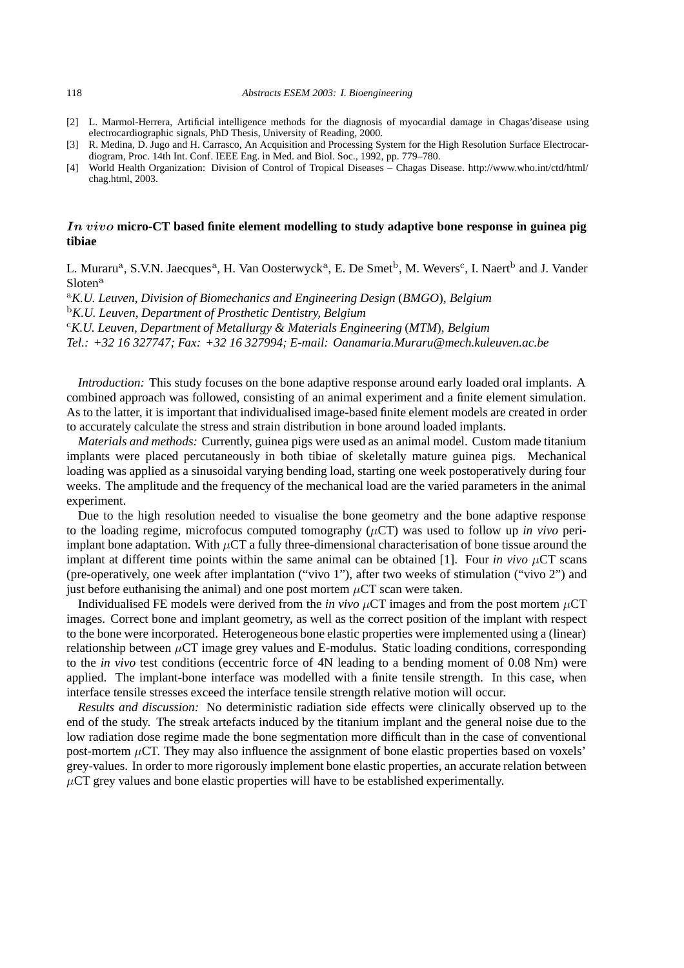- [2] L. Marmol-Herrera, Artificial intelligence methods for the diagnosis of myocardial damage in Chagas'disease using electrocardiographic signals, PhD Thesis, University of Reading, 2000.
- [3] R. Medina, D. Jugo and H. Carrasco, An Acquisition and Processing System for the High Resolution Surface Electrocardiogram, Proc. 14th Int. Conf. IEEE Eng. in Med. and Biol. Soc., 1992, pp. 779–780.
- [4] World Health Organization: Division of Control of Tropical Diseases Chagas Disease. http://www.who.int/ctd/html/ chag.html, 2003.

# *In vivo* **micro-CT based finite element modelling to study adaptive bone response in guinea pig tibiae**

L. Muraru<sup>a</sup>, S.V.N. Jaecques<sup>a</sup>, H. Van Oosterwyck<sup>a</sup>, E. De Smet<sup>b</sup>, M. Wevers<sup>c</sup>, I. Naert<sup>b</sup> and J. Vander Sloten<sup>a</sup>

<sup>a</sup>*K.U. Leuven, Division of Biomechanics and Engineering Design* (*BMGO*)*, Belgium*

<sup>b</sup>*K.U. Leuven, Department of Prosthetic Dentistry, Belgium*

<sup>c</sup>*K.U. Leuven, Department of Metallurgy & Materials Engineering* (*MTM*)*, Belgium*

*Tel.: +32 16 327747; Fax: +32 16 327994; E-mail: Oanamaria.Muraru@mech.kuleuven.ac.be*

*Introduction:* This study focuses on the bone adaptive response around early loaded oral implants. A combined approach was followed, consisting of an animal experiment and a finite element simulation. As to the latter, it is important that individualised image-based finite element models are created in order to accurately calculate the stress and strain distribution in bone around loaded implants.

*Materials and methods:* Currently, guinea pigs were used as an animal model. Custom made titanium implants were placed percutaneously in both tibiae of skeletally mature guinea pigs. Mechanical loading was applied as a sinusoidal varying bending load, starting one week postoperatively during four weeks. The amplitude and the frequency of the mechanical load are the varied parameters in the animal experiment.

Due to the high resolution needed to visualise the bone geometry and the bone adaptive response to the loading regime, microfocus computed tomography  $(\mu$ CT) was used to follow up *in vivo* periimplant bone adaptation. With  $\mu$ CT a fully three-dimensional characterisation of bone tissue around the implant at different time points within the same animal can be obtained  $[1]$ . Four *in vivo*  $\mu$ CT scans (pre-operatively, one week after implantation ("vivo 1"), after two weeks of stimulation ("vivo 2") and just before euthanising the animal) and one post mortem  $\mu$ CT scan were taken.

Individualised FE models were derived from the *in vivo*  $\mu$ CT images and from the post mortem  $\mu$ CT images. Correct bone and implant geometry, as well as the correct position of the implant with respect to the bone were incorporated. Heterogeneous bone elastic properties were implemented using a (linear) relationship between  $\mu$ CT image grey values and E-modulus. Static loading conditions, corresponding to the *in vivo* test conditions (eccentric force of 4N leading to a bending moment of 0.08 Nm) were applied. The implant-bone interface was modelled with a finite tensile strength. In this case, when interface tensile stresses exceed the interface tensile strength relative motion will occur.

*Results and discussion:* No deterministic radiation side effects were clinically observed up to the end of the study. The streak artefacts induced by the titanium implant and the general noise due to the low radiation dose regime made the bone segmentation more difficult than in the case of conventional post-mortem  $\mu$ CT. They may also influence the assignment of bone elastic properties based on voxels' grey-values. In order to more rigorously implement bone elastic properties, an accurate relation between  $\mu$ CT grey values and bone elastic properties will have to be established experimentally.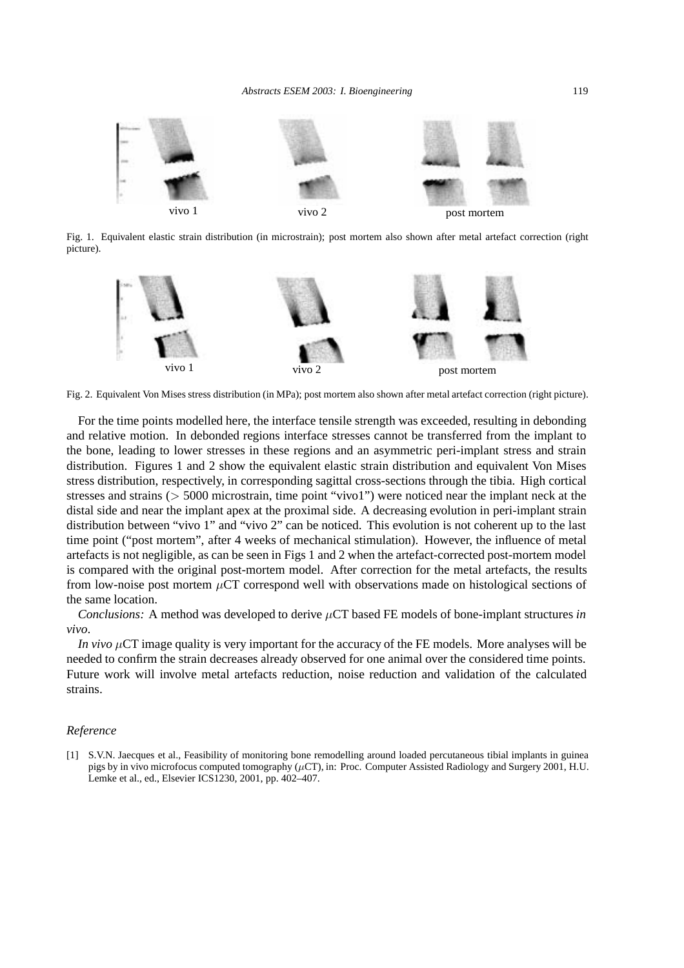

Fig. 1. Equivalent elastic strain distribution (in microstrain); post mortem also shown after metal artefact correction (right picture).



Fig. 2. Equivalent Von Mises stress distribution (in MPa); post mortem also shown after metal artefact correction (right picture).

For the time points modelled here, the interface tensile strength was exceeded, resulting in debonding and relative motion. In debonded regions interface stresses cannot be transferred from the implant to the bone, leading to lower stresses in these regions and an asymmetric peri-implant stress and strain distribution. Figures 1 and 2 show the equivalent elastic strain distribution and equivalent Von Mises stress distribution, respectively, in corresponding sagittal cross-sections through the tibia. High cortical stresses and strains (> 5000 microstrain, time point "vivo1") were noticed near the implant neck at the distal side and near the implant apex at the proximal side. A decreasing evolution in peri-implant strain distribution between "vivo 1" and "vivo 2" can be noticed. This evolution is not coherent up to the last time point ("post mortem", after 4 weeks of mechanical stimulation). However, the influence of metal artefacts is not negligible, as can be seen in Figs 1 and 2 when the artefact-corrected post-mortem model is compared with the original post-mortem model. After correction for the metal artefacts, the results from low-noise post mortem  $\mu$ CT correspond well with observations made on histological sections of the same location.

*Conclusions:* A method was developed to derive  $\mu$ CT based FE models of bone-implant structures *in vivo*.

*In vivo*  $\mu$ CT image quality is very important for the accuracy of the FE models. More analyses will be needed to confirm the strain decreases already observed for one animal over the considered time points. Future work will involve metal artefacts reduction, noise reduction and validation of the calculated strains.

### *Reference*

[1] S.V.N. Jaecques et al., Feasibility of monitoring bone remodelling around loaded percutaneous tibial implants in guinea pigs by in vivo microfocus computed tomography ( $\mu$ CT), in: Proc. Computer Assisted Radiology and Surgery 2001, H.U. Lemke et al., ed., Elsevier ICS1230, 2001, pp. 402–407.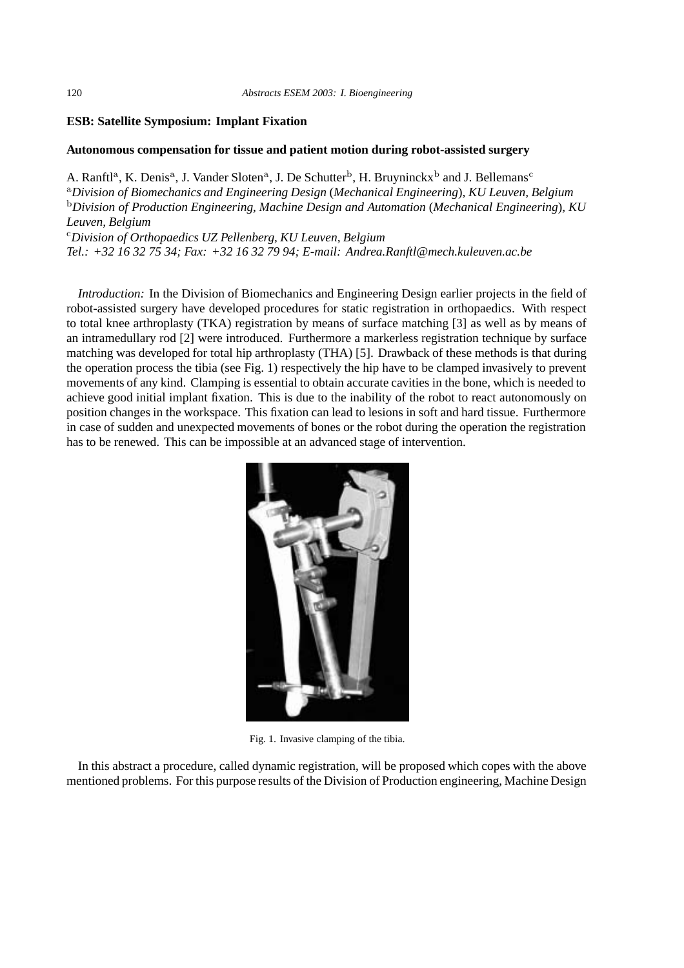# **ESB: Satellite Symposium: Implant Fixation**

# **Autonomous compensation for tissue and patient motion during robot-assisted surgery**

A. Ranftl<sup>a</sup>, K. Denis<sup>a</sup>, J. Vander Sloten<sup>a</sup>, J. De Schutter<sup>b</sup>, H. Bruyninckx<sup>b</sup> and J. Bellemans<sup>c</sup> <sup>a</sup>*Division of Biomechanics and Engineering Design* (*Mechanical Engineering*)*, KU Leuven, Belgium* <sup>b</sup>*Division of Production Engineering, Machine Design and Automation* (*Mechanical Engineering*)*, KU Leuven, Belgium* <sup>c</sup>*Division of Orthopaedics UZ Pellenberg, KU Leuven, Belgium*

*Tel.: +32 16 32 75 34; Fax: +32 16 32 79 94; E-mail: Andrea.Ranftl@mech.kuleuven.ac.be*

*Introduction:* In the Division of Biomechanics and Engineering Design earlier projects in the field of robot-assisted surgery have developed procedures for static registration in orthopaedics. With respect to total knee arthroplasty (TKA) registration by means of surface matching [3] as well as by means of an intramedullary rod [2] were introduced. Furthermore a markerless registration technique by surface matching was developed for total hip arthroplasty (THA) [5]. Drawback of these methods is that during the operation process the tibia (see Fig. 1) respectively the hip have to be clamped invasively to prevent movements of any kind. Clamping is essential to obtain accurate cavities in the bone, which is needed to achieve good initial implant fixation. This is due to the inability of the robot to react autonomously on position changes in the workspace. This fixation can lead to lesions in soft and hard tissue. Furthermore in case of sudden and unexpected movements of bones or the robot during the operation the registration has to be renewed. This can be impossible at an advanced stage of intervention.



Fig. 1. Invasive clamping of the tibia.

In this abstract a procedure, called dynamic registration, will be proposed which copes with the above mentioned problems. For this purpose results of the Division of Production engineering, Machine Design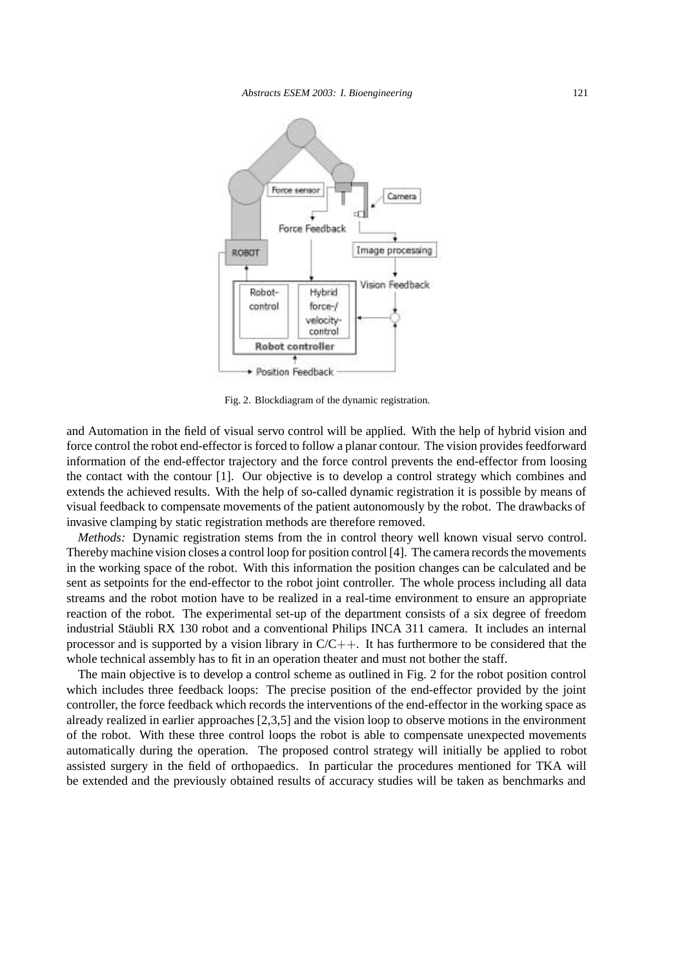

Fig. 2. Blockdiagram of the dynamic registration.

and Automation in the field of visual servo control will be applied. With the help of hybrid vision and force control the robot end-effector is forced to follow a planar contour. The vision provides feedforward information of the end-effector trajectory and the force control prevents the end-effector from loosing the contact with the contour [1]. Our objective is to develop a control strategy which combines and extends the achieved results. With the help of so-called dynamic registration it is possible by means of visual feedback to compensate movements of the patient autonomously by the robot. The drawbacks of invasive clamping by static registration methods are therefore removed.

*Methods:* Dynamic registration stems from the in control theory well known visual servo control. Thereby machine vision closes a control loop for position control [4]. The camera records the movements in the working space of the robot. With this information the position changes can be calculated and be sent as setpoints for the end-effector to the robot joint controller. The whole process including all data streams and the robot motion have to be realized in a real-time environment to ensure an appropriate reaction of the robot. The experimental set-up of the department consists of a six degree of freedom industrial Stäubli RX 130 robot and a conventional Philips INCA 311 camera. It includes an internal processor and is supported by a vision library in  $C/C++$ . It has furthermore to be considered that the whole technical assembly has to fit in an operation theater and must not bother the staff.

The main objective is to develop a control scheme as outlined in Fig. 2 for the robot position control which includes three feedback loops: The precise position of the end-effector provided by the joint controller, the force feedback which records the interventions of the end-effector in the working space as already realized in earlier approaches [2,3,5] and the vision loop to observe motions in the environment of the robot. With these three control loops the robot is able to compensate unexpected movements automatically during the operation. The proposed control strategy will initially be applied to robot assisted surgery in the field of orthopaedics. In particular the procedures mentioned for TKA will be extended and the previously obtained results of accuracy studies will be taken as benchmarks and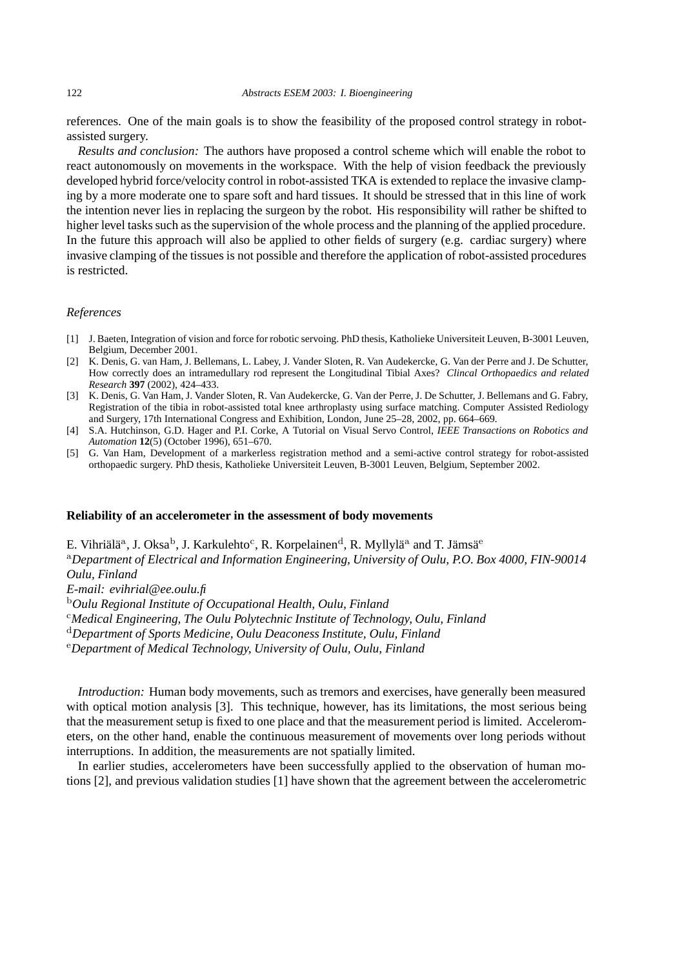references. One of the main goals is to show the feasibility of the proposed control strategy in robotassisted surgery.

*Results and conclusion:* The authors have proposed a control scheme which will enable the robot to react autonomously on movements in the workspace. With the help of vision feedback the previously developed hybrid force/velocity control in robot-assisted TKA is extended to replace the invasive clamping by a more moderate one to spare soft and hard tissues. It should be stressed that in this line of work the intention never lies in replacing the surgeon by the robot. His responsibility will rather be shifted to higher level tasks such as the supervision of the whole process and the planning of the applied procedure. In the future this approach will also be applied to other fields of surgery (e.g. cardiac surgery) where invasive clamping of the tissues is not possible and therefore the application of robot-assisted procedures is restricted.

# *References*

- [1] J. Baeten, Integration of vision and force for robotic servoing. PhD thesis, Katholieke Universiteit Leuven, B-3001 Leuven, Belgium, December 2001.
- [2] K. Denis, G. van Ham, J. Bellemans, L. Labey, J. Vander Sloten, R. Van Audekercke, G. Van der Perre and J. De Schutter, How correctly does an intramedullary rod represent the Longitudinal Tibial Axes? *Clincal Orthopaedics and related Research* **397** (2002), 424–433.
- [3] K. Denis, G. Van Ham, J. Vander Sloten, R. Van Audekercke, G. Van der Perre, J. De Schutter, J. Bellemans and G. Fabry, Registration of the tibia in robot-assisted total knee arthroplasty using surface matching. Computer Assisted Rediology and Surgery, 17th International Congress and Exhibition, London, June 25–28, 2002, pp. 664–669.
- [4] S.A. Hutchinson, G.D. Hager and P.I. Corke, A Tutorial on Visual Servo Control, *IEEE Transactions on Robotics and Automation* **12**(5) (October 1996), 651–670.
- [5] G. Van Ham, Development of a markerless registration method and a semi-active control strategy for robot-assisted orthopaedic surgery. PhD thesis, Katholieke Universiteit Leuven, B-3001 Leuven, Belgium, September 2002.

### **Reliability of an accelerometer in the assessment of body movements**

E. Vihriälä<sup>a</sup>, J. Oksa<sup>b</sup>, J. Karkulehto<sup>c</sup>, R. Korpelainen<sup>d</sup>, R. Myllylä<sup>a</sup> and T. Jämsä<sup>e</sup> <sup>a</sup>*Department of Electrical and Information Engineering, University of Oulu, P.O. Box 4000, FIN-90014 Oulu, Finland E-mail: evihrial@ee.oulu.fi* <sup>b</sup>*Oulu Regional Institute of Occupational Health, Oulu, Finland* <sup>c</sup>*Medical Engineering, The Oulu Polytechnic Institute of Technology, Oulu, Finland* <sup>d</sup>*Department of Sports Medicine, Oulu Deaconess Institute, Oulu, Finland* <sup>e</sup>*Department of Medical Technology, University of Oulu, Oulu, Finland*

*Introduction:* Human body movements, such as tremors and exercises, have generally been measured with optical motion analysis [3]. This technique, however, has its limitations, the most serious being that the measurement setup is fixed to one place and that the measurement period is limited. Accelerometers, on the other hand, enable the continuous measurement of movements over long periods without interruptions. In addition, the measurements are not spatially limited.

In earlier studies, accelerometers have been successfully applied to the observation of human motions [2], and previous validation studies [1] have shown that the agreement between the accelerometric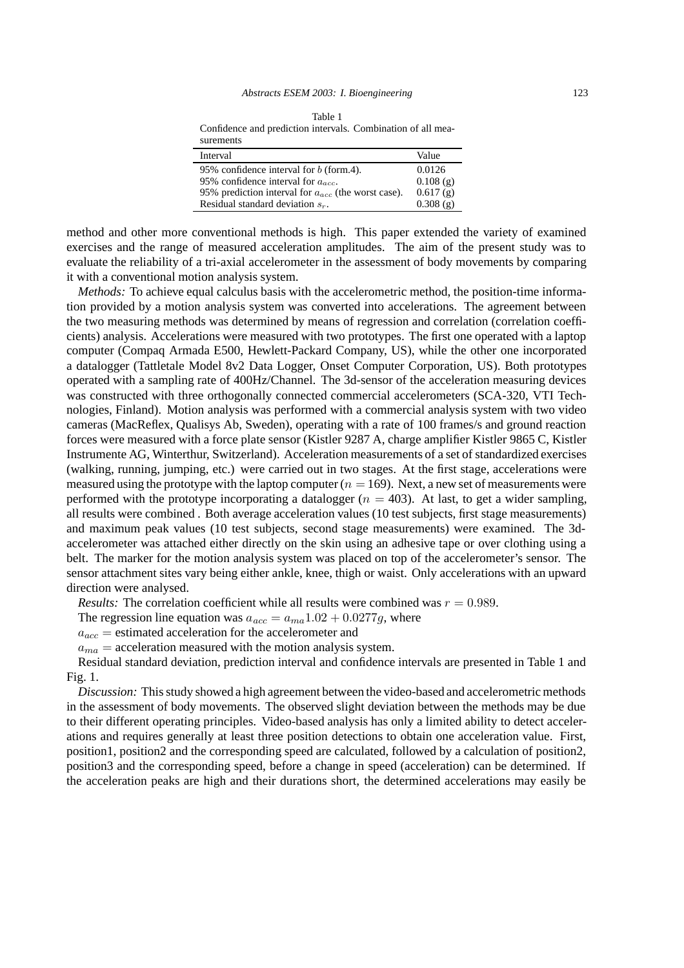| Table 1                                                      |          |  |  |  |
|--------------------------------------------------------------|----------|--|--|--|
| Confidence and prediction intervals. Combination of all mea- |          |  |  |  |
| surements                                                    |          |  |  |  |
| Interval                                                     | Value    |  |  |  |
| 95% confidence interval for $b$ (form.4).                    | 0.0126   |  |  |  |
| 95% confidence interval for $a_{acc}$ .                      | 0.108(g) |  |  |  |
| 95% prediction interval for $a_{acc}$ (the worst case).      | 0.617(g) |  |  |  |

Residual standard deviation s*r*. 0.308 (g)

method and other more conventional methods is high. This paper extended the variety of examined exercises and the range of measured acceleration amplitudes. The aim of the present study was to evaluate the reliability of a tri-axial accelerometer in the assessment of body movements by comparing it with a conventional motion analysis system.

*Methods:* To achieve equal calculus basis with the accelerometric method, the position-time information provided by a motion analysis system was converted into accelerations. The agreement between the two measuring methods was determined by means of regression and correlation (correlation coefficients) analysis. Accelerations were measured with two prototypes. The first one operated with a laptop computer (Compaq Armada E500, Hewlett-Packard Company, US), while the other one incorporated a datalogger (Tattletale Model 8v2 Data Logger, Onset Computer Corporation, US). Both prototypes operated with a sampling rate of 400Hz/Channel. The 3d-sensor of the acceleration measuring devices was constructed with three orthogonally connected commercial accelerometers (SCA-320, VTI Technologies, Finland). Motion analysis was performed with a commercial analysis system with two video cameras (MacReflex, Qualisys Ab, Sweden), operating with a rate of 100 frames/s and ground reaction forces were measured with a force plate sensor (Kistler 9287 A, charge amplifier Kistler 9865 C, Kistler Instrumente AG, Winterthur, Switzerland). Acceleration measurements of a set of standardized exercises (walking, running, jumping, etc.) were carried out in two stages. At the first stage, accelerations were measured using the prototype with the laptop computer ( $n = 169$ ). Next, a new set of measurements were performed with the prototype incorporating a datalogger  $(n = 403)$ . At last, to get a wider sampling, all results were combined . Both average acceleration values (10 test subjects, first stage measurements) and maximum peak values (10 test subjects, second stage measurements) were examined. The 3daccelerometer was attached either directly on the skin using an adhesive tape or over clothing using a belt. The marker for the motion analysis system was placed on top of the accelerometer's sensor. The sensor attachment sites vary being either ankle, knee, thigh or waist. Only accelerations with an upward direction were analysed.

*Results:* The correlation coefficient while all results were combined was  $r = 0.989$ .

The regression line equation was  $a_{acc} = a_{ma} 1.02 + 0.0277g$ , where

 $a_{acc}$  = estimated acceleration for the accelerometer and

l,

 $a_{ma}$  = acceleration measured with the motion analysis system.

Residual standard deviation, prediction interval and confidence intervals are presented in Table 1 and Fig. 1.

*Discussion:* This study showed a high agreement between the video-based and accelerometric methods in the assessment of body movements. The observed slight deviation between the methods may be due to their different operating principles. Video-based analysis has only a limited ability to detect accelerations and requires generally at least three position detections to obtain one acceleration value. First, position1, position2 and the corresponding speed are calculated, followed by a calculation of position2, position3 and the corresponding speed, before a change in speed (acceleration) can be determined. If the acceleration peaks are high and their durations short, the determined accelerations may easily be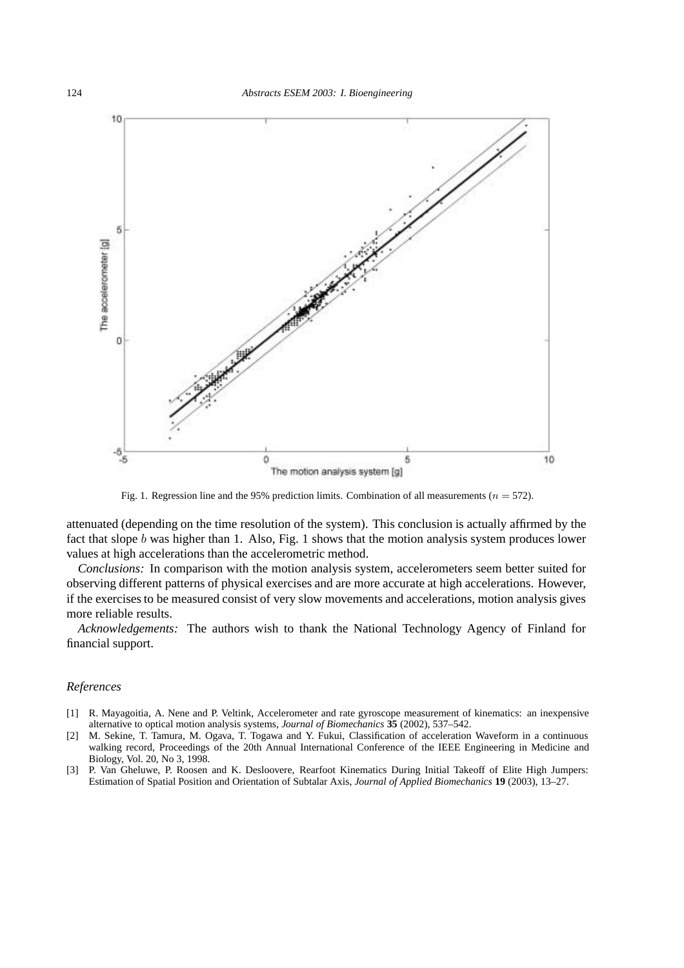

Fig. 1. Regression line and the 95% prediction limits. Combination of all measurements ( $n = 572$ ).

attenuated (depending on the time resolution of the system). This conclusion is actually affirmed by the fact that slope b was higher than 1. Also, Fig. 1 shows that the motion analysis system produces lower values at high accelerations than the accelerometric method.

*Conclusions:* In comparison with the motion analysis system, accelerometers seem better suited for observing different patterns of physical exercises and are more accurate at high accelerations. However, if the exercises to be measured consist of very slow movements and accelerations, motion analysis gives more reliable results.

*Acknowledgements:* The authors wish to thank the National Technology Agency of Finland for financial support.

# *References*

- [1] R. Mayagoitia, A. Nene and P. Veltink, Accelerometer and rate gyroscope measurement of kinematics: an inexpensive alternative to optical motion analysis systems, *Journal of Biomechanics* **35** (2002), 537–542.
- [2] M. Sekine, T. Tamura, M. Ogava, T. Togawa and Y. Fukui, Classification of acceleration Waveform in a continuous walking record, Proceedings of the 20th Annual International Conference of the IEEE Engineering in Medicine and Biology, Vol. 20, No 3, 1998.
- [3] P. Van Gheluwe, P. Roosen and K. Desloovere, Rearfoot Kinematics During Initial Takeoff of Elite High Jumpers: Estimation of Spatial Position and Orientation of Subtalar Axis, *Journal of Applied Biomechanics* **19** (2003), 13–27.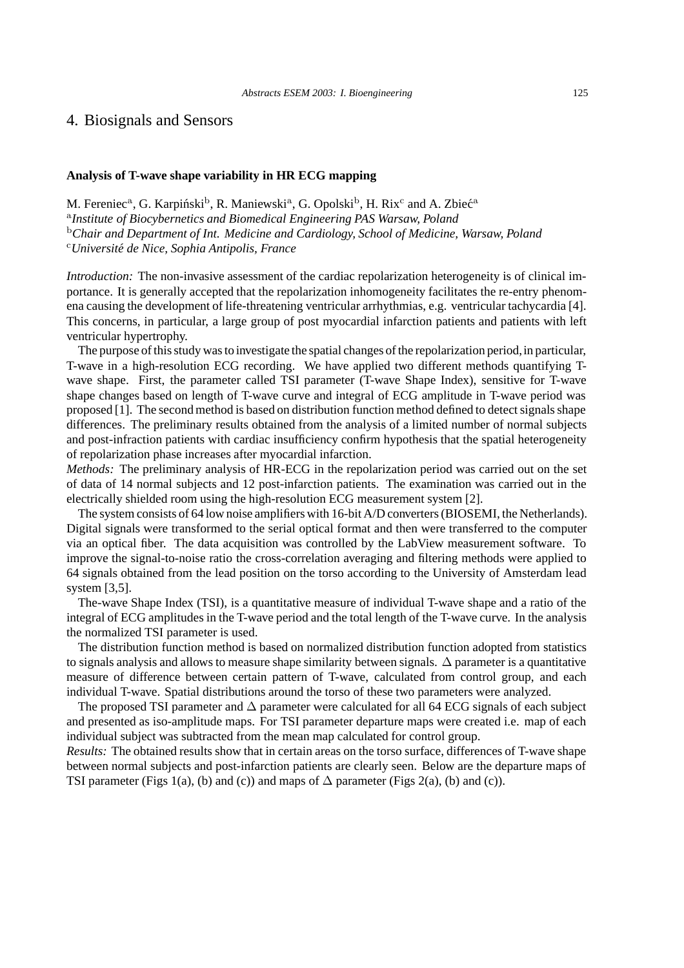# 4. Biosignals and Sensors

# **Analysis of T-wave shape variability in HR ECG mapping**

M. Fereniec<sup>a</sup>, G. Karpiński<sup>b</sup>, R. Maniewski<sup>a</sup>, G. Opolski<sup>b</sup>, H. Rix<sup>c</sup> and A. Zbieć<sup>a</sup> <sup>a</sup>*Institute of Biocybernetics and Biomedical Engineering PAS Warsaw, Poland* <sup>b</sup>*Chair and Department of Int. Medicine and Cardiology, School of Medicine, Warsaw, Poland* <sup>c</sup>*Universite de Nice, Sophia Antipolis, France ´*

*Introduction:* The non-invasive assessment of the cardiac repolarization heterogeneity is of clinical importance. It is generally accepted that the repolarization inhomogeneity facilitates the re-entry phenomena causing the development of life-threatening ventricular arrhythmias, e.g. ventricular tachycardia [4]. This concerns, in particular, a large group of post myocardial infarction patients and patients with left ventricular hypertrophy.

The purpose of this study was to investigate the spatial changes of the repolarization period,in particular, T-wave in a high-resolution ECG recording. We have applied two different methods quantifying Twave shape. First, the parameter called TSI parameter (T-wave Shape Index), sensitive for T-wave shape changes based on length of T-wave curve and integral of ECG amplitude in T-wave period was proposed [1]. The second method is based on distribution function method defined to detect signals shape differences. The preliminary results obtained from the analysis of a limited number of normal subjects and post-infraction patients with cardiac insufficiency confirm hypothesis that the spatial heterogeneity of repolarization phase increases after myocardial infarction.

*Methods:* The preliminary analysis of HR-ECG in the repolarization period was carried out on the set of data of 14 normal subjects and 12 post-infarction patients. The examination was carried out in the electrically shielded room using the high-resolution ECG measurement system [2].

The system consists of 64 low noise amplifiers with 16-bit A/D converters (BIOSEMI, the Netherlands). Digital signals were transformed to the serial optical format and then were transferred to the computer via an optical fiber. The data acquisition was controlled by the LabView measurement software. To improve the signal-to-noise ratio the cross-correlation averaging and filtering methods were applied to 64 signals obtained from the lead position on the torso according to the University of Amsterdam lead system [3,5].

The-wave Shape Index (TSI), is a quantitative measure of individual T-wave shape and a ratio of the integral of ECG amplitudes in the T-wave period and the total length of the T-wave curve. In the analysis the normalized TSI parameter is used.

The distribution function method is based on normalized distribution function adopted from statistics to signals analysis and allows to measure shape similarity between signals. ∆ parameter is a quantitative measure of difference between certain pattern of T-wave, calculated from control group, and each individual T-wave. Spatial distributions around the torso of these two parameters were analyzed.

The proposed TSI parameter and ∆ parameter were calculated for all 64 ECG signals of each subject and presented as iso-amplitude maps. For TSI parameter departure maps were created i.e. map of each individual subject was subtracted from the mean map calculated for control group.

*Results:* The obtained results show that in certain areas on the torso surface, differences of T-wave shape between normal subjects and post-infarction patients are clearly seen. Below are the departure maps of TSI parameter (Figs 1(a), (b) and (c)) and maps of  $\Delta$  parameter (Figs 2(a), (b) and (c)).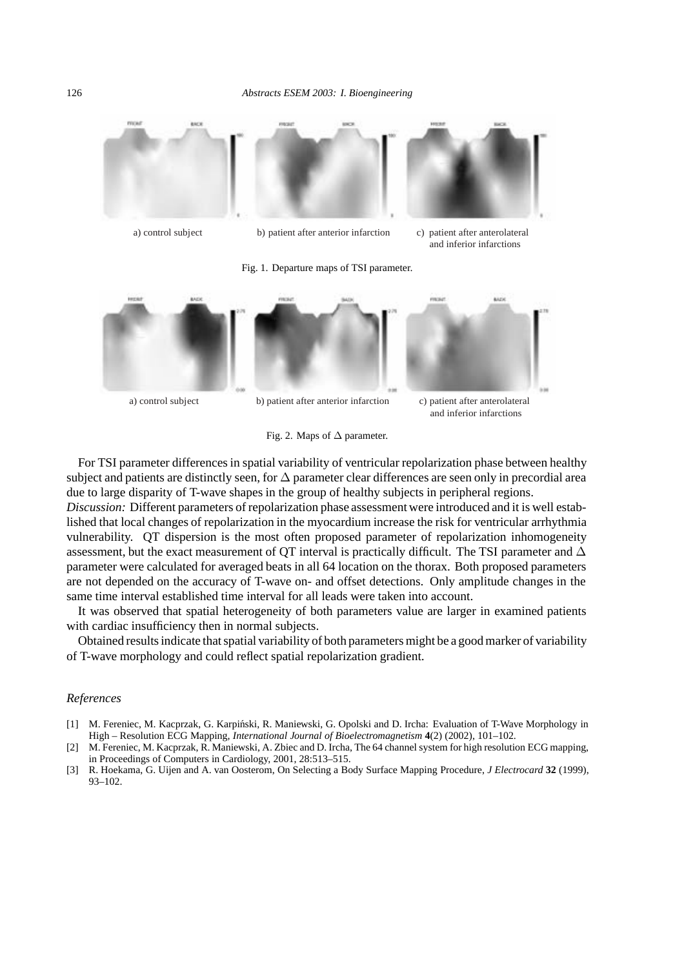



and inferior infarctions

For TSI parameter differences in spatial variability of ventricular repolarization phase between healthy subject and patients are distinctly seen, for  $\Delta$  parameter clear differences are seen only in precordial area due to large disparity of T-wave shapes in the group of healthy subjects in peripheral regions.

*Discussion:* Different parameters of repolarization phase assessment were introduced and it is well established that local changes of repolarization in the myocardium increase the risk for ventricular arrhythmia vulnerability. QT dispersion is the most often proposed parameter of repolarization inhomogeneity assessment, but the exact measurement of OT interval is practically difficult. The TSI parameter and  $\Delta$ parameter were calculated for averaged beats in all 64 location on the thorax. Both proposed parameters are not depended on the accuracy of T-wave on- and offset detections. Only amplitude changes in the same time interval established time interval for all leads were taken into account.

It was observed that spatial heterogeneity of both parameters value are larger in examined patients with cardiac insufficiency then in normal subjects.

Obtained results indicate that spatial variability of both parameters might be a good marker of variability of T-wave morphology and could reflect spatial repolarization gradient.

### *References*

- [1] M. Fereniec, M. Kacprzak, G. Karpinski, R. Maniewski, G. Opolski and D. Ircha: Evaluation of T-Wave Morphology in ´ High – Resolution ECG Mapping, *International Journal of Bioelectromagnetism* **4**(2) (2002), 101–102.
- [2] M. Fereniec, M. Kacprzak, R. Maniewski, A. Zbiec and D. Ircha, The 64 channel system for high resolution ECG mapping, in Proceedings of Computers in Cardiology, 2001, 28:513–515.
- [3] R. Hoekama, G. Uijen and A. van Oosterom, On Selecting a Body Surface Mapping Procedure, *J Electrocard* **32** (1999), 93–102.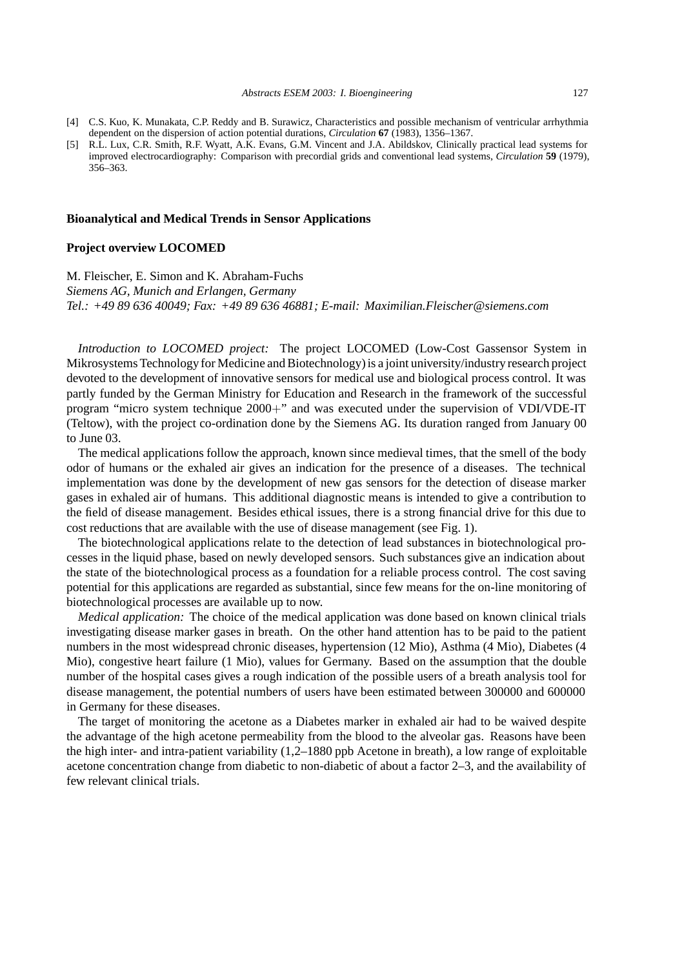[4] C.S. Kuo, K. Munakata, C.P. Reddy and B. Surawicz, Characteristics and possible mechanism of ventricular arrhythmia dependent on the dispersion of action potential durations, *Circulation* **67** (1983), 1356–1367.

[5] R.L. Lux, C.R. Smith, R.F. Wyatt, A.K. Evans, G.M. Vincent and J.A. Abildskov, Clinically practical lead systems for improved electrocardiography: Comparison with precordial grids and conventional lead systems, *Circulation* **59** (1979), 356–363.

#### **Bioanalytical and Medical Trends in Sensor Applications**

# **Project overview LOCOMED**

M. Fleischer, E. Simon and K. Abraham-Fuchs

*Siemens AG, Munich and Erlangen, Germany*

*Tel.: +49 89 636 40049; Fax: +49 89 636 46881; E-mail: Maximilian.Fleischer@siemens.com*

*Introduction to LOCOMED project:* The project LOCOMED (Low-Cost Gassensor System in Mikrosystems Technology for Medicine and Biotechnology) is a joint university/industry research project devoted to the development of innovative sensors for medical use and biological process control. It was partly funded by the German Ministry for Education and Research in the framework of the successful program "micro system technique 2000+" and was executed under the supervision of VDI/VDE-IT (Teltow), with the project co-ordination done by the Siemens AG. Its duration ranged from January 00 to June 03.

The medical applications follow the approach, known since medieval times, that the smell of the body odor of humans or the exhaled air gives an indication for the presence of a diseases. The technical implementation was done by the development of new gas sensors for the detection of disease marker gases in exhaled air of humans. This additional diagnostic means is intended to give a contribution to the field of disease management. Besides ethical issues, there is a strong financial drive for this due to cost reductions that are available with the use of disease management (see Fig. 1).

The biotechnological applications relate to the detection of lead substances in biotechnological processes in the liquid phase, based on newly developed sensors. Such substances give an indication about the state of the biotechnological process as a foundation for a reliable process control. The cost saving potential for this applications are regarded as substantial, since few means for the on-line monitoring of biotechnological processes are available up to now.

*Medical application:* The choice of the medical application was done based on known clinical trials investigating disease marker gases in breath. On the other hand attention has to be paid to the patient numbers in the most widespread chronic diseases, hypertension (12 Mio), Asthma (4 Mio), Diabetes (4 Mio), congestive heart failure (1 Mio), values for Germany. Based on the assumption that the double number of the hospital cases gives a rough indication of the possible users of a breath analysis tool for disease management, the potential numbers of users have been estimated between 300000 and 600000 in Germany for these diseases.

The target of monitoring the acetone as a Diabetes marker in exhaled air had to be waived despite the advantage of the high acetone permeability from the blood to the alveolar gas. Reasons have been the high inter- and intra-patient variability (1,2–1880 ppb Acetone in breath), a low range of exploitable acetone concentration change from diabetic to non-diabetic of about a factor 2–3, and the availability of few relevant clinical trials.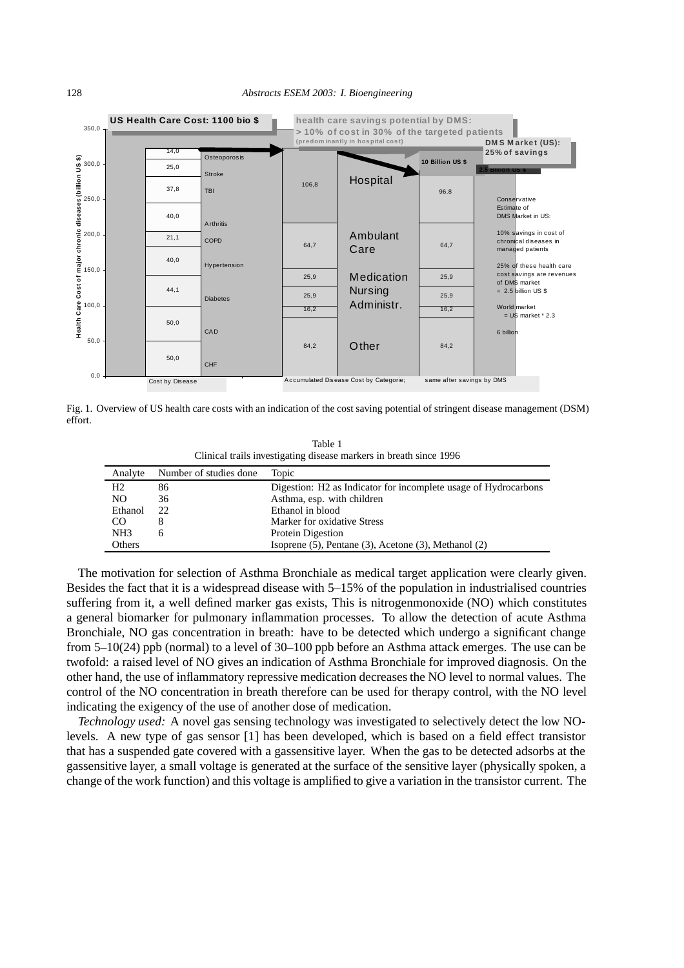#### 128 *Abstracts ESEM 2003: I. Bioengineering*



Fig. 1. Overview of US health care costs with an indication of the cost saving potential of stringent disease management (DSM) effort.

Table 1 Clinical trails investigating disease markers in breath since 1996

| Analyte         | Number of studies done | Topic                                                                       |
|-----------------|------------------------|-----------------------------------------------------------------------------|
| H <sub>2</sub>  | 86                     | Digestion: H <sub>2</sub> as Indicator for incomplete usage of Hydrocarbons |
| NO.             | 36                     | Asthma, esp. with children                                                  |
| Ethanol         | 22                     | Ethanol in blood                                                            |
| CO              |                        | Marker for oxidative Stress                                                 |
| NH <sub>3</sub> |                        | <b>Protein Digestion</b>                                                    |
| Others          |                        | Isoprene $(5)$ , Pentane $(3)$ , Acetone $(3)$ , Methanol $(2)$             |

The motivation for selection of Asthma Bronchiale as medical target application were clearly given. Besides the fact that it is a widespread disease with 5–15% of the population in industrialised countries suffering from it, a well defined marker gas exists, This is nitrogenmonoxide (NO) which constitutes a general biomarker for pulmonary inflammation processes. To allow the detection of acute Asthma Bronchiale, NO gas concentration in breath: have to be detected which undergo a significant change from 5–10(24) ppb (normal) to a level of 30–100 ppb before an Asthma attack emerges. The use can be twofold: a raised level of NO gives an indication of Asthma Bronchiale for improved diagnosis. On the other hand, the use of inflammatory repressive medication decreases the NO level to normal values. The control of the NO concentration in breath therefore can be used for therapy control, with the NO level indicating the exigency of the use of another dose of medication.

*Technology used:* A novel gas sensing technology was investigated to selectively detect the low NOlevels. A new type of gas sensor [1] has been developed, which is based on a field effect transistor that has a suspended gate covered with a gassensitive layer. When the gas to be detected adsorbs at the gassensitive layer, a small voltage is generated at the surface of the sensitive layer (physically spoken, a change of the work function) and this voltage is amplified to give a variation in the transistor current. The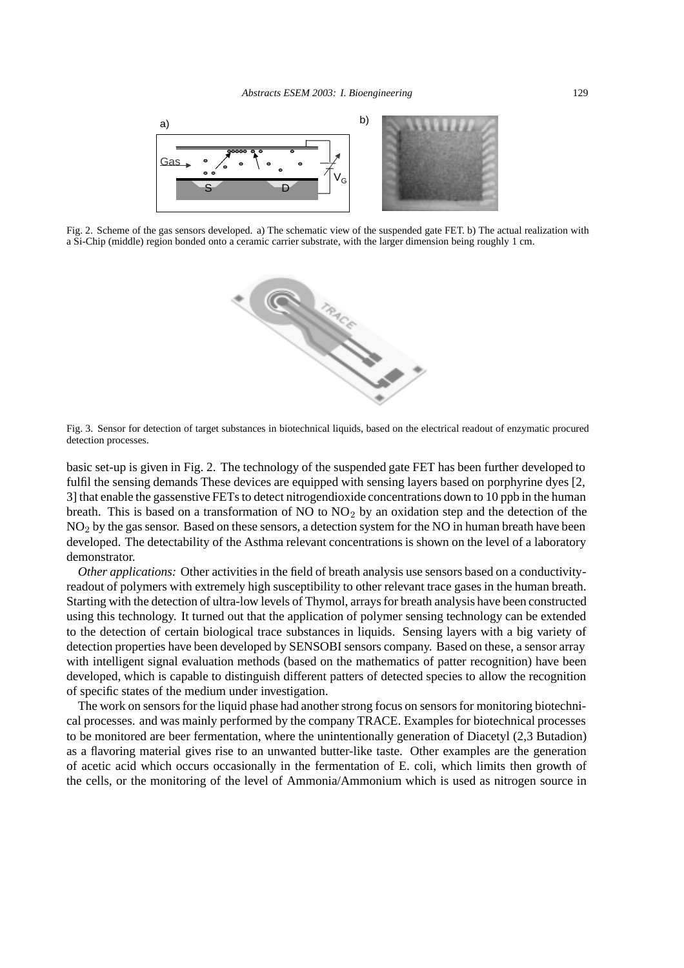

Fig. 2. Scheme of the gas sensors developed. a) The schematic view of the suspended gate FET. b) The actual realization with a Si-Chip (middle) region bonded onto a ceramic carrier substrate, with the larger dimension being roughly 1 cm.



Fig. 3. Sensor for detection of target substances in biotechnical liquids, based on the electrical readout of enzymatic procured detection processes.

basic set-up is given in Fig. 2. The technology of the suspended gate FET has been further developed to fulfil the sensing demands These devices are equipped with sensing layers based on porphyrine dyes [2, 3] that enable the gassenstive FETs to detect nitrogendioxide concentrations down to 10 ppb in the human breath. This is based on a transformation of NO to  $NO<sub>2</sub>$  by an oxidation step and the detection of the NO2 by the gas sensor. Based on these sensors, a detection system for the NO in human breath have been developed. The detectability of the Asthma relevant concentrations is shown on the level of a laboratory demonstrator.

*Other applications:* Other activities in the field of breath analysis use sensors based on a conductivityreadout of polymers with extremely high susceptibility to other relevant trace gases in the human breath. Starting with the detection of ultra-low levels of Thymol, arrays for breath analysis have been constructed using this technology. It turned out that the application of polymer sensing technology can be extended to the detection of certain biological trace substances in liquids. Sensing layers with a big variety of detection properties have been developed by SENSOBI sensors company. Based on these, a sensor array with intelligent signal evaluation methods (based on the mathematics of patter recognition) have been developed, which is capable to distinguish different patters of detected species to allow the recognition of specific states of the medium under investigation.

The work on sensors for the liquid phase had another strong focus on sensors for monitoring biotechnical processes. and was mainly performed by the company TRACE. Examples for biotechnical processes to be monitored are beer fermentation, where the unintentionally generation of Diacetyl (2,3 Butadion) as a flavoring material gives rise to an unwanted butter-like taste. Other examples are the generation of acetic acid which occurs occasionally in the fermentation of E. coli, which limits then growth of the cells, or the monitoring of the level of Ammonia/Ammonium which is used as nitrogen source in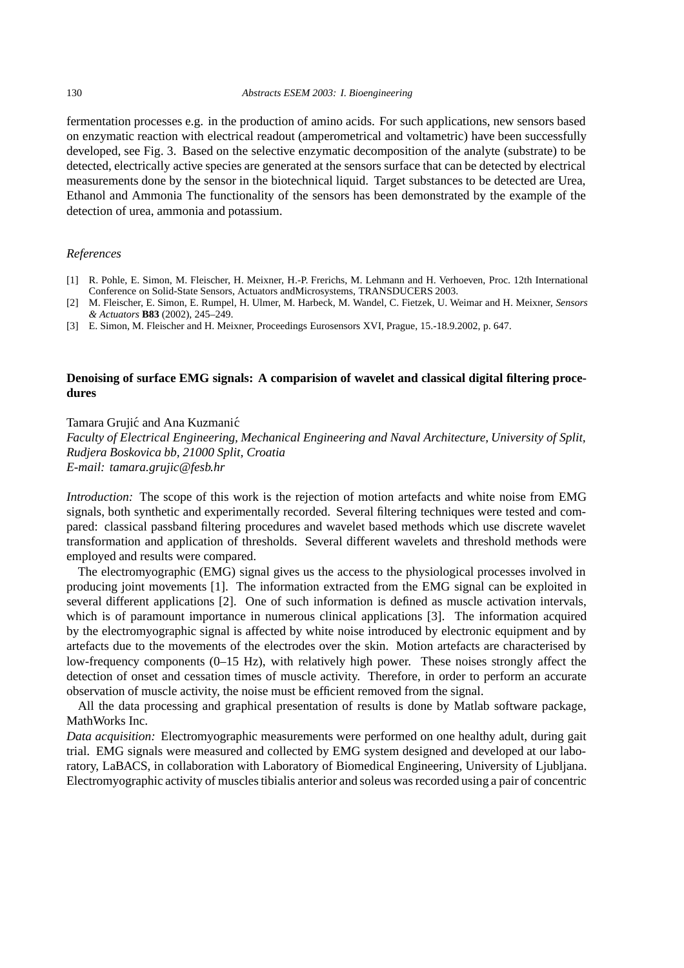fermentation processes e.g. in the production of amino acids. For such applications, new sensors based on enzymatic reaction with electrical readout (amperometrical and voltametric) have been successfully developed, see Fig. 3. Based on the selective enzymatic decomposition of the analyte (substrate) to be detected, electrically active species are generated at the sensors surface that can be detected by electrical measurements done by the sensor in the biotechnical liquid. Target substances to be detected are Urea, Ethanol and Ammonia The functionality of the sensors has been demonstrated by the example of the detection of urea, ammonia and potassium.

#### *References*

- [1] R. Pohle, E. Simon, M. Fleischer, H. Meixner, H.-P. Frerichs, M. Lehmann and H. Verhoeven, Proc. 12th International Conference on Solid-State Sensors, Actuators andMicrosystems, TRANSDUCERS 2003.
- [2] M. Fleischer, E. Simon, E. Rumpel, H. Ulmer, M. Harbeck, M. Wandel, C. Fietzek, U. Weimar and H. Meixner, *Sensors & Actuators* **B83** (2002), 245–249.
- [3] E. Simon, M. Fleischer and H. Meixner, Proceedings Eurosensors XVI, Prague, 15.-18.9.2002, p. 647.

# **Denoising of surface EMG signals: A comparision of wavelet and classical digital filtering procedures**

Tamara Grujić and Ana Kuzmanić *Faculty of Electrical Engineering, Mechanical Engineering and Naval Architecture, University of Split, Rudjera Boskovica bb, 21000 Split, Croatia E-mail: tamara.grujic@fesb.hr*

*Introduction:* The scope of this work is the rejection of motion artefacts and white noise from EMG signals, both synthetic and experimentally recorded. Several filtering techniques were tested and compared: classical passband filtering procedures and wavelet based methods which use discrete wavelet transformation and application of thresholds. Several different wavelets and threshold methods were employed and results were compared.

The electromyographic (EMG) signal gives us the access to the physiological processes involved in producing joint movements [1]. The information extracted from the EMG signal can be exploited in several different applications [2]. One of such information is defined as muscle activation intervals, which is of paramount importance in numerous clinical applications [3]. The information acquired by the electromyographic signal is affected by white noise introduced by electronic equipment and by artefacts due to the movements of the electrodes over the skin. Motion artefacts are characterised by low-frequency components (0–15 Hz), with relatively high power. These noises strongly affect the detection of onset and cessation times of muscle activity. Therefore, in order to perform an accurate observation of muscle activity, the noise must be efficient removed from the signal.

All the data processing and graphical presentation of results is done by Matlab software package, MathWorks Inc.

*Data acquisition:* Electromyographic measurements were performed on one healthy adult, during gait trial. EMG signals were measured and collected by EMG system designed and developed at our laboratory, LaBACS, in collaboration with Laboratory of Biomedical Engineering, University of Ljubljana. Electromyographic activity of muscles tibialis anterior and soleus was recorded using a pair of concentric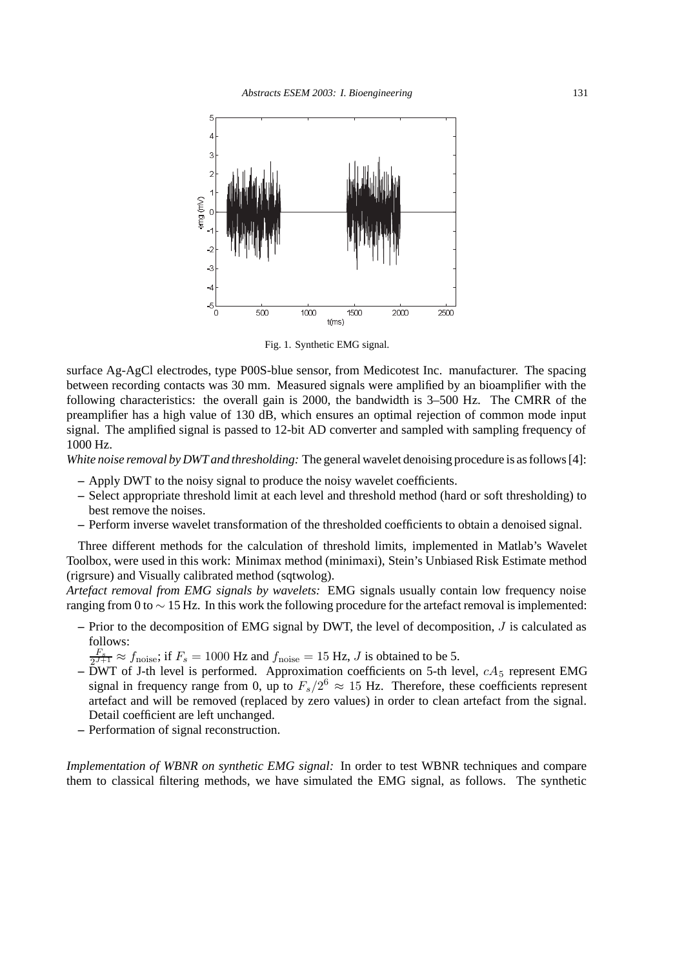

Fig. 1. Synthetic EMG signal.

surface Ag-AgCl electrodes, type P00S-blue sensor, from Medicotest Inc. manufacturer. The spacing between recording contacts was 30 mm. Measured signals were amplified by an bioamplifier with the following characteristics: the overall gain is 2000, the bandwidth is 3–500 Hz. The CMRR of the preamplifier has a high value of 130 dB, which ensures an optimal rejection of common mode input signal. The amplified signal is passed to 12-bit AD converter and sampled with sampling frequency of 1000 Hz.

*White noise removal by DWT and thresholding:* The general wavelet denoising procedure is as follows [4]:

- **–** Apply DWT to the noisy signal to produce the noisy wavelet coefficients.
- **–** Select appropriate threshold limit at each level and threshold method (hard or soft thresholding) to best remove the noises.
- **–** Perform inverse wavelet transformation of the thresholded coefficients to obtain a denoised signal.

Three different methods for the calculation of threshold limits, implemented in Matlab's Wavelet Toolbox, were used in this work: Minimax method (minimaxi), Stein's Unbiased Risk Estimate method (rigrsure) and Visually calibrated method (sqtwolog).

*Artefact removal from EMG signals by wavelets:* EMG signals usually contain low frequency noise ranging from 0 to ∼ 15 Hz. In this work the following procedure for the artefact removal is implemented:

- **–** Prior to the decomposition of EMG signal by DWT, the level of decomposition, J is calculated as follows:
- $\frac{F_s}{2^{J+1}} \approx f_{\text{noise}}$ ; if  $F_s = 1000$  Hz and  $f_{\text{noise}} = 15$  Hz, *J* is obtained to be 5.
- DWT of J-th level is performed. Approximation coefficients on 5-th level,  $cA_5$  represent EMG signal in frequency range from 0, up to  $F_s/2^6 \approx 15$  Hz. Therefore, these coefficients represent artefact and will be removed (replaced by zero values) in order to clean artefact from the signal. Detail coefficient are left unchanged.
- **–** Performation of signal reconstruction.

*Implementation of WBNR on synthetic EMG signal:* In order to test WBNR techniques and compare them to classical filtering methods, we have simulated the EMG signal, as follows. The synthetic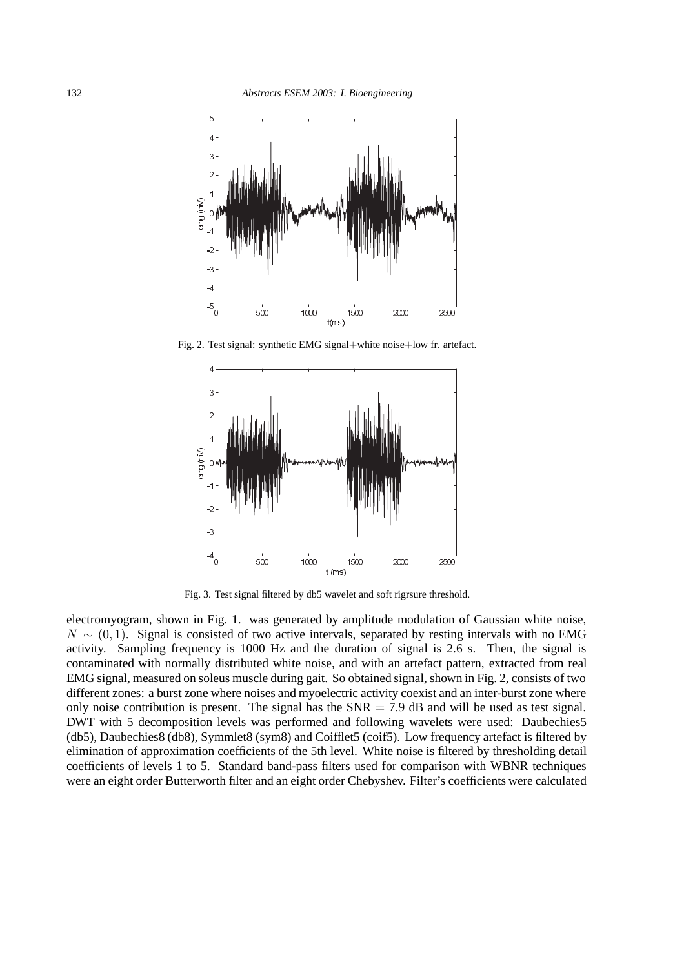

Fig. 2. Test signal: synthetic EMG signal+white noise+low fr. artefact.



Fig. 3. Test signal filtered by db5 wavelet and soft rigrsure threshold.

electromyogram, shown in Fig. 1. was generated by amplitude modulation of Gaussian white noise,  $N \sim (0, 1)$ . Signal is consisted of two active intervals, separated by resting intervals with no EMG activity. Sampling frequency is 1000 Hz and the duration of signal is 2.6 s. Then, the signal is contaminated with normally distributed white noise, and with an artefact pattern, extracted from real EMG signal, measured on soleus muscle during gait. So obtained signal, shown in Fig. 2, consists of two different zones: a burst zone where noises and myoelectric activity coexist and an inter-burst zone where only noise contribution is present. The signal has the  $SNR = 7.9$  dB and will be used as test signal. DWT with 5 decomposition levels was performed and following wavelets were used: Daubechies5 (db5), Daubechies8 (db8), Symmlet8 (sym8) and Coifflet5 (coif5). Low frequency artefact is filtered by elimination of approximation coefficients of the 5th level. White noise is filtered by thresholding detail coefficients of levels 1 to 5. Standard band-pass filters used for comparison with WBNR techniques were an eight order Butterworth filter and an eight order Chebyshev. Filter's coefficients were calculated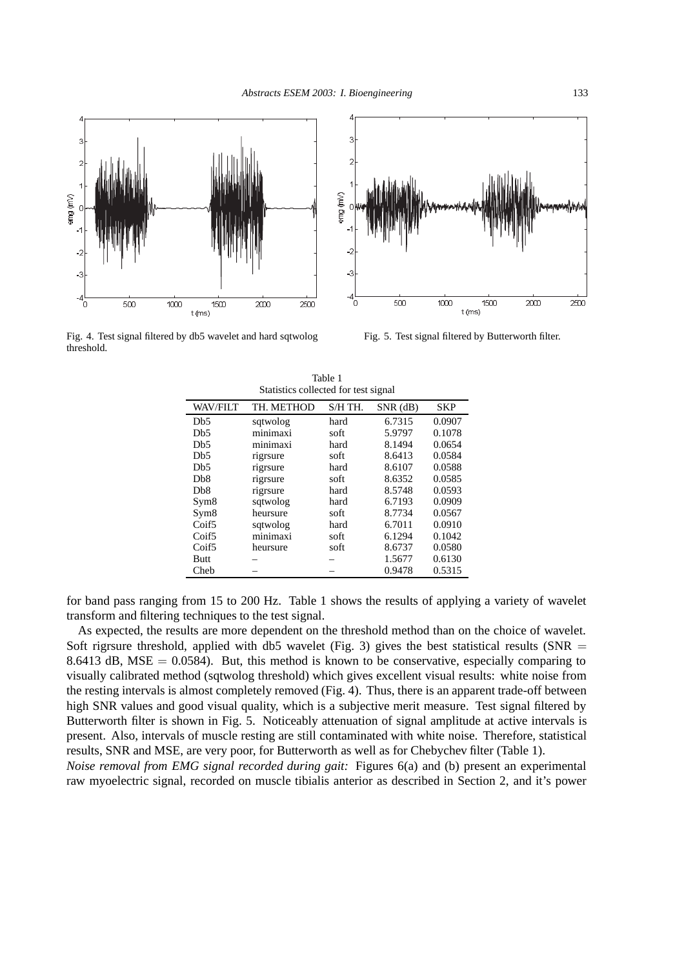

Fig. 4. Test signal filtered by db5 wavelet and hard sqtwolog threshold.



Fig. 5. Test signal filtered by Butterworth filter.

| Statistics conected for test signal |            |         |                |            |  |
|-------------------------------------|------------|---------|----------------|------------|--|
| <b>WAV/FILT</b>                     | TH. METHOD | S/H TH. | $SNR$ ( $dB$ ) | <b>SKP</b> |  |
| Db <sub>5</sub>                     | sqtwolog   | hard    | 6.7315         | 0.0907     |  |
| Db <sub>5</sub>                     | minimaxi   | soft    | 5.9797         | 0.1078     |  |
| D <sub>b5</sub>                     | minimaxi   | hard    | 8.1494         | 0.0654     |  |
| D <sub>b5</sub>                     | rigrsure   | soft    | 8.6413         | 0.0584     |  |
| D <sub>b5</sub>                     | rigrsure   | hard    | 8.6107         | 0.0588     |  |
| D <sub>b</sub> 8                    | rigrsure   | soft    | 8.6352         | 0.0585     |  |
| D <sub>b</sub> 8                    | rigrsure   | hard    | 8.5748         | 0.0593     |  |
| Sym <sub>8</sub>                    | sqtwolog   | hard    | 6.7193         | 0.0909     |  |
| Sym <sub>8</sub>                    | heursure   | soft    | 8.7734         | 0.0567     |  |
| Coif <sub>5</sub>                   | sqtwolog   | hard    | 6.7011         | 0.0910     |  |
| Coif <sub>5</sub>                   | minimaxi   | soft    | 6.1294         | 0.1042     |  |
| Coif <sub>5</sub>                   | heursure   | soft    | 8.6737         | 0.0580     |  |
| Butt                                |            |         | 1.5677         | 0.6130     |  |
| Cheb                                |            |         | 0.9478         | 0.5315     |  |

Table 1 Statistics collected for test signal

for band pass ranging from 15 to 200 Hz. Table 1 shows the results of applying a variety of wavelet transform and filtering techniques to the test signal.

As expected, the results are more dependent on the threshold method than on the choice of wavelet. Soft rigrsure threshold, applied with db5 wavelet (Fig. 3) gives the best statistical results (SNR  $=$ 8.6413 dB, MSE  $= 0.0584$ ). But, this method is known to be conservative, especially comparing to visually calibrated method (sqtwolog threshold) which gives excellent visual results: white noise from the resting intervals is almost completely removed (Fig. 4). Thus, there is an apparent trade-off between high SNR values and good visual quality, which is a subjective merit measure. Test signal filtered by Butterworth filter is shown in Fig. 5. Noticeably attenuation of signal amplitude at active intervals is present. Also, intervals of muscle resting are still contaminated with white noise. Therefore, statistical results, SNR and MSE, are very poor, for Butterworth as well as for Chebychev filter (Table 1).

*Noise removal from EMG signal recorded during gait:* Figures 6(a) and (b) present an experimental raw myoelectric signal, recorded on muscle tibialis anterior as described in Section 2, and it's power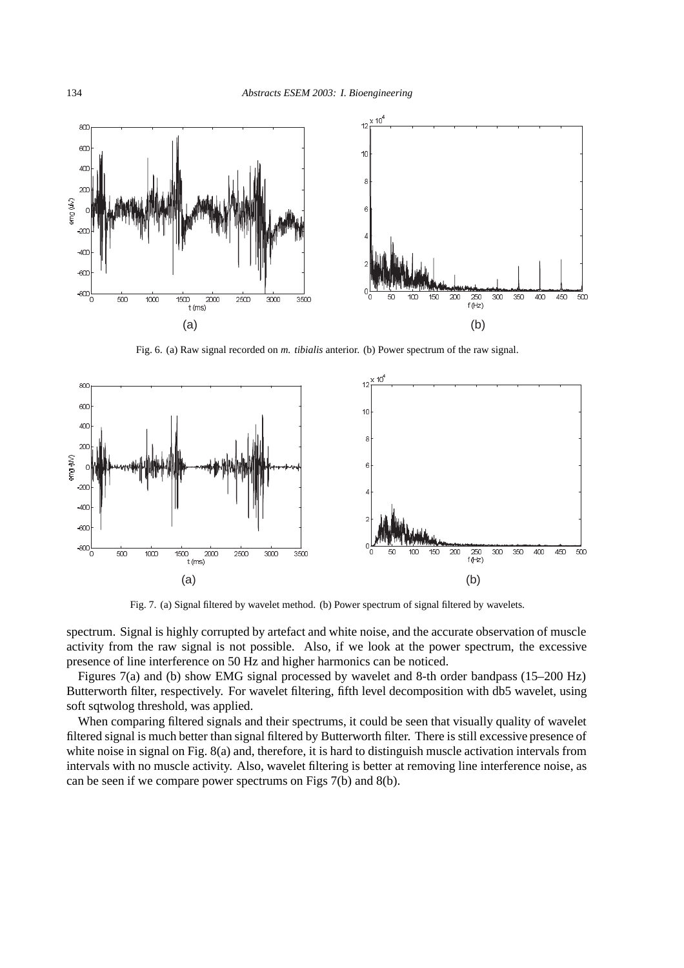

Fig. 6. (a) Raw signal recorded on *m. tibialis* anterior. (b) Power spectrum of the raw signal.



Fig. 7. (a) Signal filtered by wavelet method. (b) Power spectrum of signal filtered by wavelets.

spectrum. Signal is highly corrupted by artefact and white noise, and the accurate observation of muscle activity from the raw signal is not possible. Also, if we look at the power spectrum, the excessive presence of line interference on 50 Hz and higher harmonics can be noticed.

Figures 7(a) and (b) show EMG signal processed by wavelet and 8-th order bandpass (15–200 Hz) Butterworth filter, respectively. For wavelet filtering, fifth level decomposition with db5 wavelet, using soft sqtwolog threshold, was applied.

When comparing filtered signals and their spectrums, it could be seen that visually quality of wavelet filtered signal is much better than signal filtered by Butterworth filter. There is still excessive presence of white noise in signal on Fig. 8(a) and, therefore, it is hard to distinguish muscle activation intervals from intervals with no muscle activity. Also, wavelet filtering is better at removing line interference noise, as can be seen if we compare power spectrums on Figs 7(b) and 8(b).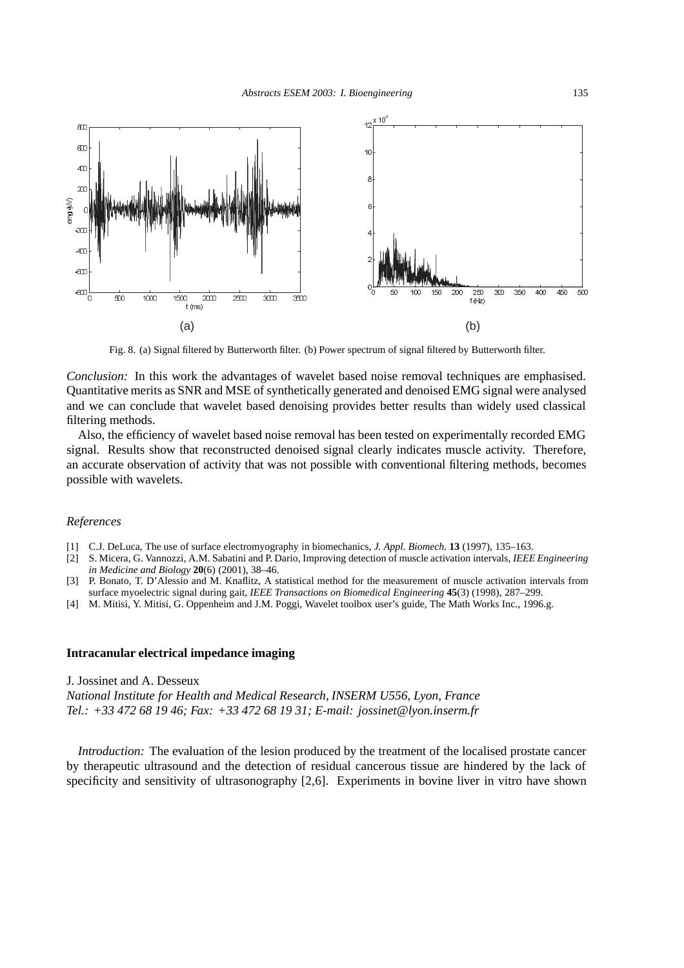

Fig. 8. (a) Signal filtered by Butterworth filter. (b) Power spectrum of signal filtered by Butterworth filter.

*Conclusion:* In this work the advantages of wavelet based noise removal techniques are emphasised. Quantitative merits as SNR and MSE of synthetically generated and denoised EMG signal were analysed and we can conclude that wavelet based denoising provides better results than widely used classical filtering methods.

Also, the efficiency of wavelet based noise removal has been tested on experimentally recorded EMG signal. Results show that reconstructed denoised signal clearly indicates muscle activity. Therefore, an accurate observation of activity that was not possible with conventional filtering methods, becomes possible with wavelets.

### *References*

- [1] C.J. DeLuca, The use of surface electromyography in biomechanics, *J. Appl. Biomech.* **13** (1997), 135–163.
- [2] S. Micera, G. Vannozzi, A.M. Sabatini and P. Dario, Improving detection of muscle activation intervals, *IEEE Engineering in Medicine and Biology* **20**(6) (2001), 38–46.
- [3] P. Bonato, T. D'Alessio and M. Knaflitz, A statistical method for the measurement of muscle activation intervals from surface myoelectric signal during gait, *IEEE Transactions on Biomedical Engineering* **45**(3) (1998), 287–299.
- [4] M. Mitisi, Y. Mitisi, G. Oppenheim and J.M. Poggi, Wavelet toolbox user's guide, The Math Works Inc., 1996.g.

### **Intracanular electrical impedance imaging**

### J. Jossinet and A. Desseux

*National Institute for Health and Medical Research, INSERM U556, Lyon, France Tel.: +33 472 68 19 46; Fax: +33 472 68 19 31; E-mail: jossinet@lyon.inserm.fr*

*Introduction:* The evaluation of the lesion produced by the treatment of the localised prostate cancer by therapeutic ultrasound and the detection of residual cancerous tissue are hindered by the lack of specificity and sensitivity of ultrasonography [2,6]. Experiments in bovine liver in vitro have shown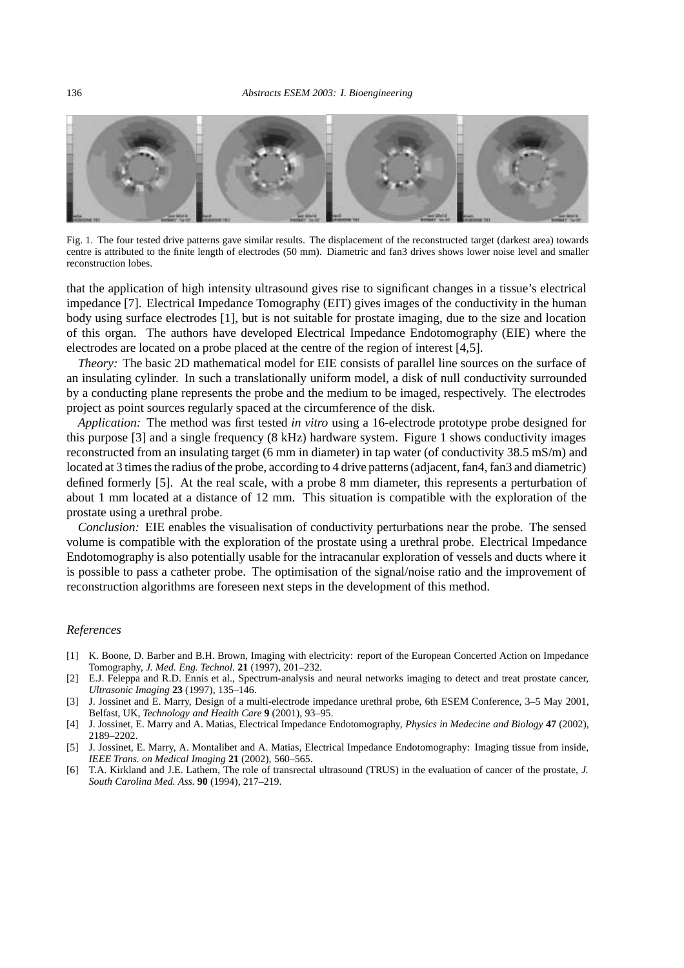

Fig. 1. The four tested drive patterns gave similar results. The displacement of the reconstructed target (darkest area) towards centre is attributed to the finite length of electrodes (50 mm). Diametric and fan3 drives shows lower noise level and smaller reconstruction lobes.

that the application of high intensity ultrasound gives rise to significant changes in a tissue's electrical impedance [7]. Electrical Impedance Tomography (EIT) gives images of the conductivity in the human body using surface electrodes [1], but is not suitable for prostate imaging, due to the size and location of this organ. The authors have developed Electrical Impedance Endotomography (EIE) where the electrodes are located on a probe placed at the centre of the region of interest [4,5].

*Theory:* The basic 2D mathematical model for EIE consists of parallel line sources on the surface of an insulating cylinder. In such a translationally uniform model, a disk of null conductivity surrounded by a conducting plane represents the probe and the medium to be imaged, respectively. The electrodes project as point sources regularly spaced at the circumference of the disk.

*Application:* The method was first tested *in vitro* using a 16-electrode prototype probe designed for this purpose [3] and a single frequency (8 kHz) hardware system. Figure 1 shows conductivity images reconstructed from an insulating target (6 mm in diameter) in tap water (of conductivity 38.5 mS/m) and located at 3 times the radius of the probe, according to 4 drive patterns (adjacent, fan4, fan3 and diametric) defined formerly [5]. At the real scale, with a probe 8 mm diameter, this represents a perturbation of about 1 mm located at a distance of 12 mm. This situation is compatible with the exploration of the prostate using a urethral probe.

*Conclusion:* EIE enables the visualisation of conductivity perturbations near the probe. The sensed volume is compatible with the exploration of the prostate using a urethral probe. Electrical Impedance Endotomography is also potentially usable for the intracanular exploration of vessels and ducts where it is possible to pass a catheter probe. The optimisation of the signal/noise ratio and the improvement of reconstruction algorithms are foreseen next steps in the development of this method.

# *References*

- [1] K. Boone, D. Barber and B.H. Brown, Imaging with electricity: report of the European Concerted Action on Impedance Tomography, *J. Med. Eng. Technol.* **21** (1997), 201–232.
- [2] E.J. Feleppa and R.D. Ennis et al., Spectrum-analysis and neural networks imaging to detect and treat prostate cancer, *Ultrasonic Imaging* **23** (1997), 135–146.
- [3] J. Jossinet and E. Marry, Design of a multi-electrode impedance urethral probe, 6th ESEM Conference, 3–5 May 2001, Belfast, UK, *Technology and Health Care* **9** (2001), 93–95.
- [4] J. Jossinet, E. Marry and A. Matias, Electrical Impedance Endotomography, *Physics in Medecine and Biology* **47** (2002), 2189–2202.
- [5] J. Jossinet, E. Marry, A. Montalibet and A. Matias, Electrical Impedance Endotomography: Imaging tissue from inside, *IEEE Trans. on Medical Imaging* **21** (2002), 560–565.
- [6] T.A. Kirkland and J.E. Lathem, The role of transrectal ultrasound (TRUS) in the evaluation of cancer of the prostate, *J. South Carolina Med. Ass.* **90** (1994), 217–219.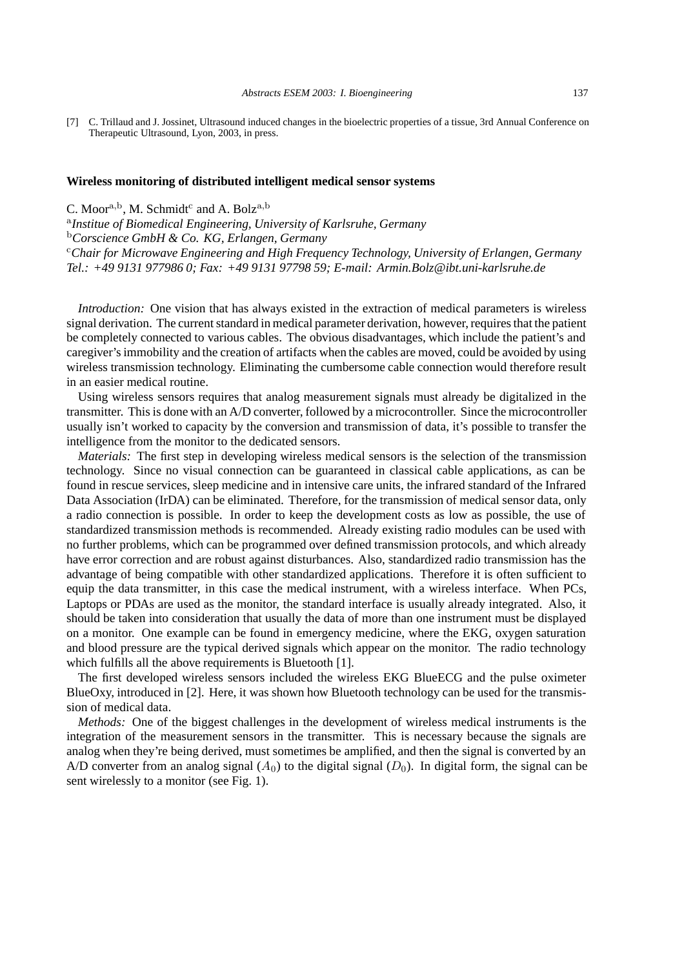[7] C. Trillaud and J. Jossinet, Ultrasound induced changes in the bioelectric properties of a tissue, 3rd Annual Conference on Therapeutic Ultrasound, Lyon, 2003, in press.

#### **Wireless monitoring of distributed intelligent medical sensor systems**

C. Moor<sup>a,b</sup>, M. Schmidt<sup>c</sup> and A. Bolz<sup>a,b</sup>

<sup>a</sup>*Institue of Biomedical Engineering, University of Karlsruhe, Germany* <sup>b</sup>*Corscience GmbH & Co. KG, Erlangen, Germany* <sup>c</sup>*Chair for Microwave Engineering and High Frequency Technology, University of Erlangen, Germany*

*Tel.: +49 9131 977986 0; Fax: +49 9131 97798 59; E-mail: Armin.Bolz@ibt.uni-karlsruhe.de*

*Introduction:* One vision that has always existed in the extraction of medical parameters is wireless signal derivation. The current standard in medical parameter derivation, however, requires that the patient be completely connected to various cables. The obvious disadvantages, which include the patient's and caregiver's immobility and the creation of artifacts when the cables are moved, could be avoided by using wireless transmission technology. Eliminating the cumbersome cable connection would therefore result in an easier medical routine.

Using wireless sensors requires that analog measurement signals must already be digitalized in the transmitter. This is done with an A/D converter, followed by a microcontroller. Since the microcontroller usually isn't worked to capacity by the conversion and transmission of data, it's possible to transfer the intelligence from the monitor to the dedicated sensors.

*Materials:* The first step in developing wireless medical sensors is the selection of the transmission technology. Since no visual connection can be guaranteed in classical cable applications, as can be found in rescue services, sleep medicine and in intensive care units, the infrared standard of the Infrared Data Association (IrDA) can be eliminated. Therefore, for the transmission of medical sensor data, only a radio connection is possible. In order to keep the development costs as low as possible, the use of standardized transmission methods is recommended. Already existing radio modules can be used with no further problems, which can be programmed over defined transmission protocols, and which already have error correction and are robust against disturbances. Also, standardized radio transmission has the advantage of being compatible with other standardized applications. Therefore it is often sufficient to equip the data transmitter, in this case the medical instrument, with a wireless interface. When PCs, Laptops or PDAs are used as the monitor, the standard interface is usually already integrated. Also, it should be taken into consideration that usually the data of more than one instrument must be displayed on a monitor. One example can be found in emergency medicine, where the EKG, oxygen saturation and blood pressure are the typical derived signals which appear on the monitor. The radio technology which fulfills all the above requirements is Bluetooth [1].

The first developed wireless sensors included the wireless EKG BlueECG and the pulse oximeter BlueOxy, introduced in [2]. Here, it was shown how Bluetooth technology can be used for the transmission of medical data.

*Methods:* One of the biggest challenges in the development of wireless medical instruments is the integration of the measurement sensors in the transmitter. This is necessary because the signals are analog when they're being derived, must sometimes be amplified, and then the signal is converted by an A/D converter from an analog signal  $(A_0)$  to the digital signal  $(D_0)$ . In digital form, the signal can be sent wirelessly to a monitor (see Fig. 1).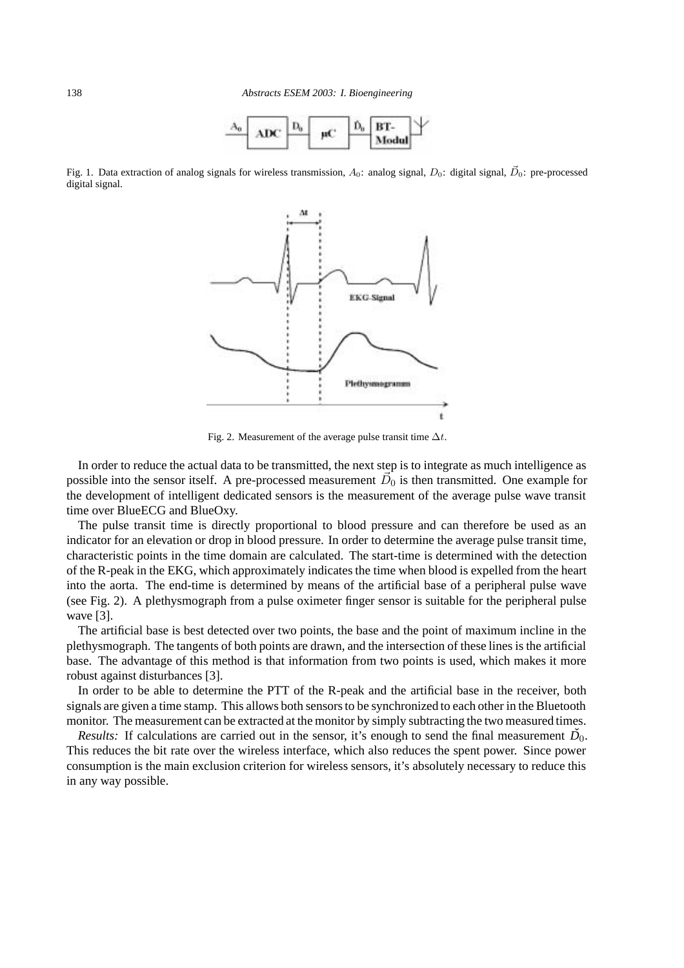

Fig. 1. Data extraction of analog signals for wireless transmission,  $A_0$ : analog signal,  $D_0$ : digital signal,  $\vec{D}_0$ : pre-processed digital signal.



Fig. 2. Measurement of the average pulse transit time  $\Delta t$ .

In order to reduce the actual data to be transmitted, the next step is to integrate as much intelligence as possible into the sensor itself. A pre-processed measurement  $\vec{D}_0$  is then transmitted. One example for the development of intelligent dedicated sensors is the measurement of the average pulse wave transit time over BlueECG and BlueOxy.

The pulse transit time is directly proportional to blood pressure and can therefore be used as an indicator for an elevation or drop in blood pressure. In order to determine the average pulse transit time, characteristic points in the time domain are calculated. The start-time is determined with the detection of the R-peak in the EKG, which approximately indicates the time when blood is expelled from the heart into the aorta. The end-time is determined by means of the artificial base of a peripheral pulse wave (see Fig. 2). A plethysmograph from a pulse oximeter finger sensor is suitable for the peripheral pulse wave [3].

The artificial base is best detected over two points, the base and the point of maximum incline in the plethysmograph. The tangents of both points are drawn, and the intersection of these lines is the artificial base. The advantage of this method is that information from two points is used, which makes it more robust against disturbances [3].

In order to be able to determine the PTT of the R-peak and the artificial base in the receiver, both signals are given a time stamp. This allows both sensors to be synchronized to each other in the Bluetooth monitor. The measurement can be extracted at the monitor by simply subtracting the two measured times.

*Results:* If calculations are carried out in the sensor, it's enough to send the final measurement  $\ddot{D}_0$ . This reduces the bit rate over the wireless interface, which also reduces the spent power. Since power consumption is the main exclusion criterion for wireless sensors, it's absolutely necessary to reduce this in any way possible.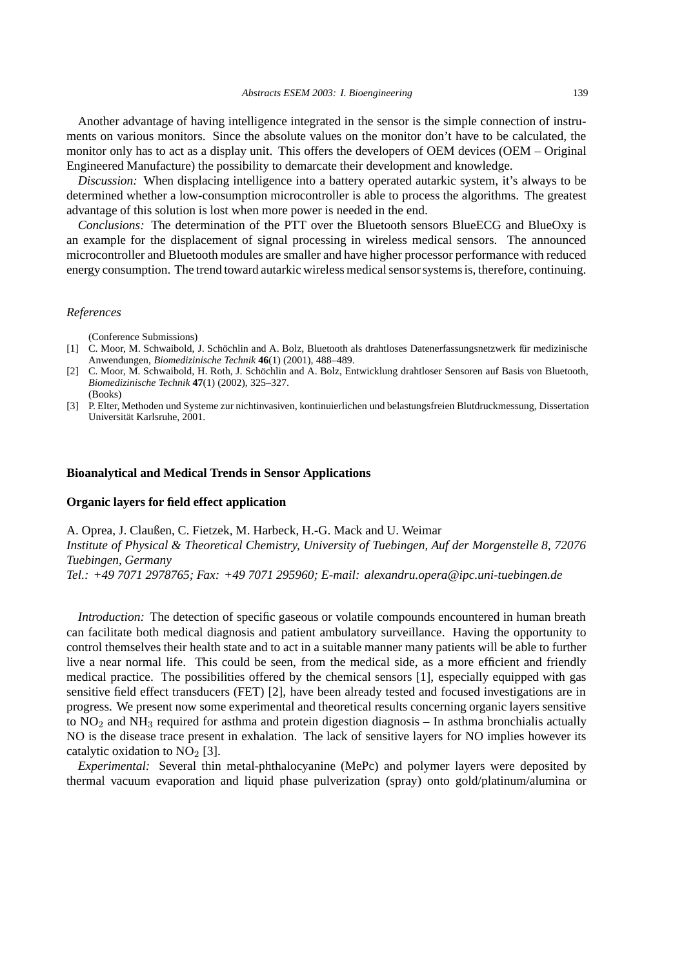Another advantage of having intelligence integrated in the sensor is the simple connection of instruments on various monitors. Since the absolute values on the monitor don't have to be calculated, the monitor only has to act as a display unit. This offers the developers of OEM devices (OEM – Original Engineered Manufacture) the possibility to demarcate their development and knowledge.

*Discussion:* When displacing intelligence into a battery operated autarkic system, it's always to be determined whether a low-consumption microcontroller is able to process the algorithms. The greatest advantage of this solution is lost when more power is needed in the end.

*Conclusions:* The determination of the PTT over the Bluetooth sensors BlueECG and BlueOxy is an example for the displacement of signal processing in wireless medical sensors. The announced microcontroller and Bluetooth modules are smaller and have higher processor performance with reduced energy consumption. The trend toward autarkic wireless medical sensor systems is, therefore, continuing.

#### *References*

(Conference Submissions)

- [1] C. Moor, M. Schwaibold, J. Schöchlin and A. Bolz, Bluetooth als drahtloses Datenerfassungsnetzwerk für medizinische Anwendungen, *Biomedizinische Technik* **46**(1) (2001), 488–489.
- [2] C. Moor, M. Schwaibold, H. Roth, J. Schöchlin and A. Bolz, Entwicklung drahtloser Sensoren auf Basis von Bluetooth, *Biomedizinische Technik* **47**(1) (2002), 325–327. (Books)
- [3] P. Elter, Methoden und Systeme zur nichtinvasiven, kontinuierlichen und belastungsfreien Blutdruckmessung, Dissertation Universität Karlsruhe, 2001.

### **Bioanalytical and Medical Trends in Sensor Applications**

### **Organic layers for field effect application**

A. Oprea, J. Claußen, C. Fietzek, M. Harbeck, H.-G. Mack and U. Weimar

*Institute of Physical & Theoretical Chemistry, University of Tuebingen, Auf der Morgenstelle 8, 72076 Tuebingen, Germany*

*Tel.: +49 7071 2978765; Fax: +49 7071 295960; E-mail: alexandru.opera@ipc.uni-tuebingen.de*

*Introduction:* The detection of specific gaseous or volatile compounds encountered in human breath can facilitate both medical diagnosis and patient ambulatory surveillance. Having the opportunity to control themselves their health state and to act in a suitable manner many patients will be able to further live a near normal life. This could be seen, from the medical side, as a more efficient and friendly medical practice. The possibilities offered by the chemical sensors [1], especially equipped with gas sensitive field effect transducers (FET) [2], have been already tested and focused investigations are in progress. We present now some experimental and theoretical results concerning organic layers sensitive to  $NO<sub>2</sub>$  and  $NH<sub>3</sub>$  required for asthma and protein digestion diagnosis – In asthma bronchialis actually NO is the disease trace present in exhalation. The lack of sensitive layers for NO implies however its catalytic oxidation to  $NO<sub>2</sub>$  [3].

*Experimental:* Several thin metal-phthalocyanine (MePc) and polymer layers were deposited by thermal vacuum evaporation and liquid phase pulverization (spray) onto gold/platinum/alumina or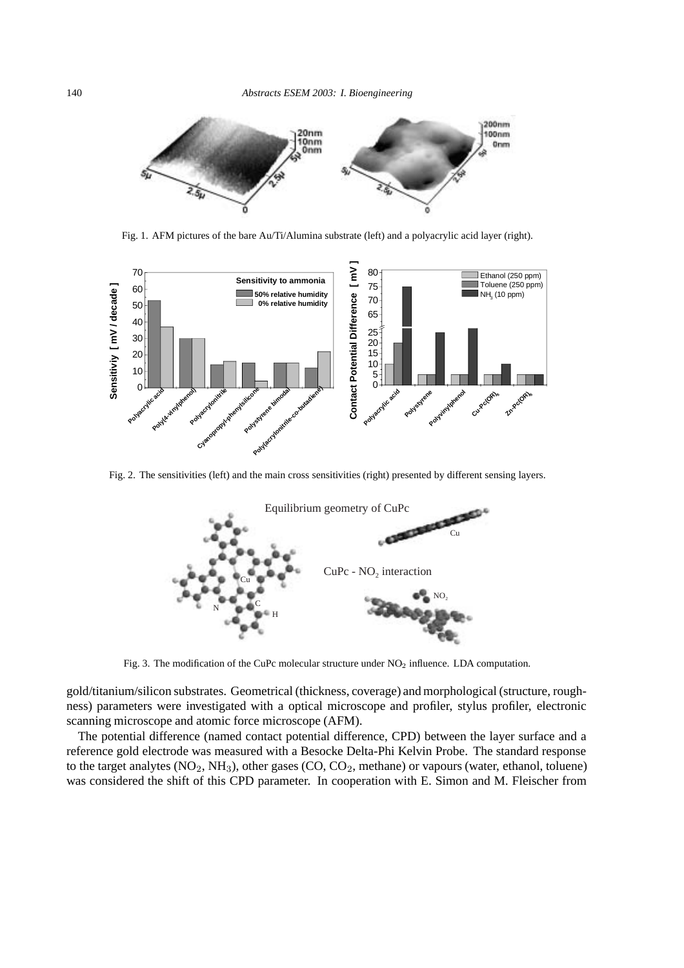

Fig. 1. AFM pictures of the bare Au/Ti/Alumina substrate (left) and a polyacrylic acid layer (right).



Fig. 2. The sensitivities (left) and the main cross sensitivities (right) presented by different sensing layers.



Fig. 3. The modification of the CuPc molecular structure under  $NO<sub>2</sub>$  influence. LDA computation.

gold/titanium/silicon substrates. Geometrical (thickness, coverage) and morphological (structure, roughness) parameters were investigated with a optical microscope and profiler, stylus profiler, electronic scanning microscope and atomic force microscope (AFM).

The potential difference (named contact potential difference, CPD) between the layer surface and a reference gold electrode was measured with a Besocke Delta-Phi Kelvin Probe. The standard response to the target analytes  $(NO_2, NH_3)$ , other gases  $(CO, CO_2$ , methane) or vapours (water, ethanol, toluene) was considered the shift of this CPD parameter. In cooperation with E. Simon and M. Fleischer from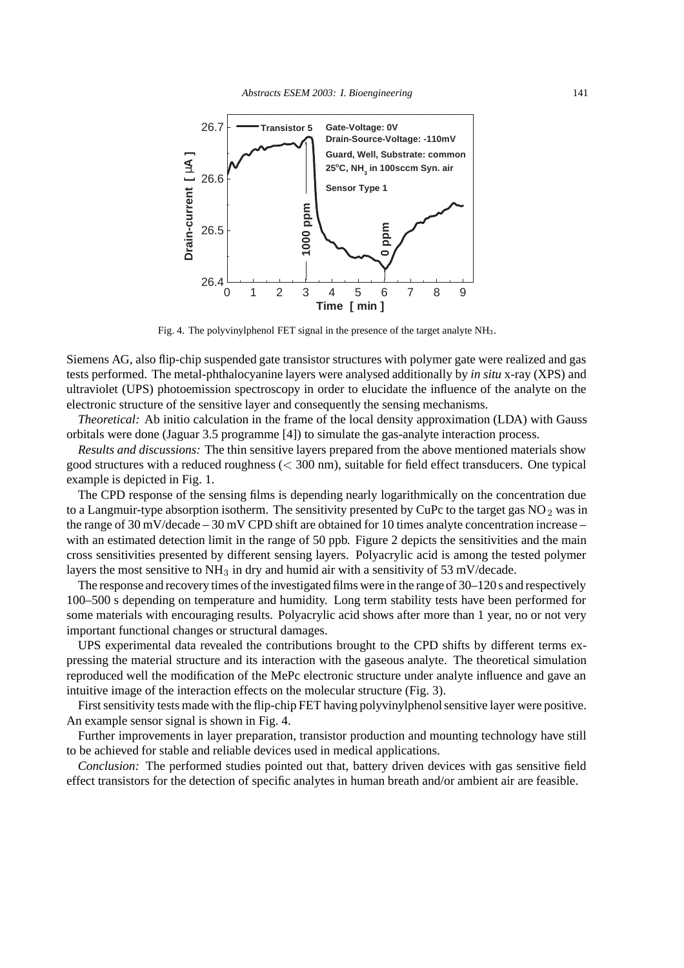

Fig. 4. The polyvinylphenol FET signal in the presence of the target analyte NH3.

Siemens AG, also flip-chip suspended gate transistor structures with polymer gate were realized and gas tests performed. The metal-phthalocyanine layers were analysed additionally by *in situ* x-ray (XPS) and ultraviolet (UPS) photoemission spectroscopy in order to elucidate the influence of the analyte on the electronic structure of the sensitive layer and consequently the sensing mechanisms.

*Theoretical:* Ab initio calculation in the frame of the local density approximation (LDA) with Gauss orbitals were done (Jaguar 3.5 programme [4]) to simulate the gas-analyte interaction process.

*Results and discussions:* The thin sensitive layers prepared from the above mentioned materials show good structures with a reduced roughness  $( $300 \text{ nm}$ ), suitable for field effect transducers. One typical$ example is depicted in Fig. 1.

The CPD response of the sensing films is depending nearly logarithmically on the concentration due to a Langmuir-type absorption isotherm. The sensitivity presented by CuPc to the target gas  $NO<sub>2</sub>$  was in the range of 30 mV/decade – 30 mV CPD shift are obtained for 10 times analyte concentration increase – with an estimated detection limit in the range of 50 ppb. Figure 2 depicts the sensitivities and the main cross sensitivities presented by different sensing layers. Polyacrylic acid is among the tested polymer layers the most sensitive to  $NH_3$  in dry and humid air with a sensitivity of 53 mV/decade.

The response and recovery times of the investigated films were in the range of 30–120 s and respectively 100–500 s depending on temperature and humidity. Long term stability tests have been performed for some materials with encouraging results. Polyacrylic acid shows after more than 1 year, no or not very important functional changes or structural damages.

UPS experimental data revealed the contributions brought to the CPD shifts by different terms expressing the material structure and its interaction with the gaseous analyte. The theoretical simulation reproduced well the modification of the MePc electronic structure under analyte influence and gave an intuitive image of the interaction effects on the molecular structure (Fig. 3).

First sensitivity tests made with the flip-chip FET having polyvinylphenol sensitive layer were positive. An example sensor signal is shown in Fig. 4.

Further improvements in layer preparation, transistor production and mounting technology have still to be achieved for stable and reliable devices used in medical applications.

*Conclusion:* The performed studies pointed out that, battery driven devices with gas sensitive field effect transistors for the detection of specific analytes in human breath and/or ambient air are feasible.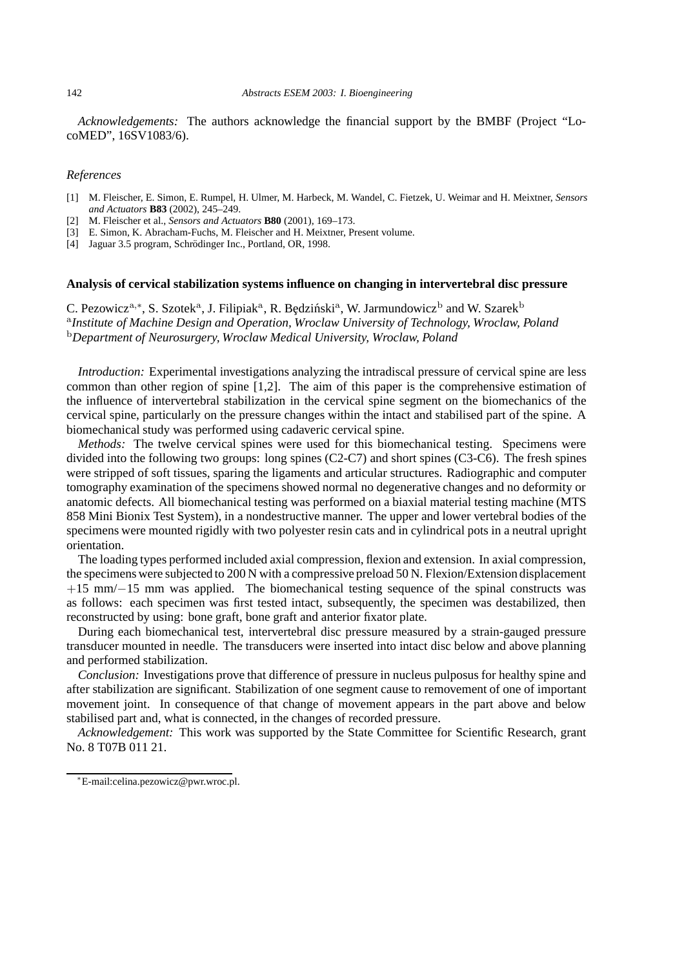*Acknowledgements:* The authors acknowledge the financial support by the BMBF (Project "LocoMED", 16SV1083/6).

### *References*

- [1] M. Fleischer, E. Simon, E. Rumpel, H. Ulmer, M. Harbeck, M. Wandel, C. Fietzek, U. Weimar and H. Meixtner, *Sensors and Actuators* **B83** (2002), 245–249.
- [2] M. Fleischer et al., *Sensors and Actuators* **B80** (2001), 169–173.
- [3] E. Simon, K. Abracham-Fuchs, M. Fleischer and H. Meixtner, Present volume.
- [4] Jaguar 3.5 program, Schrödinger Inc., Portland, OR, 1998.

# **Analysis of cervical stabilization systems influence on changing in intervertebral disc pressure**

C. Pezowicz<sup>a,∗</sup>, S. Szotek<sup>a</sup>, J. Filipiak<sup>a</sup>, R. Będziński<sup>a</sup>, W. Jarmundowicz<sup>b</sup> and W. Szarek<sup>b</sup> <sup>a</sup>*Institute of Machine Design and Operation, Wroclaw University of Technology, Wroclaw, Poland* <sup>b</sup>*Department of Neurosurgery, Wroclaw Medical University, Wroclaw, Poland*

*Introduction:* Experimental investigations analyzing the intradiscal pressure of cervical spine are less common than other region of spine [1,2]. The aim of this paper is the comprehensive estimation of the influence of intervertebral stabilization in the cervical spine segment on the biomechanics of the cervical spine, particularly on the pressure changes within the intact and stabilised part of the spine. A biomechanical study was performed using cadaveric cervical spine.

*Methods:* The twelve cervical spines were used for this biomechanical testing. Specimens were divided into the following two groups: long spines (C2-C7) and short spines (C3-C6). The fresh spines were stripped of soft tissues, sparing the ligaments and articular structures. Radiographic and computer tomography examination of the specimens showed normal no degenerative changes and no deformity or anatomic defects. All biomechanical testing was performed on a biaxial material testing machine (MTS 858 Mini Bionix Test System), in a nondestructive manner. The upper and lower vertebral bodies of the specimens were mounted rigidly with two polyester resin cats and in cylindrical pots in a neutral upright orientation.

The loading types performed included axial compression, flexion and extension. In axial compression, the specimens were subjected to 200 N with a compressive preload 50 N. Flexion/Extension displacement +15 mm/−15 mm was applied. The biomechanical testing sequence of the spinal constructs was as follows: each specimen was first tested intact, subsequently, the specimen was destabilized, then reconstructed by using: bone graft, bone graft and anterior fixator plate.

During each biomechanical test, intervertebral disc pressure measured by a strain-gauged pressure transducer mounted in needle. The transducers were inserted into intact disc below and above planning and performed stabilization.

*Conclusion:* Investigations prove that difference of pressure in nucleus pulposus for healthy spine and after stabilization are significant. Stabilization of one segment cause to removement of one of important movement joint. In consequence of that change of movement appears in the part above and below stabilised part and, what is connected, in the changes of recorded pressure.

*Acknowledgement:* This work was supported by the State Committee for Scientific Research, grant No. 8 T07B 011 21.

<sup>∗</sup>E-mail:celina.pezowicz@pwr.wroc.pl.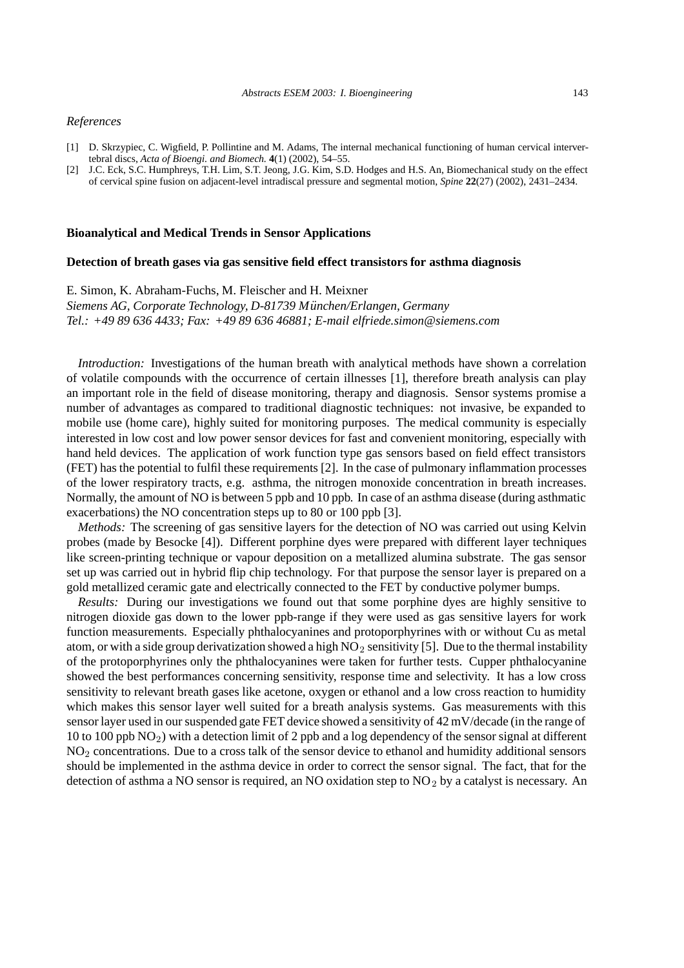#### *References*

[2] J.C. Eck, S.C. Humphreys, T.H. Lim, S.T. Jeong, J.G. Kim, S.D. Hodges and H.S. An, Biomechanical study on the effect of cervical spine fusion on adjacent-level intradiscal pressure and segmental motion, *Spine* **22**(27) (2002), 2431–2434.

#### **Bioanalytical and Medical Trends in Sensor Applications**

#### **Detection of breath gases via gas sensitive field effect transistors for asthma diagnosis**

E. Simon, K. Abraham-Fuchs, M. Fleischer and H. Meixner

*Siemens AG, Corporate Technology, D-81739 Munchen/Erlangen, Germany ¨ Tel.: +49 89 636 4433; Fax: +49 89 636 46881; E-mail elfriede.simon@siemens.com*

*Introduction:* Investigations of the human breath with analytical methods have shown a correlation of volatile compounds with the occurrence of certain illnesses [1], therefore breath analysis can play an important role in the field of disease monitoring, therapy and diagnosis. Sensor systems promise a number of advantages as compared to traditional diagnostic techniques: not invasive, be expanded to mobile use (home care), highly suited for monitoring purposes. The medical community is especially interested in low cost and low power sensor devices for fast and convenient monitoring, especially with hand held devices. The application of work function type gas sensors based on field effect transistors (FET) has the potential to fulfil these requirements [2]. In the case of pulmonary inflammation processes of the lower respiratory tracts, e.g. asthma, the nitrogen monoxide concentration in breath increases. Normally, the amount of NO is between 5 ppb and 10 ppb. In case of an asthma disease (during asthmatic exacerbations) the NO concentration steps up to 80 or 100 ppb [3].

*Methods:* The screening of gas sensitive layers for the detection of NO was carried out using Kelvin probes (made by Besocke [4]). Different porphine dyes were prepared with different layer techniques like screen-printing technique or vapour deposition on a metallized alumina substrate. The gas sensor set up was carried out in hybrid flip chip technology. For that purpose the sensor layer is prepared on a gold metallized ceramic gate and electrically connected to the FET by conductive polymer bumps.

*Results:* During our investigations we found out that some porphine dyes are highly sensitive to nitrogen dioxide gas down to the lower ppb-range if they were used as gas sensitive layers for work function measurements. Especially phthalocyanines and protoporphyrines with or without Cu as metal atom, or with a side group derivatization showed a high  $NO<sub>2</sub>$  sensitivity [5]. Due to the thermal instability of the protoporphyrines only the phthalocyanines were taken for further tests. Cupper phthalocyanine showed the best performances concerning sensitivity, response time and selectivity. It has a low cross sensitivity to relevant breath gases like acetone, oxygen or ethanol and a low cross reaction to humidity which makes this sensor layer well suited for a breath analysis systems. Gas measurements with this sensor layer used in our suspended gate FET device showed a sensitivity of 42 mV/decade (in the range of 10 to 100 ppb  $NO<sub>2</sub>$ ) with a detection limit of 2 ppb and a log dependency of the sensor signal at different  $NO<sub>2</sub>$  concentrations. Due to a cross talk of the sensor device to ethanol and humidity additional sensors should be implemented in the asthma device in order to correct the sensor signal. The fact, that for the detection of asthma a NO sensor is required, an NO oxidation step to  $NO<sub>2</sub>$  by a catalyst is necessary. An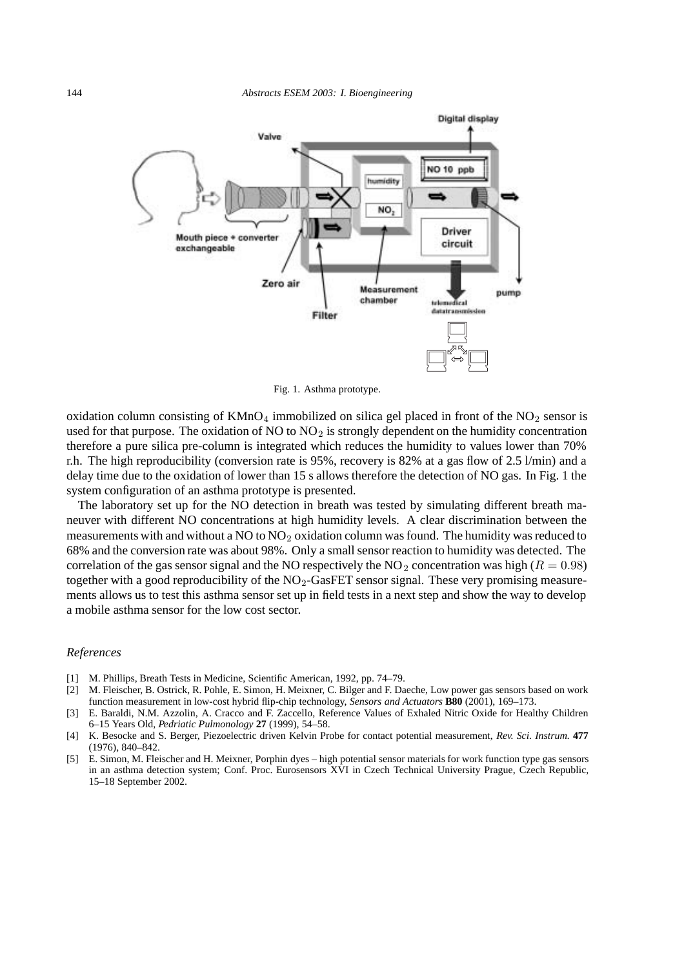

Fig. 1. Asthma prototype.

oxidation column consisting of  $KMnO_4$  immobilized on silica gel placed in front of the  $NO_2$  sensor is used for that purpose. The oxidation of NO to  $NO<sub>2</sub>$  is strongly dependent on the humidity concentration therefore a pure silica pre-column is integrated which reduces the humidity to values lower than 70% r.h. The high reproducibility (conversion rate is 95%, recovery is 82% at a gas flow of 2.5 l/min) and a delay time due to the oxidation of lower than 15 s allows therefore the detection of NO gas. In Fig. 1 the system configuration of an asthma prototype is presented.

The laboratory set up for the NO detection in breath was tested by simulating different breath maneuver with different NO concentrations at high humidity levels. A clear discrimination between the measurements with and without a NO to  $NO<sub>2</sub>$  oxidation column was found. The humidity was reduced to 68% and the conversion rate was about 98%. Only a small sensor reaction to humidity was detected. The correlation of the gas sensor signal and the NO respectively the NO<sub>2</sub> concentration was high ( $R = 0.98$ ) together with a good reproducibility of the NO<sub>2</sub>-GasFET sensor signal. These very promising measurements allows us to test this asthma sensor set up in field tests in a next step and show the way to develop a mobile asthma sensor for the low cost sector.

### *References*

- [1] M. Phillips, Breath Tests in Medicine, Scientific American, 1992, pp. 74–79.
- [2] M. Fleischer, B. Ostrick, R. Pohle, E. Simon, H. Meixner, C. Bilger and F. Daeche, Low power gas sensors based on work function measurement in low-cost hybrid flip-chip technology, *Sensors and Actuators* **B80** (2001), 169–173.
- [3] E. Baraldi, N.M. Azzolin, A. Cracco and F. Zaccello, Reference Values of Exhaled Nitric Oxide for Healthy Children 6–15 Years Old, *Pedriatic Pulmonology* **27** (1999), 54–58.
- [4] K. Besocke and S. Berger, Piezoelectric driven Kelvin Probe for contact potential measurement, *Rev. Sci. Instrum.* **477** (1976), 840–842.
- [5] E. Simon, M. Fleischer and H. Meixner, Porphin dyes high potential sensor materials for work function type gas sensors in an asthma detection system; Conf. Proc. Eurosensors XVI in Czech Technical University Prague, Czech Republic, 15–18 September 2002.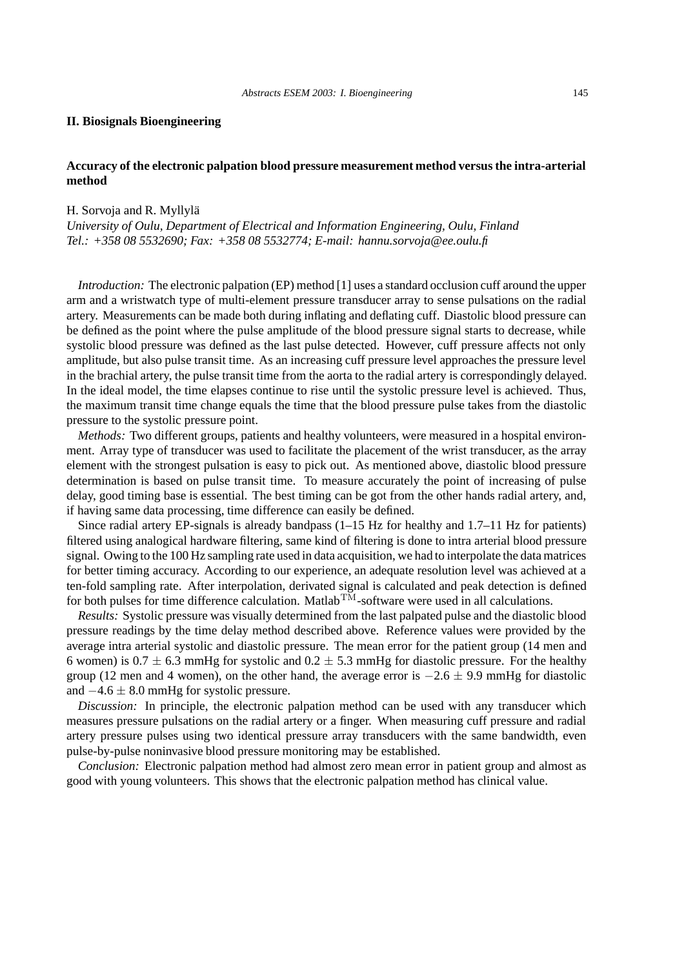### **II. Biosignals Bioengineering**

# **Accuracy of the electronic palpation blood pressure measurement method versus the intra-arterial method**

# H. Sorvoja and R. Myllylä

*University of Oulu, Department of Electrical and Information Engineering, Oulu, Finland Tel.: +358 08 5532690; Fax: +358 08 5532774; E-mail: hannu.sorvoja@ee.oulu.fi*

*Introduction:* The electronic palpation (EP) method [1] uses a standard occlusion cuff around the upper arm and a wristwatch type of multi-element pressure transducer array to sense pulsations on the radial artery. Measurements can be made both during inflating and deflating cuff. Diastolic blood pressure can be defined as the point where the pulse amplitude of the blood pressure signal starts to decrease, while systolic blood pressure was defined as the last pulse detected. However, cuff pressure affects not only amplitude, but also pulse transit time. As an increasing cuff pressure level approaches the pressure level in the brachial artery, the pulse transit time from the aorta to the radial artery is correspondingly delayed. In the ideal model, the time elapses continue to rise until the systolic pressure level is achieved. Thus, the maximum transit time change equals the time that the blood pressure pulse takes from the diastolic pressure to the systolic pressure point.

*Methods:* Two different groups, patients and healthy volunteers, were measured in a hospital environment. Array type of transducer was used to facilitate the placement of the wrist transducer, as the array element with the strongest pulsation is easy to pick out. As mentioned above, diastolic blood pressure determination is based on pulse transit time. To measure accurately the point of increasing of pulse delay, good timing base is essential. The best timing can be got from the other hands radial artery, and, if having same data processing, time difference can easily be defined.

Since radial artery EP-signals is already bandpass  $(1-15 \text{ Hz})$  for healthy and  $1.7-11 \text{ Hz}$  for patients) filtered using analogical hardware filtering, same kind of filtering is done to intra arterial blood pressure signal. Owing to the 100 Hz sampling rate used in data acquisition, we had to interpolate the data matrices for better timing accuracy. According to our experience, an adequate resolution level was achieved at a ten-fold sampling rate. After interpolation, derivated signal is calculated and peak detection is defined for both pulses for time difference calculation. Matlab<sup>TM</sup>-software were used in all calculations.

*Results:* Systolic pressure was visually determined from the last palpated pulse and the diastolic blood pressure readings by the time delay method described above. Reference values were provided by the average intra arterial systolic and diastolic pressure. The mean error for the patient group (14 men and 6 women) is  $0.7 \pm 6.3$  mmHg for systolic and  $0.2 \pm 5.3$  mmHg for diastolic pressure. For the healthy group (12 men and 4 women), on the other hand, the average error is  $-2.6 \pm 9.9$  mmHg for diastolic and  $-4.6 \pm 8.0$  mmHg for systolic pressure.

*Discussion:* In principle, the electronic palpation method can be used with any transducer which measures pressure pulsations on the radial artery or a finger. When measuring cuff pressure and radial artery pressure pulses using two identical pressure array transducers with the same bandwidth, even pulse-by-pulse noninvasive blood pressure monitoring may be established.

*Conclusion:* Electronic palpation method had almost zero mean error in patient group and almost as good with young volunteers. This shows that the electronic palpation method has clinical value.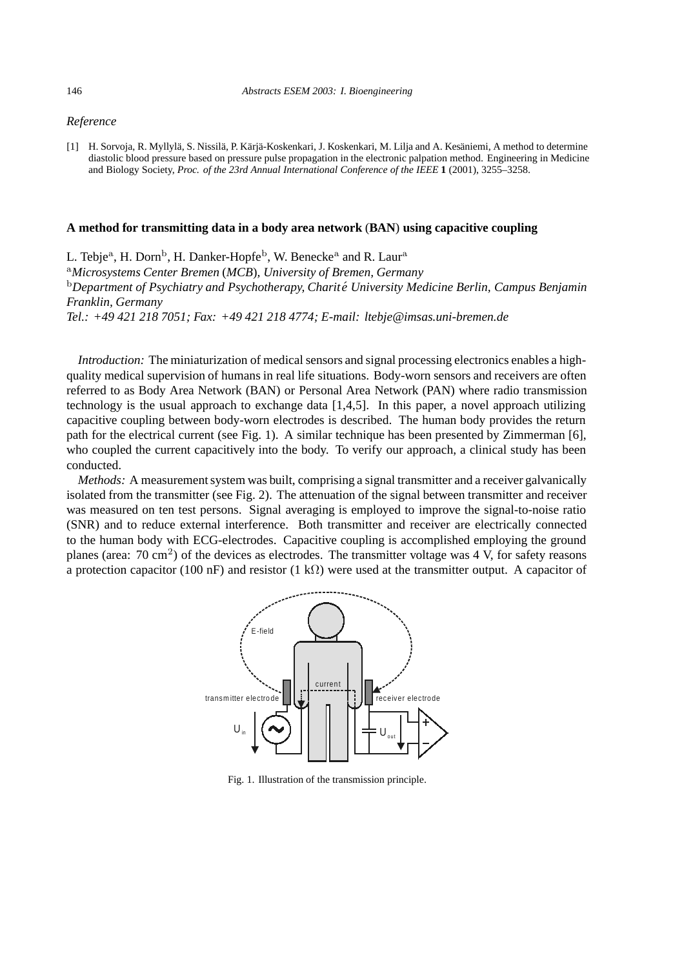#### *Reference*

[1] H. Sorvoja, R. Myllylä, S. Nissilä, P. Kärjä-Koskenkari, J. Koskenkari, M. Lilja and A. Kesäniemi, A method to determine diastolic blood pressure based on pressure pulse propagation in the electronic palpation method. Engineering in Medicine and Biology Society, *Proc. of the 23rd Annual International Conference of the IEEE* **1** (2001), 3255–3258.

#### **A method for transmitting data in a body area network** (**BAN**) **using capacitive coupling**

L. Tebje<sup>a</sup>, H. Dorn<sup>b</sup>, H. Danker-Hopfe<sup>b</sup>, W. Benecke<sup>a</sup> and R. Laur<sup>a</sup> <sup>a</sup>*Microsystems Center Bremen* (*MCB*)*, University of Bremen, Germany* <sup>b</sup>*Department of Psychiatry and Psychotherapy, Charite University Medicine Berlin, Campus Benjamin ´ Franklin, Germany Tel.: +49 421 218 7051; Fax: +49 421 218 4774; E-mail: ltebje@imsas.uni-bremen.de*

*Introduction:* The miniaturization of medical sensors and signal processing electronics enables a highquality medical supervision of humans in real life situations. Body-worn sensors and receivers are often referred to as Body Area Network (BAN) or Personal Area Network (PAN) where radio transmission technology is the usual approach to exchange data [1,4,5]. In this paper, a novel approach utilizing capacitive coupling between body-worn electrodes is described. The human body provides the return path for the electrical current (see Fig. 1). A similar technique has been presented by Zimmerman [6], who coupled the current capacitively into the body. To verify our approach, a clinical study has been conducted.

*Methods:* A measurement system was built, comprising a signal transmitter and a receiver galvanically isolated from the transmitter (see Fig. 2). The attenuation of the signal between transmitter and receiver was measured on ten test persons. Signal averaging is employed to improve the signal-to-noise ratio (SNR) and to reduce external interference. Both transmitter and receiver are electrically connected to the human body with ECG-electrodes. Capacitive coupling is accomplished employing the ground planes (area:  $70 \text{ cm}^2$ ) of the devices as electrodes. The transmitter voltage was 4 V, for safety reasons a protection capacitor (100 nF) and resistor (1 k $\Omega$ ) were used at the transmitter output. A capacitor of



Fig. 1. Illustration of the transmission principle.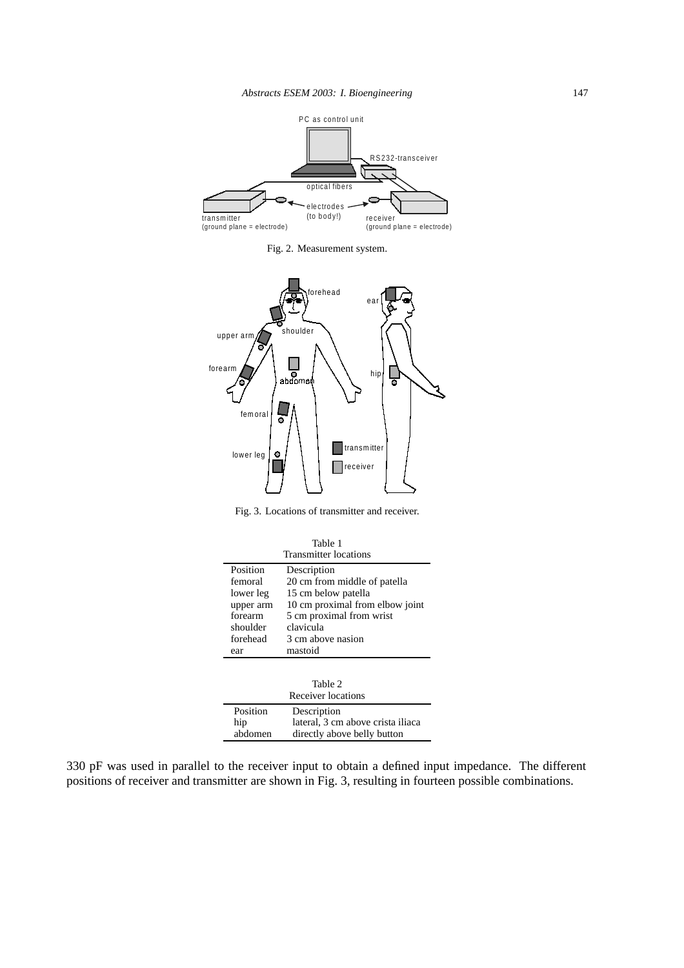

Fig. 2. Measurement system.



Fig. 3. Locations of transmitter and receiver.

|                                                                                         | Table 1<br><b>Transmitter locations</b>                                                                                                                                        |
|-----------------------------------------------------------------------------------------|--------------------------------------------------------------------------------------------------------------------------------------------------------------------------------|
| Position<br>femoral<br>lower leg<br>upper arm<br>forearm<br>shoulder<br>forehead<br>ear | Description<br>20 cm from middle of patella<br>15 cm below patella<br>10 cm proximal from elbow joint<br>5 cm proximal from wrist<br>clavicula<br>3 cm above nasion<br>mastoid |
| Position                                                                                | Table 2<br>Receiver locations                                                                                                                                                  |
| hip<br>abdomen                                                                          | Description<br>lateral, 3 cm above crista iliaca<br>directly above belly button                                                                                                |

330 pF was used in parallel to the receiver input to obtain a defined input impedance. The different positions of receiver and transmitter are shown in Fig. 3, resulting in fourteen possible combinations.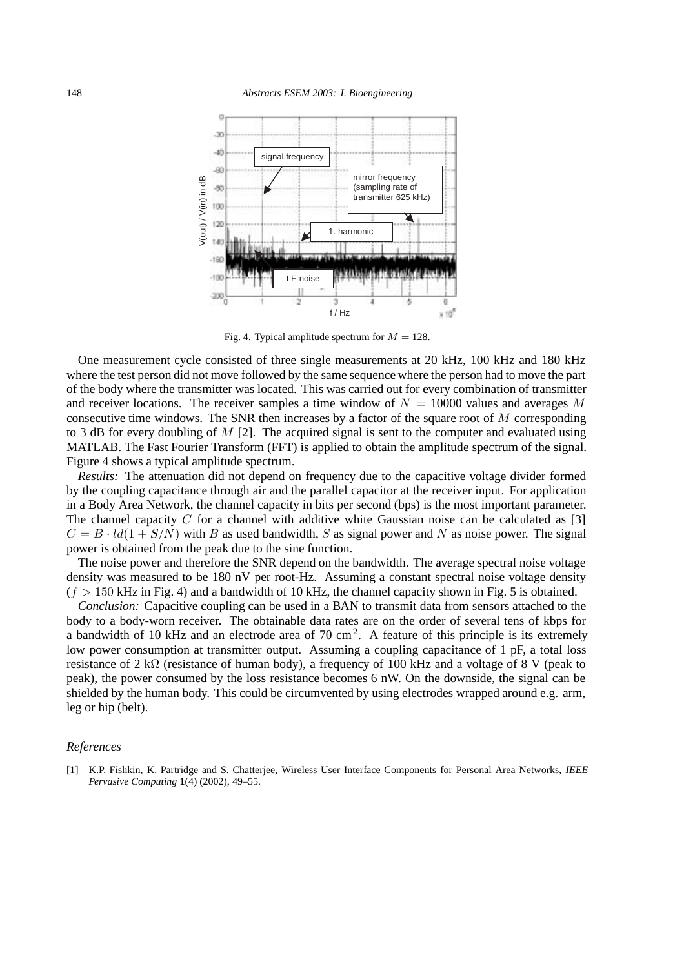

Fig. 4. Typical amplitude spectrum for  $M = 128$ .

One measurement cycle consisted of three single measurements at 20 kHz, 100 kHz and 180 kHz where the test person did not move followed by the same sequence where the person had to move the part of the body where the transmitter was located. This was carried out for every combination of transmitter and receiver locations. The receiver samples a time window of  $N = 10000$  values and averages M consecutive time windows. The SNR then increases by a factor of the square root of M corresponding to 3 dB for every doubling of  $M$  [2]. The acquired signal is sent to the computer and evaluated using MATLAB. The Fast Fourier Transform (FFT) is applied to obtain the amplitude spectrum of the signal. Figure 4 shows a typical amplitude spectrum.

*Results:* The attenuation did not depend on frequency due to the capacitive voltage divider formed by the coupling capacitance through air and the parallel capacitor at the receiver input. For application in a Body Area Network, the channel capacity in bits per second (bps) is the most important parameter. The channel capacity C for a channel with additive white Gaussian noise can be calculated as  $[3]$  $C = B \cdot ld(1 + S/N)$  with B as used bandwidth, S as signal power and N as noise power. The signal power is obtained from the peak due to the sine function.

The noise power and therefore the SNR depend on the bandwidth. The average spectral noise voltage density was measured to be 180 nV per root-Hz. Assuming a constant spectral noise voltage density  $(f > 150 \text{ kHz}$  in Fig. 4) and a bandwidth of 10 kHz, the channel capacity shown in Fig. 5 is obtained.

*Conclusion:* Capacitive coupling can be used in a BAN to transmit data from sensors attached to the body to a body-worn receiver. The obtainable data rates are on the order of several tens of kbps for a bandwidth of 10 kHz and an electrode area of 70 cm<sup>2</sup>. A feature of this principle is its extremely low power consumption at transmitter output. Assuming a coupling capacitance of 1 pF, a total loss resistance of 2 kΩ (resistance of human body), a frequency of 100 kHz and a voltage of 8 V (peak to peak), the power consumed by the loss resistance becomes 6 nW. On the downside, the signal can be shielded by the human body. This could be circumvented by using electrodes wrapped around e.g. arm, leg or hip (belt).

### *References*

[1] K.P. Fishkin, K. Partridge and S. Chatterjee, Wireless User Interface Components for Personal Area Networks, *IEEE Pervasive Computing* **1**(4) (2002), 49–55.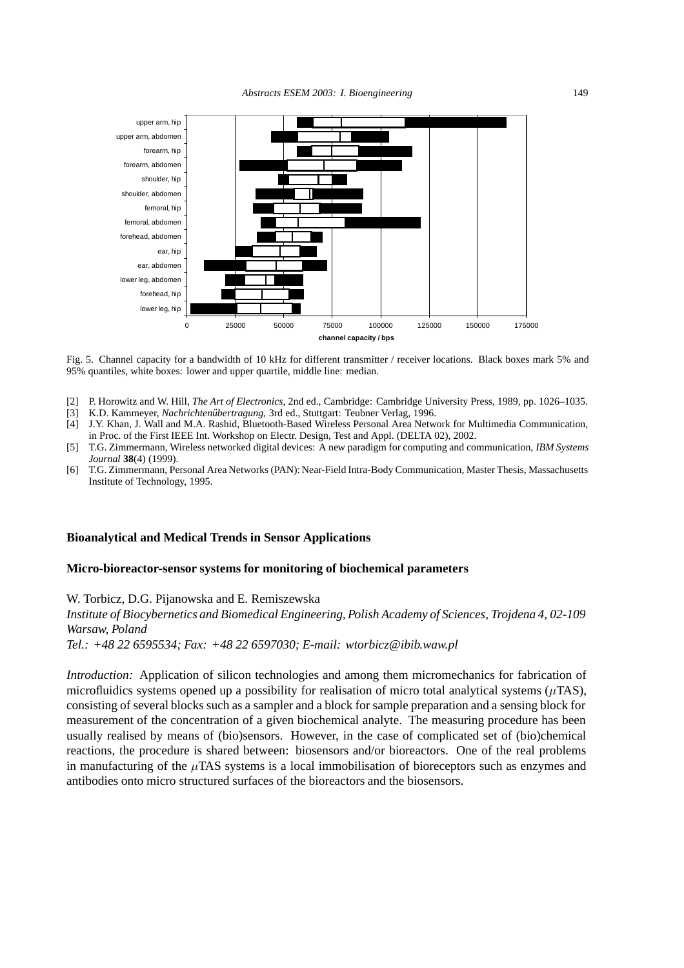

Fig. 5. Channel capacity for a bandwidth of 10 kHz for different transmitter / receiver locations. Black boxes mark 5% and 95% quantiles, white boxes: lower and upper quartile, middle line: median.

- [2] P. Horowitz and W. Hill, *The Art of Electronics,* 2nd ed., Cambridge: Cambridge University Press, 1989, pp. 1026–1035.
- [3] K.D. Kammeyer, *Nachrichtenübertragung*, 3rd ed., Stuttgart: Teubner Verlag, 1996.
- [4] J.Y. Khan, J. Wall and M.A. Rashid, Bluetooth-Based Wireless Personal Area Network for Multimedia Communication, in Proc. of the First IEEE Int. Workshop on Electr. Design, Test and Appl. (DELTA 02), 2002.
- [5] T.G. Zimmermann, Wireless networked digital devices: A new paradigm for computing and communication, *IBM Systems Journal* **38**(4) (1999).
- [6] T.G. Zimmermann, Personal Area Networks (PAN): Near-Field Intra-Body Communication, Master Thesis, Massachusetts Institute of Technology, 1995.

#### **Bioanalytical and Medical Trends in Sensor Applications**

### **Micro-bioreactor-sensor systems for monitoring of biochemical parameters**

#### W. Torbicz, D.G. Pijanowska and E. Remiszewska

*Institute of Biocybernetics and Biomedical Engineering, Polish Academy of Sciences, Trojdena 4, 02-109 Warsaw, Poland Tel.: +48 22 6595534; Fax: +48 22 6597030; E-mail: wtorbicz@ibib.waw.pl*

*Introduction:* Application of silicon technologies and among them micromechanics for fabrication of microfluidics systems opened up a possibility for realisation of micro total analytical systems ( $\mu$ TAS), consisting of several blocks such as a sampler and a block for sample preparation and a sensing block for measurement of the concentration of a given biochemical analyte. The measuring procedure has been usually realised by means of (bio)sensors. However, in the case of complicated set of (bio)chemical reactions, the procedure is shared between: biosensors and/or bioreactors. One of the real problems in manufacturing of the  $\mu$ TAS systems is a local immobilisation of bioreceptors such as enzymes and antibodies onto micro structured surfaces of the bioreactors and the biosensors.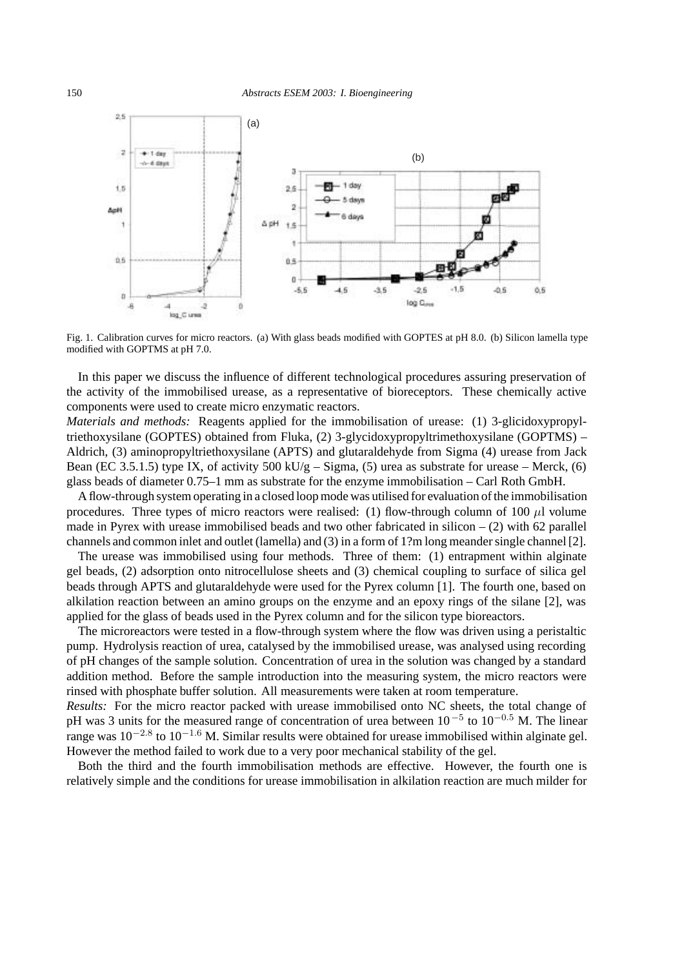

Fig. 1. Calibration curves for micro reactors. (a) With glass beads modified with GOPTES at pH 8.0. (b) Silicon lamella type modified with GOPTMS at pH 7.0.

In this paper we discuss the influence of different technological procedures assuring preservation of the activity of the immobilised urease, as a representative of bioreceptors. These chemically active components were used to create micro enzymatic reactors.

*Materials and methods:* Reagents applied for the immobilisation of urease: (1) 3-glicidoxypropyltriethoxysilane (GOPTES) obtained from Fluka, (2) 3-glycidoxypropyltrimethoxysilane (GOPTMS) – Aldrich, (3) aminopropyltriethoxysilane (APTS) and glutaraldehyde from Sigma (4) urease from Jack Bean (EC 3.5.1.5) type IX, of activity 500 kU/g – Sigma, (5) urea as substrate for urease – Merck, (6) glass beads of diameter 0.75–1 mm as substrate for the enzyme immobilisation – Carl Roth GmbH.

A flow-through system operating in a closed loop mode was utilised for evaluation of the immobilisation procedures. Three types of micro reactors were realised: (1) flow-through column of 100  $\mu$ l volume made in Pyrex with urease immobilised beads and two other fabricated in silicon  $- (2)$  with 62 parallel channels and common inlet and outlet (lamella) and (3) in a form of 1?m long meander single channel [2].

The urease was immobilised using four methods. Three of them: (1) entrapment within alginate gel beads, (2) adsorption onto nitrocellulose sheets and (3) chemical coupling to surface of silica gel beads through APTS and glutaraldehyde were used for the Pyrex column [1]. The fourth one, based on alkilation reaction between an amino groups on the enzyme and an epoxy rings of the silane [2], was applied for the glass of beads used in the Pyrex column and for the silicon type bioreactors.

The microreactors were tested in a flow-through system where the flow was driven using a peristaltic pump. Hydrolysis reaction of urea, catalysed by the immobilised urease, was analysed using recording of pH changes of the sample solution. Concentration of urea in the solution was changed by a standard addition method. Before the sample introduction into the measuring system, the micro reactors were rinsed with phosphate buffer solution. All measurements were taken at room temperature.

*Results:* For the micro reactor packed with urease immobilised onto NC sheets, the total change of pH was 3 units for the measured range of concentration of urea between 10<sup>-5</sup> to 10<sup>-0.5</sup> M. The linear range was 10−2*.*<sup>8</sup> to 10−1*.*<sup>6</sup> M. Similar results were obtained for urease immobilised within alginate gel. However the method failed to work due to a very poor mechanical stability of the gel.

Both the third and the fourth immobilisation methods are effective. However, the fourth one is relatively simple and the conditions for urease immobilisation in alkilation reaction are much milder for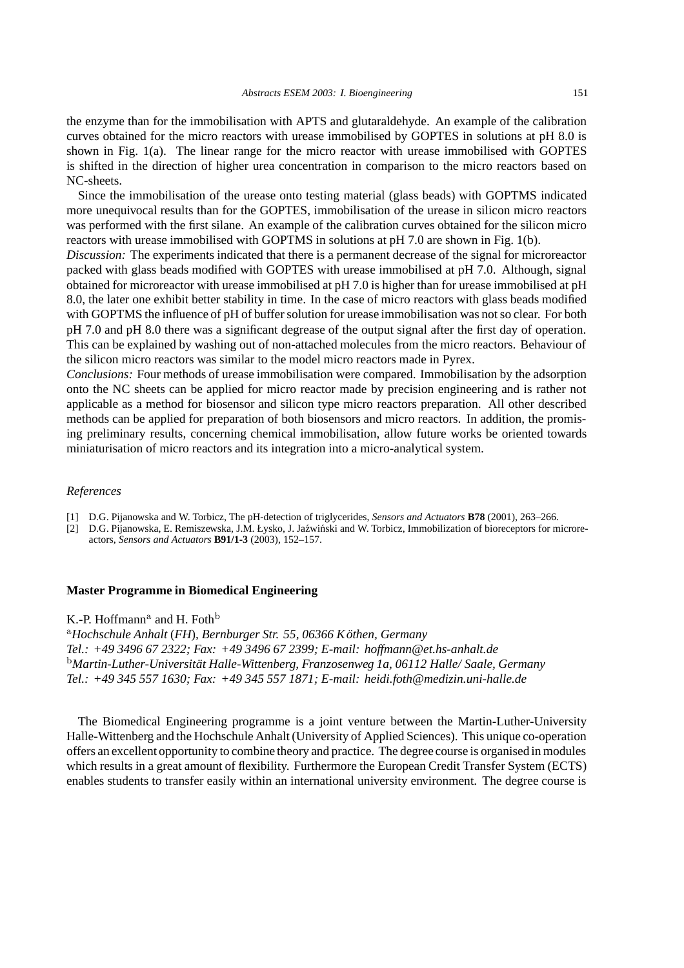the enzyme than for the immobilisation with APTS and glutaraldehyde. An example of the calibration curves obtained for the micro reactors with urease immobilised by GOPTES in solutions at pH 8.0 is shown in Fig. 1(a). The linear range for the micro reactor with urease immobilised with GOPTES is shifted in the direction of higher urea concentration in comparison to the micro reactors based on NC-sheets.

Since the immobilisation of the urease onto testing material (glass beads) with GOPTMS indicated more unequivocal results than for the GOPTES, immobilisation of the urease in silicon micro reactors was performed with the first silane. An example of the calibration curves obtained for the silicon micro reactors with urease immobilised with GOPTMS in solutions at pH 7.0 are shown in Fig. 1(b).

*Discussion:* The experiments indicated that there is a permanent decrease of the signal for microreactor packed with glass beads modified with GOPTES with urease immobilised at pH 7.0. Although, signal obtained for microreactor with urease immobilised at pH 7.0 is higher than for urease immobilised at pH 8.0, the later one exhibit better stability in time. In the case of micro reactors with glass beads modified with GOPTMS the influence of pH of buffer solution for urease immobilisation was not so clear. For both pH 7.0 and pH 8.0 there was a significant degrease of the output signal after the first day of operation. This can be explained by washing out of non-attached molecules from the micro reactors. Behaviour of the silicon micro reactors was similar to the model micro reactors made in Pyrex.

*Conclusions:* Four methods of urease immobilisation were compared. Immobilisation by the adsorption onto the NC sheets can be applied for micro reactor made by precision engineering and is rather not applicable as a method for biosensor and silicon type micro reactors preparation. All other described methods can be applied for preparation of both biosensors and micro reactors. In addition, the promising preliminary results, concerning chemical immobilisation, allow future works be oriented towards miniaturisation of micro reactors and its integration into a micro-analytical system.

#### *References*

- [1] D.G. Pijanowska and W. Torbicz, The pH-detection of triglycerides, *Sensors and Actuators* **B78** (2001), 263–266.
- [2] D.G. Pijanowska, E. Remiszewska, J.M. Łysko, J. Jaźwiński and W. Torbicz, Immobilization of bioreceptors for microreactors, *Sensors and Actuators* **B91/1-3** (2003), 152–157.

### **Master Programme in Biomedical Engineering**

# K.-P. Hoffmann<sup>a</sup> and H. Foth<sup>b</sup>

<sup>a</sup>Hochschule Anhalt (FH), Bernburger Str. 55, 06366 Köthen, Germany *Tel.: +49 3496 67 2322; Fax: +49 3496 67 2399; E-mail: hoffmann@et.hs-anhalt.de* <sup>b</sup>*Martin-Luther-Universitat Halle-Wittenberg, Franzosenweg 1a, 06112 Halle/ Saale, Germany ¨ Tel.: +49 345 557 1630; Fax: +49 345 557 1871; E-mail: heidi.foth@medizin.uni-halle.de*

The Biomedical Engineering programme is a joint venture between the Martin-Luther-University Halle-Wittenberg and the Hochschule Anhalt (University of Applied Sciences). This unique co-operation offers an excellent opportunity to combine theory and practice. The degree course is organised in modules which results in a great amount of flexibility. Furthermore the European Credit Transfer System (ECTS) enables students to transfer easily within an international university environment. The degree course is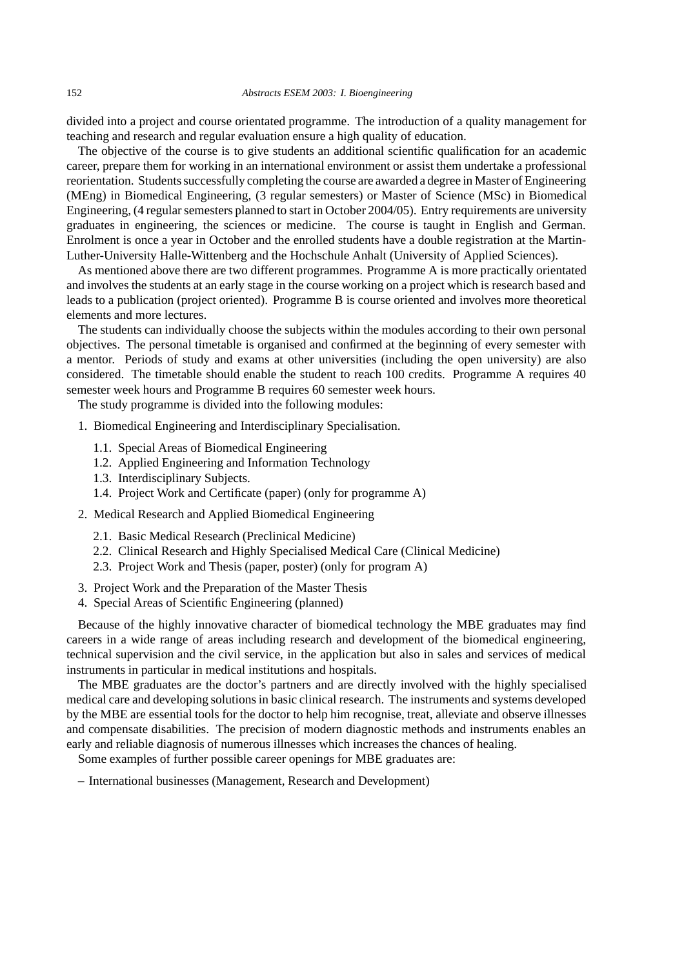divided into a project and course orientated programme. The introduction of a quality management for teaching and research and regular evaluation ensure a high quality of education.

The objective of the course is to give students an additional scientific qualification for an academic career, prepare them for working in an international environment or assist them undertake a professional reorientation. Students successfully completing the course are awarded a degree in Master of Engineering (MEng) in Biomedical Engineering, (3 regular semesters) or Master of Science (MSc) in Biomedical Engineering, (4 regular semesters planned to start in October 2004/05). Entry requirements are university graduates in engineering, the sciences or medicine. The course is taught in English and German. Enrolment is once a year in October and the enrolled students have a double registration at the Martin-Luther-University Halle-Wittenberg and the Hochschule Anhalt (University of Applied Sciences).

As mentioned above there are two different programmes. Programme A is more practically orientated and involves the students at an early stage in the course working on a project which is research based and leads to a publication (project oriented). Programme B is course oriented and involves more theoretical elements and more lectures.

The students can individually choose the subjects within the modules according to their own personal objectives. The personal timetable is organised and confirmed at the beginning of every semester with a mentor. Periods of study and exams at other universities (including the open university) are also considered. The timetable should enable the student to reach 100 credits. Programme A requires 40 semester week hours and Programme B requires 60 semester week hours.

The study programme is divided into the following modules:

- 1. Biomedical Engineering and Interdisciplinary Specialisation.
	- 1.1. Special Areas of Biomedical Engineering
	- 1.2. Applied Engineering and Information Technology
	- 1.3. Interdisciplinary Subjects.
	- 1.4. Project Work and Certificate (paper) (only for programme A)
- 2. Medical Research and Applied Biomedical Engineering
	- 2.1. Basic Medical Research (Preclinical Medicine)
	- 2.2. Clinical Research and Highly Specialised Medical Care (Clinical Medicine)
	- 2.3. Project Work and Thesis (paper, poster) (only for program A)
- 3. Project Work and the Preparation of the Master Thesis
- 4. Special Areas of Scientific Engineering (planned)

Because of the highly innovative character of biomedical technology the MBE graduates may find careers in a wide range of areas including research and development of the biomedical engineering, technical supervision and the civil service, in the application but also in sales and services of medical instruments in particular in medical institutions and hospitals.

The MBE graduates are the doctor's partners and are directly involved with the highly specialised medical care and developing solutions in basic clinical research. The instruments and systems developed by the MBE are essential tools for the doctor to help him recognise, treat, alleviate and observe illnesses and compensate disabilities. The precision of modern diagnostic methods and instruments enables an early and reliable diagnosis of numerous illnesses which increases the chances of healing.

Some examples of further possible career openings for MBE graduates are:

**–** International businesses (Management, Research and Development)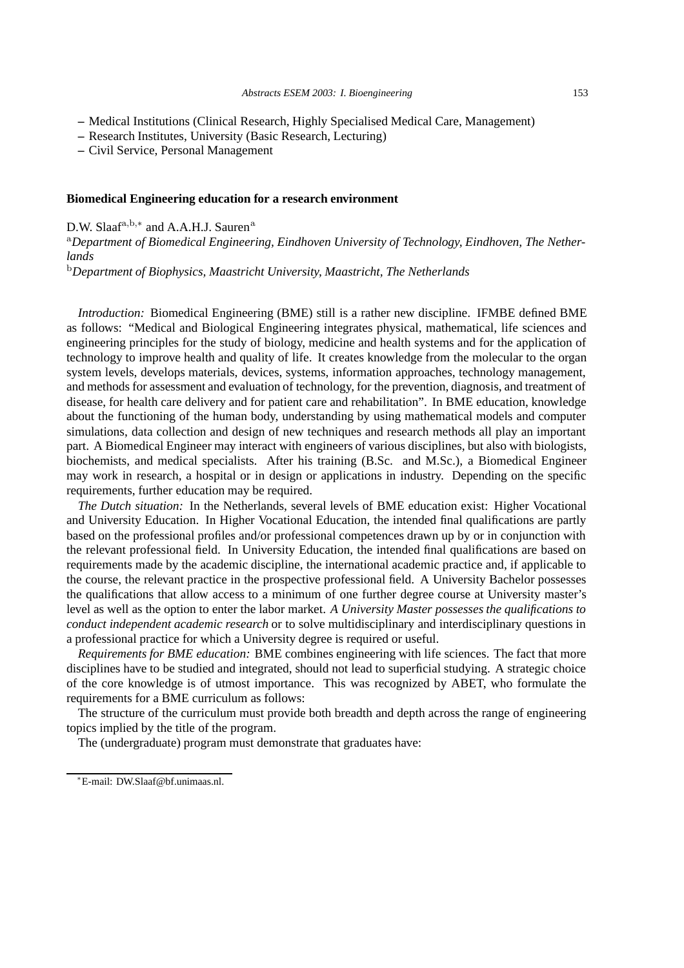- **–** Medical Institutions (Clinical Research, Highly Specialised Medical Care, Management)
- **–** Research Institutes, University (Basic Research, Lecturing)
- **–** Civil Service, Personal Management

## **Biomedical Engineering education for a research environment**

D.W. Slaaf<sup>a,b,\*</sup> and A.A.H.J. Sauren<sup>a</sup>

<sup>a</sup>*Department of Biomedical Engineering, Eindhoven University of Technology, Eindhoven, The Netherlands*

<sup>b</sup>*Department of Biophysics, Maastricht University, Maastricht, The Netherlands*

*Introduction:* Biomedical Engineering (BME) still is a rather new discipline. IFMBE defined BME as follows: "Medical and Biological Engineering integrates physical, mathematical, life sciences and engineering principles for the study of biology, medicine and health systems and for the application of technology to improve health and quality of life. It creates knowledge from the molecular to the organ system levels, develops materials, devices, systems, information approaches, technology management, and methods for assessment and evaluation of technology, for the prevention, diagnosis, and treatment of disease, for health care delivery and for patient care and rehabilitation". In BME education, knowledge about the functioning of the human body, understanding by using mathematical models and computer simulations, data collection and design of new techniques and research methods all play an important part. A Biomedical Engineer may interact with engineers of various disciplines, but also with biologists, biochemists, and medical specialists. After his training (B.Sc. and M.Sc.), a Biomedical Engineer may work in research, a hospital or in design or applications in industry. Depending on the specific requirements, further education may be required.

*The Dutch situation:* In the Netherlands, several levels of BME education exist: Higher Vocational and University Education. In Higher Vocational Education, the intended final qualifications are partly based on the professional profiles and/or professional competences drawn up by or in conjunction with the relevant professional field. In University Education, the intended final qualifications are based on requirements made by the academic discipline, the international academic practice and, if applicable to the course, the relevant practice in the prospective professional field. A University Bachelor possesses the qualifications that allow access to a minimum of one further degree course at University master's level as well as the option to enter the labor market. *A University Master possesses the qualifications to conduct independent academic research* or to solve multidisciplinary and interdisciplinary questions in a professional practice for which a University degree is required or useful.

*Requirements for BME education:* BME combines engineering with life sciences. The fact that more disciplines have to be studied and integrated, should not lead to superficial studying. A strategic choice of the core knowledge is of utmost importance. This was recognized by ABET, who formulate the requirements for a BME curriculum as follows:

The structure of the curriculum must provide both breadth and depth across the range of engineering topics implied by the title of the program.

The (undergraduate) program must demonstrate that graduates have:

<sup>∗</sup>E-mail: DW.Slaaf@bf.unimaas.nl.